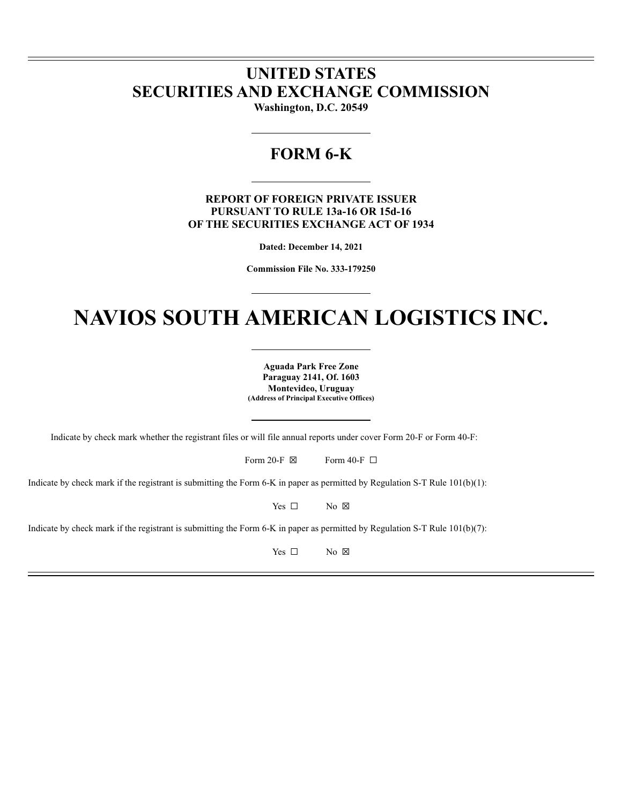# **UNITED STATES SECURITIES AND EXCHANGE COMMISSION**

**Washington, D.C. 20549**

# **FORM 6-K**

**REPORT OF FOREIGN PRIVATE ISSUER PURSUANT TO RULE 13a-16 OR 15d-16 OF THE SECURITIES EXCHANGE ACT OF 1934**

**Dated: December 14, 2021**

**Commission File No. 333-179250**

# **NAVIOS SOUTH AMERICAN LOGISTICS INC.**

**Aguada Park Free Zone Paraguay 2141, Of. 1603 Montevideo, Uruguay (Address of Principal Executive Offices)**

Indicate by check mark whether the registrant files or will file annual reports under cover Form 20-F or Form 40-F:

|  | Form 20-F $\boxtimes$ |  | Form 40-F $\Box$ |  |
|--|-----------------------|--|------------------|--|
|--|-----------------------|--|------------------|--|

Indicate by check mark if the registrant is submitting the Form 6-K in paper as permitted by Regulation S-T Rule 101(b)(1):

Yes □ No ⊠

Indicate by check mark if the registrant is submitting the Form 6-K in paper as permitted by Regulation S-T Rule  $101(b)(7)$ :

Yes □ No ⊠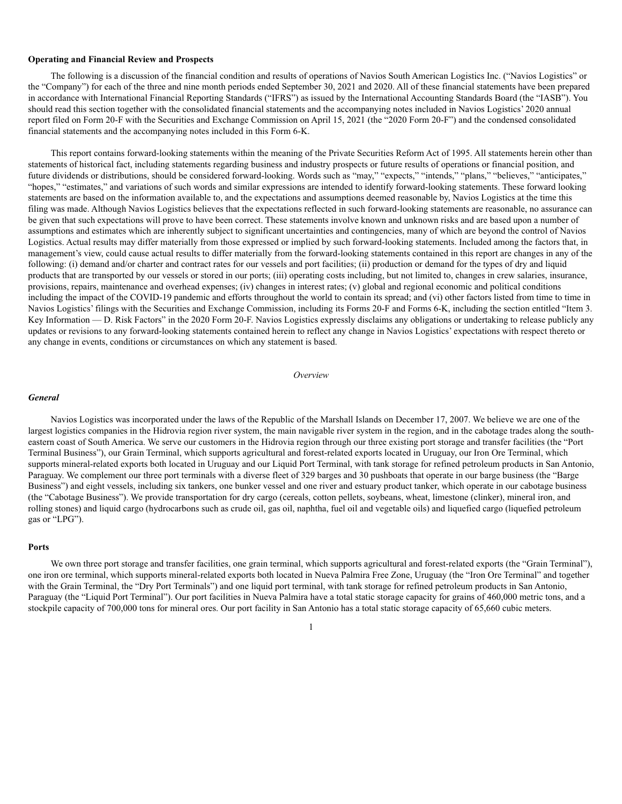#### **Operating and Financial Review and Prospects**

The following is a discussion of the financial condition and results of operations of Navios South American Logistics Inc. ("Navios Logistics" or the "Company") for each of the three and nine month periods ended September 30, 2021 and 2020. All of these financial statements have been prepared in accordance with International Financial Reporting Standards ("IFRS") as issued by the International Accounting Standards Board (the "IASB"). You should read this section together with the consolidated financial statements and the accompanying notes included in Navios Logistics' 2020 annual report filed on Form 20-F with the Securities and Exchange Commission on April 15, 2021 (the "2020 Form 20-F") and the condensed consolidated financial statements and the accompanying notes included in this Form 6-K.

This report contains forward-looking statements within the meaning of the Private Securities Reform Act of 1995. All statements herein other than statements of historical fact, including statements regarding business and industry prospects or future results of operations or financial position, and future dividends or distributions, should be considered forward-looking. Words such as "may," "expects," "intends," "plans," "believes," "anticipates," "hopes," "estimates," and variations of such words and similar expressions are intended to identify forward-looking statements. These forward looking statements are based on the information available to, and the expectations and assumptions deemed reasonable by, Navios Logistics at the time this filing was made. Although Navios Logistics believes that the expectations reflected in such forward-looking statements are reasonable, no assurance can be given that such expectations will prove to have been correct. These statements involve known and unknown risks and are based upon a number of assumptions and estimates which are inherently subject to significant uncertainties and contingencies, many of which are beyond the control of Navios Logistics. Actual results may differ materially from those expressed or implied by such forward-looking statements. Included among the factors that, in management's view, could cause actual results to differ materially from the forward-looking statements contained in this report are changes in any of the following: (i) demand and/or charter and contract rates for our vessels and port facilities; (ii) production or demand for the types of dry and liquid products that are transported by our vessels or stored in our ports; (iii) operating costs including, but not limited to, changes in crew salaries, insurance, provisions, repairs, maintenance and overhead expenses; (iv) changes in interest rates; (v) global and regional economic and political conditions including the impact of the COVID-19 pandemic and efforts throughout the world to contain its spread; and (vi) other factors listed from time to time in Navios Logistics' filings with the Securities and Exchange Commission, including its Forms 20-F and Forms 6-K, including the section entitled "Item 3. Key Information — D. Risk Factors" in the 2020 Form 20-F. Navios Logistics expressly disclaims any obligations or undertaking to release publicly any updates or revisions to any forward-looking statements contained herein to reflect any change in Navios Logistics' expectations with respect thereto or any change in events, conditions or circumstances on which any statement is based.

#### *Overview*

#### *General*

Navios Logistics was incorporated under the laws of the Republic of the Marshall Islands on December 17, 2007. We believe we are one of the largest logistics companies in the Hidrovia region river system, the main navigable river system in the region, and in the cabotage trades along the southeastern coast of South America. We serve our customers in the Hidrovia region through our three existing port storage and transfer facilities (the "Port Terminal Business"), our Grain Terminal, which supports agricultural and forest-related exports located in Uruguay, our Iron Ore Terminal, which supports mineral-related exports both located in Uruguay and our Liquid Port Terminal, with tank storage for refined petroleum products in San Antonio, Paraguay. We complement our three port terminals with a diverse fleet of 329 barges and 30 pushboats that operate in our barge business (the "Barge Business") and eight vessels, including six tankers, one bunker vessel and one river and estuary product tanker, which operate in our cabotage business (the "Cabotage Business"). We provide transportation for dry cargo (cereals, cotton pellets, soybeans, wheat, limestone (clinker), mineral iron, and rolling stones) and liquid cargo (hydrocarbons such as crude oil, gas oil, naphtha, fuel oil and vegetable oils) and liquefied cargo (liquefied petroleum gas or "LPG").

#### **Ports**

We own three port storage and transfer facilities, one grain terminal, which supports agricultural and forest-related exports (the "Grain Terminal"), one iron ore terminal, which supports mineral-related exports both located in Nueva Palmira Free Zone, Uruguay (the "Iron Ore Terminal" and together with the Grain Terminal, the "Dry Port Terminals") and one liquid port terminal, with tank storage for refined petroleum products in San Antonio, Paraguay (the "Liquid Port Terminal"). Our port facilities in Nueva Palmira have a total static storage capacity for grains of 460,000 metric tons, and a stockpile capacity of 700,000 tons for mineral ores. Our port facility in San Antonio has a total static storage capacity of 65,660 cubic meters.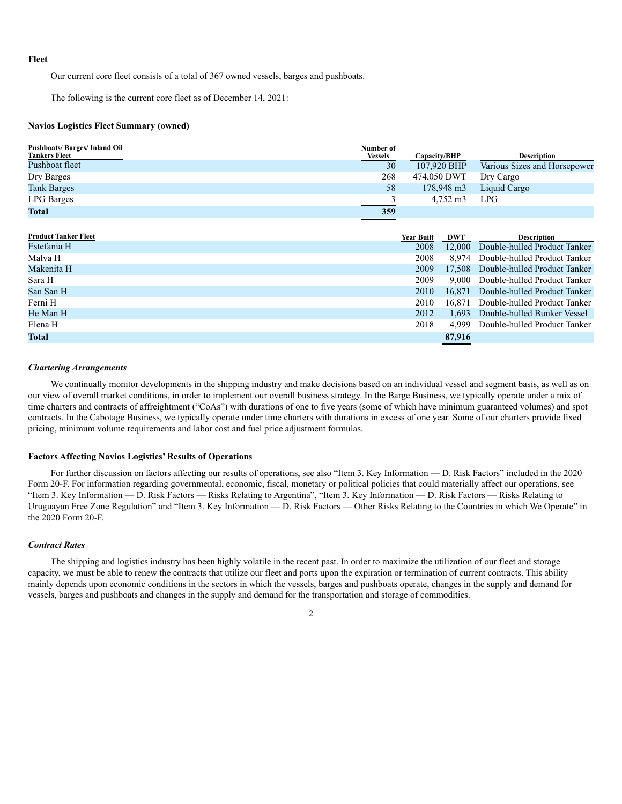#### **Fleet**

Our current core fleet consists of a total of 367 owned vessels, barges and pushboats.

The following is the current core fleet as of December 14, 2021:

#### **Navios Logistics Fleet Summary (owned)**

| <b>Pushboats/Barges/Inland Oil</b><br><b>Tankers Fleet</b> | Number of<br><b>Vessels</b> | Capacity/BHP | <b>Description</b>           |
|------------------------------------------------------------|-----------------------------|--------------|------------------------------|
| Pushboat fleet                                             | 30                          | 107,920 BHP  | Various Sizes and Horsepower |
| Dry Barges                                                 | 268                         | 474,050 DWT  | Dry Cargo                    |
| <b>Tank Barges</b>                                         | 58                          | 178,948 m3   | Liquid Cargo                 |
| <b>LPG</b> Barges                                          |                             | 4.752 m3     | <b>LPG</b>                   |
| <b>Total</b>                                               | 359                         |              |                              |

| <b>Year Built</b> | DWT    | <b>Description</b>                          |
|-------------------|--------|---------------------------------------------|
| 2008              | 12,000 | Double-hulled Product Tanker                |
| 2008              |        | Double-hulled Product Tanker                |
| 2009              |        | 17.508 Double-hulled Product Tanker         |
| 2009              |        | Double-hulled Product Tanker                |
| 2010              |        | Double-hulled Product Tanker                |
| 2010              |        | Double-hulled Product Tanker                |
| 2012              |        | Double-hulled Bunker Vessel                 |
| 2018              | 4.999  | Double-hulled Product Tanker                |
|                   | 87,916 |                                             |
|                   |        | 8.974<br>9.000<br>16.871<br>16.871<br>1.693 |

#### *Chartering Arrangements*

We continually monitor developments in the shipping industry and make decisions based on an individual vessel and segment basis, as well as on our view of overall market conditions, in order to implement our overall business strategy. In the Barge Business, we typically operate under a mix of time charters and contracts of affreightment ("CoAs") with durations of one to five years (some of which have minimum guaranteed volumes) and spot contracts. In the Cabotage Business, we typically operate under time charters with durations in excess of one year. Some of our charters provide fixed pricing, minimum volume requirements and labor cost and fuel price adjustment formulas.

#### **Factors Affecting Navios Logistics' Results of Operations**

For further discussion on factors affecting our results of operations, see also "Item 3. Key Information — D. Risk Factors" included in the 2020 Form 20-F. For information regarding governmental, economic, fiscal, monetary or political policies that could materially affect our operations, see "Item 3. Key Information — D. Risk Factors — Risks Relating to Argentina", "Item 3. Key Information — D. Risk Factors — Risks Relating to Uruguayan Free Zone Regulation" and "Item 3. Key Information — D. Risk Factors — Other Risks Relating to the Countries in which We Operate" in the 2020 Form 20-F.

# *Contract Rates*

The shipping and logistics industry has been highly volatile in the recent past. In order to maximize the utilization of our fleet and storage capacity, we must be able to renew the contracts that utilize our fleet and ports upon the expiration or termination of current contracts. This ability mainly depends upon economic conditions in the sectors in which the vessels, barges and pushboats operate, changes in the supply and demand for vessels, barges and pushboats and changes in the supply and demand for the transportation and storage of commodities.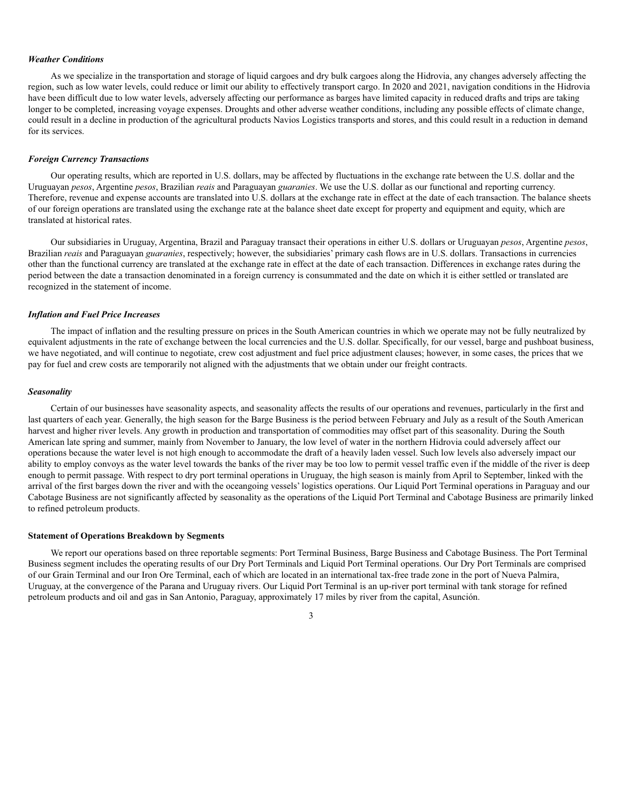#### *Weather Conditions*

As we specialize in the transportation and storage of liquid cargoes and dry bulk cargoes along the Hidrovia, any changes adversely affecting the region, such as low water levels, could reduce or limit our ability to effectively transport cargo. In 2020 and 2021, navigation conditions in the Hidrovia have been difficult due to low water levels, adversely affecting our performance as barges have limited capacity in reduced drafts and trips are taking longer to be completed, increasing voyage expenses. Droughts and other adverse weather conditions, including any possible effects of climate change, could result in a decline in production of the agricultural products Navios Logistics transports and stores, and this could result in a reduction in demand for its services.

#### *Foreign Currency Transactions*

Our operating results, which are reported in U.S. dollars, may be affected by fluctuations in the exchange rate between the U.S. dollar and the Uruguayan *pesos*, Argentine *pesos*, Brazilian *reais* and Paraguayan *guaranies*. We use the U.S. dollar as our functional and reporting currency. Therefore, revenue and expense accounts are translated into U.S. dollars at the exchange rate in effect at the date of each transaction. The balance sheets of our foreign operations are translated using the exchange rate at the balance sheet date except for property and equipment and equity, which are translated at historical rates.

Our subsidiaries in Uruguay, Argentina, Brazil and Paraguay transact their operations in either U.S. dollars or Uruguayan *pesos*, Argentine *pesos*, Brazilian *reais* and Paraguayan *guaranies*, respectively; however, the subsidiaries' primary cash flows are in U.S. dollars. Transactions in currencies other than the functional currency are translated at the exchange rate in effect at the date of each transaction. Differences in exchange rates during the period between the date a transaction denominated in a foreign currency is consummated and the date on which it is either settled or translated are recognized in the statement of income.

#### *Inflation and Fuel Price Increases*

The impact of inflation and the resulting pressure on prices in the South American countries in which we operate may not be fully neutralized by equivalent adjustments in the rate of exchange between the local currencies and the U.S. dollar. Specifically, for our vessel, barge and pushboat business, we have negotiated, and will continue to negotiate, crew cost adjustment and fuel price adjustment clauses; however, in some cases, the prices that we pay for fuel and crew costs are temporarily not aligned with the adjustments that we obtain under our freight contracts.

#### *Seasonality*

Certain of our businesses have seasonality aspects, and seasonality affects the results of our operations and revenues, particularly in the first and last quarters of each year. Generally, the high season for the Barge Business is the period between February and July as a result of the South American harvest and higher river levels. Any growth in production and transportation of commodities may offset part of this seasonality. During the South American late spring and summer, mainly from November to January, the low level of water in the northern Hidrovia could adversely affect our operations because the water level is not high enough to accommodate the draft of a heavily laden vessel. Such low levels also adversely impact our ability to employ convoys as the water level towards the banks of the river may be too low to permit vessel traffic even if the middle of the river is deep enough to permit passage. With respect to dry port terminal operations in Uruguay, the high season is mainly from April to September, linked with the arrival of the first barges down the river and with the oceangoing vessels' logistics operations. Our Liquid Port Terminal operations in Paraguay and our Cabotage Business are not significantly affected by seasonality as the operations of the Liquid Port Terminal and Cabotage Business are primarily linked to refined petroleum products.

#### **Statement of Operations Breakdown by Segments**

We report our operations based on three reportable segments: Port Terminal Business, Barge Business and Cabotage Business. The Port Terminal Business segment includes the operating results of our Dry Port Terminals and Liquid Port Terminal operations. Our Dry Port Terminals are comprised of our Grain Terminal and our Iron Ore Terminal, each of which are located in an international tax-free trade zone in the port of Nueva Palmira, Uruguay, at the convergence of the Parana and Uruguay rivers. Our Liquid Port Terminal is an up-river port terminal with tank storage for refined petroleum products and oil and gas in San Antonio, Paraguay, approximately 17 miles by river from the capital, Asunción.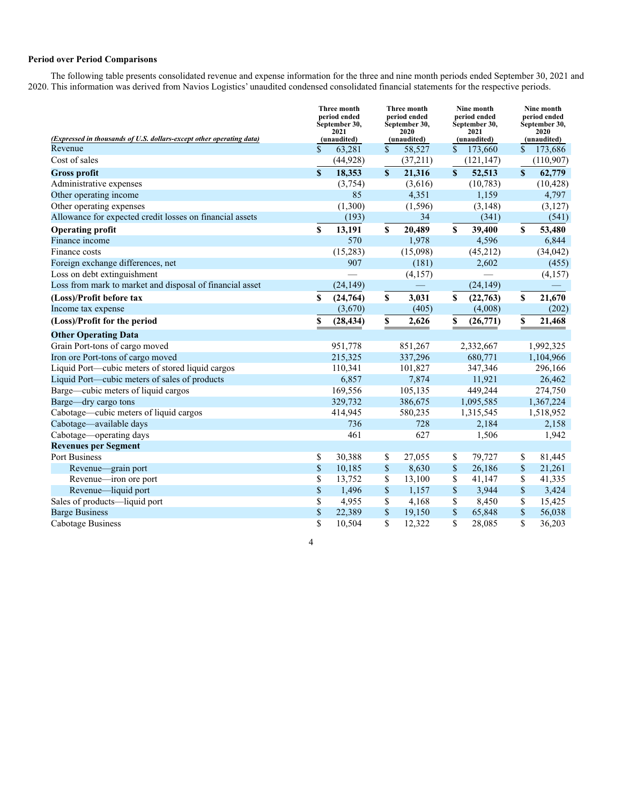# **Period over Period Comparisons**

The following table presents consolidated revenue and expense information for the three and nine month periods ended September 30, 2021 and 2020. This information was derived from Navios Logistics' unaudited condensed consolidated financial statements for the respective periods.

| (Expressed in thousands of U.S. dollars-except other operating data) |               | Three month<br>period ended<br>September 30,<br>2021<br>(unaudited) |              | Three month<br>period ended<br>September 30,<br>2020<br>(unaudited) |               | Nine month<br>period ended<br>September 30,<br>2021<br>(unaudited) |              | Nine month<br>period ended<br>September 30,<br>2020<br>(unaudited) |
|----------------------------------------------------------------------|---------------|---------------------------------------------------------------------|--------------|---------------------------------------------------------------------|---------------|--------------------------------------------------------------------|--------------|--------------------------------------------------------------------|
| Revenue                                                              | $\mathcal{S}$ | 63,281                                                              | $\mathbf{s}$ | 58,527                                                              | \$.           | 173,660                                                            | $\mathbf{s}$ | 173,686                                                            |
| Cost of sales                                                        |               | (44, 928)                                                           |              | (37,211)                                                            |               | (121, 147)                                                         |              | (110,907)                                                          |
| <b>Gross profit</b>                                                  | $\mathbf S$   | 18,353                                                              | $\mathbf{s}$ | 21,316                                                              | $\mathbf{\$}$ | 52,513                                                             | $\mathbf S$  | 62,779                                                             |
| Administrative expenses                                              |               | (3,754)                                                             |              | (3,616)                                                             |               | (10, 783)                                                          |              | (10, 428)                                                          |
| Other operating income                                               |               | 85                                                                  |              | 4,351                                                               |               | 1,159                                                              |              | 4,797                                                              |
| Other operating expenses                                             |               | (1,300)                                                             |              | (1, 596)                                                            |               | (3, 148)                                                           |              | (3,127)                                                            |
| Allowance for expected credit losses on financial assets             |               | (193)                                                               |              | 34                                                                  |               | (341)                                                              |              | (541)                                                              |
| <b>Operating profit</b>                                              | $\mathbf S$   | 13,191                                                              | \$           | 20,489                                                              | \$            | 39,400                                                             | \$           | 53,480                                                             |
| Finance income                                                       |               | 570                                                                 |              | 1,978                                                               |               | 4,596                                                              |              | 6,844                                                              |
| Finance costs                                                        |               | (15, 283)                                                           |              | (15,098)                                                            |               | (45,212)                                                           |              | (34, 042)                                                          |
| Foreign exchange differences, net                                    |               | 907                                                                 |              | (181)                                                               |               | 2,602                                                              |              | (455)                                                              |
| Loss on debt extinguishment                                          |               |                                                                     |              | (4,157)                                                             |               |                                                                    |              | (4,157)                                                            |
| Loss from mark to market and disposal of financial asset             |               | (24, 149)                                                           |              |                                                                     |               | (24, 149)                                                          |              |                                                                    |
| (Loss)/Profit before tax                                             | S             | (24,764)                                                            | \$           | 3,031                                                               | \$            | (22,763)                                                           | \$           | 21,670                                                             |
| Income tax expense                                                   |               | (3,670)                                                             |              | (405)                                                               |               | (4,008)                                                            |              | (202)                                                              |
| (Loss)/Profit for the period                                         | \$            | (28, 434)                                                           | \$           | 2,626                                                               | \$            | (26,771)                                                           | \$           | 21,468                                                             |
| <b>Other Operating Data</b>                                          |               |                                                                     |              |                                                                     |               |                                                                    |              |                                                                    |
| Grain Port-tons of cargo moved                                       |               | 951,778                                                             |              | 851,267                                                             |               | 2,332,667                                                          |              | 1,992,325                                                          |
| Iron ore Port-tons of cargo moved                                    |               | 215,325                                                             |              | 337,296                                                             |               | 680,771                                                            |              | 1,104,966                                                          |
| Liquid Port—cubic meters of stored liquid cargos                     |               | 110,341                                                             |              | 101,827                                                             |               | 347,346                                                            |              | 296,166                                                            |
| Liquid Port—cubic meters of sales of products                        |               | 6,857                                                               |              | 7,874                                                               |               | 11,921                                                             |              | 26,462                                                             |
| Barge—cubic meters of liquid cargos                                  |               | 169,556                                                             |              | 105,135                                                             |               | 449,244                                                            |              | 274,750                                                            |
| Barge-dry cargo tons                                                 |               | 329,732                                                             |              | 386,675                                                             |               | 1,095,585                                                          |              | 1,367,224                                                          |
| Cabotage—cubic meters of liquid cargos                               |               | 414,945                                                             |              | 580,235                                                             |               | 1,315,545                                                          |              | 1,518,952                                                          |
| Cabotage-available days                                              |               | 736                                                                 |              | 728                                                                 |               | 2,184                                                              |              | 2,158                                                              |
| Cabotage—operating days                                              |               | 461                                                                 |              | 627                                                                 |               | 1,506                                                              |              | 1,942                                                              |
| <b>Revenues per Segment</b>                                          |               |                                                                     |              |                                                                     |               |                                                                    |              |                                                                    |
| Port Business                                                        | S             | 30,388                                                              | \$           | 27,055                                                              | \$            | 79,727                                                             | \$           | 81,445                                                             |
| Revenue-grain port                                                   | $\mathbb S$   | 10,185                                                              | $\$$         | 8,630                                                               | \$            | 26,186                                                             | \$           | 21,261                                                             |
| Revenue—iron ore port                                                | \$            | 13,752                                                              | \$           | 13,100                                                              | \$            | 41,147                                                             | \$           | 41,335                                                             |
| Revenue-liquid port                                                  | $\$$          | 1,496                                                               | $\mathbb S$  | 1,157                                                               | \$            | 3,944                                                              | \$           | 3,424                                                              |
| Sales of products-liquid port                                        | \$            | 4,955                                                               | \$           | 4,168                                                               | \$            | 8,450                                                              | \$           | 15,425                                                             |
| <b>Barge Business</b>                                                | \$            | 22,389                                                              | \$           | 19,150                                                              | \$            | 65,848                                                             | \$           | 56,038                                                             |
| Cabotage Business                                                    | \$            | 10,504                                                              | \$           | 12,322                                                              | \$            | 28,085                                                             | \$           | 36,203                                                             |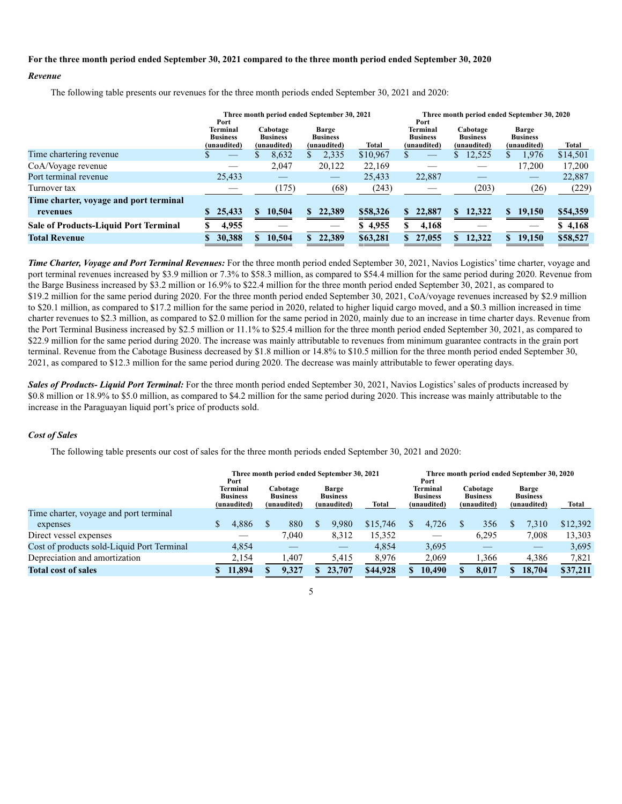#### **For the three month period ended September 30, 2021 compared to the three month period ended September 30, 2020**

#### *Revenue*

The following table presents our revenues for the three month periods ended September 30, 2021 and 2020:

|                                        | Port                                              | Three month period ended September 30, 2021 |                                         |          | Three month period ended September 30, 2020<br>Port |                                            |                                         |          |  |  |  |
|----------------------------------------|---------------------------------------------------|---------------------------------------------|-----------------------------------------|----------|-----------------------------------------------------|--------------------------------------------|-----------------------------------------|----------|--|--|--|
|                                        | <b>Terminal</b><br><b>Business</b><br>(unaudited) | Cabotage<br><b>Business</b><br>(unaudited)  | Barge<br><b>Business</b><br>(unaudited) | Total    | Terminal<br><b>Business</b><br>(unaudited)          | Cabotage<br><b>Business</b><br>(unaudited) | Barge<br><b>Business</b><br>(unaudited) | Total    |  |  |  |
| Time chartering revenue                |                                                   | 8,632                                       | 2,335<br>S                              | \$10,967 | J.                                                  | 12,525                                     | 1,976<br>S                              | \$14,501 |  |  |  |
| CoA/Voyage revenue                     |                                                   | 2,047                                       | 20,122                                  | 22,169   |                                                     |                                            | 17,200                                  | 17,200   |  |  |  |
| Port terminal revenue                  | 25,433                                            |                                             |                                         | 25,433   | 22,887                                              |                                            |                                         | 22,887   |  |  |  |
| Turnover tax                           |                                                   | (175)                                       | (68)                                    | (243)    |                                                     | (203)                                      | (26)                                    | (229)    |  |  |  |
| Time charter, voyage and port terminal |                                                   |                                             |                                         |          |                                                     |                                            |                                         |          |  |  |  |
| revenues                               | 25,433                                            | 10,504<br>S.                                | 22,389<br>S.                            | \$58,326 | 22,887<br>\$.                                       | 12,322                                     | \$<br>19,150                            | \$54,359 |  |  |  |
| Sale of Products-Liquid Port Terminal  | 4,955                                             |                                             |                                         | \$4,955  | 4,168                                               |                                            |                                         | \$4,168  |  |  |  |
| <b>Total Revenue</b>                   | 30,388                                            | 10,504                                      | 22,389<br>\$.                           | \$63,281 | 27,055                                              | 12,322                                     | S.<br>19,150                            | \$58,527 |  |  |  |

*Time Charter, Voyage and Port Terminal Revenues:* For the three month period ended September 30, 2021, Navios Logistics' time charter, voyage and port terminal revenues increased by \$3.9 million or 7.3% to \$58.3 million, as compared to \$54.4 million for the same period during 2020. Revenue from the Barge Business increased by \$3.2 million or 16.9% to \$22.4 million for the three month period ended September 30, 2021, as compared to \$19.2 million for the same period during 2020. For the three month period ended September 30, 2021, CoA/voyage revenues increased by \$2.9 million to \$20.1 million, as compared to \$17.2 million for the same period in 2020, related to higher liquid cargo moved, and a \$0.3 million increased in time charter revenues to \$2.3 million, as compared to \$2.0 million for the same period in 2020, mainly due to an increase in time charter days. Revenue from the Port Terminal Business increased by \$2.5 million or 11.1% to \$25.4 million for the three month period ended September 30, 2021, as compared to \$22.9 million for the same period during 2020. The increase was mainly attributable to revenues from minimum guarantee contracts in the grain port terminal. Revenue from the Cabotage Business decreased by \$1.8 million or 14.8% to \$10.5 million for the three month period ended September 30, 2021, as compared to \$12.3 million for the same period during 2020. The decrease was mainly attributable to fewer operating days.

*Sales of Products- Liquid Port Terminal:* For the three month period ended September 30, 2021, Navios Logistics' sales of products increased by \$0.8 million or 18.9% to \$5.0 million, as compared to \$4.2 million for the same period during 2020. This increase was mainly attributable to the increase in the Paraguayan liquid port's price of products sold.

# *Cost of Sales*

The following table presents our cost of sales for the three month periods ended September 30, 2021 and 2020:

|                                            | Three month period ended September 30, 2021<br>Port |  |                                            |  |                                         |          | Three month period ended September 30, 2020<br>Port |        |                                            |       |                                                |        |          |  |
|--------------------------------------------|-----------------------------------------------------|--|--------------------------------------------|--|-----------------------------------------|----------|-----------------------------------------------------|--------|--------------------------------------------|-------|------------------------------------------------|--------|----------|--|
|                                            | <b>Terminal</b><br><b>Business</b><br>(unaudited)   |  | Cabotage<br><b>Business</b><br>(unaudited) |  | Barge<br><b>Business</b><br>(unaudited) | Total    | Terminal<br><b>Business</b><br>(unaudited)          |        | Cabotage<br><b>Business</b><br>(unaudited) |       | <b>Barge</b><br><b>Business</b><br>(unaudited) |        | Total    |  |
| Time charter, voyage and port terminal     |                                                     |  |                                            |  |                                         |          |                                                     |        |                                            |       |                                                |        |          |  |
| expenses                                   | 4,886                                               |  | 880                                        |  | 9.980                                   | \$15,746 |                                                     | 4,726  |                                            | 356   |                                                | 7.310  | \$12,392 |  |
| Direct vessel expenses                     |                                                     |  | 7.040                                      |  | 8,312                                   | 15.352   |                                                     |        |                                            | 6.295 |                                                | 7,008  | 13,303   |  |
| Cost of products sold-Liquid Port Terminal | 4,854                                               |  |                                            |  |                                         | 4,854    |                                                     | 3,695  |                                            |       |                                                |        | 3,695    |  |
| Depreciation and amortization              | 2,154                                               |  | 1,407                                      |  | 5,415                                   | 8,976    |                                                     | 2,069  |                                            | 1,366 |                                                | 4,386  | 7,821    |  |
| <b>Total cost of sales</b>                 | 11,894                                              |  | 9,327                                      |  | 23,707                                  | \$44,928 |                                                     | 10,490 |                                            | 8.017 |                                                | 18,704 | \$37,211 |  |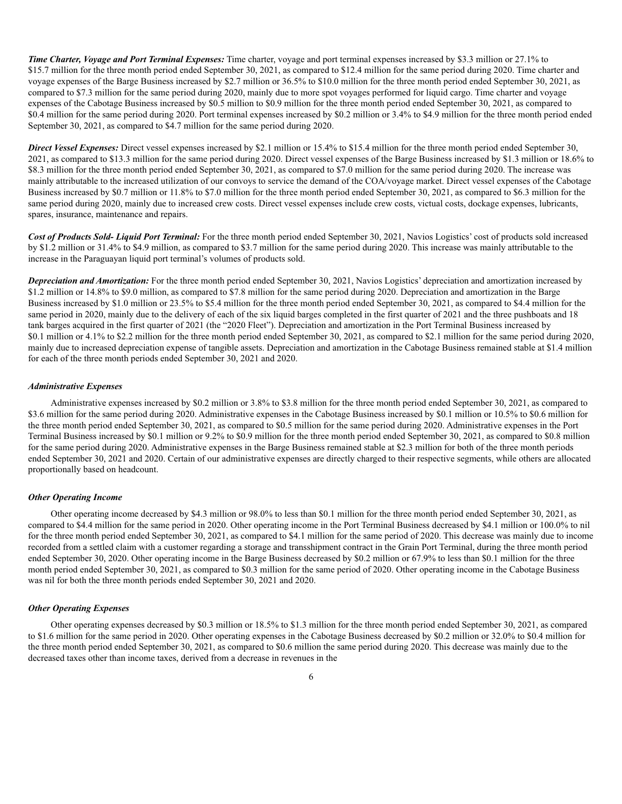*Time Charter, Voyage and Port Terminal Expenses:* Time charter, voyage and port terminal expenses increased by \$3.3 million or 27.1% to \$15.7 million for the three month period ended September 30, 2021, as compared to \$12.4 million for the same period during 2020. Time charter and voyage expenses of the Barge Business increased by \$2.7 million or 36.5% to \$10.0 million for the three month period ended September 30, 2021, as compared to \$7.3 million for the same period during 2020, mainly due to more spot voyages performed for liquid cargo. Time charter and voyage expenses of the Cabotage Business increased by \$0.5 million to \$0.9 million for the three month period ended September 30, 2021, as compared to \$0.4 million for the same period during 2020. Port terminal expenses increased by \$0.2 million or 3.4% to \$4.9 million for the three month period ended September 30, 2021, as compared to \$4.7 million for the same period during 2020.

*Direct Vessel Expenses:* Direct vessel expenses increased by \$2.1 million or 15.4% to \$15.4 million for the three month period ended September 30, 2021, as compared to \$13.3 million for the same period during 2020. Direct vessel expenses of the Barge Business increased by \$1.3 million or 18.6% to \$8.3 million for the three month period ended September 30, 2021, as compared to \$7.0 million for the same period during 2020. The increase was mainly attributable to the increased utilization of our convoys to service the demand of the COA/voyage market. Direct vessel expenses of the Cabotage Business increased by \$0.7 million or 11.8% to \$7.0 million for the three month period ended September 30, 2021, as compared to \$6.3 million for the same period during 2020, mainly due to increased crew costs. Direct vessel expenses include crew costs, victual costs, dockage expenses, lubricants, spares, insurance, maintenance and repairs.

*Cost of Products Sold- Liquid Port Terminal:* For the three month period ended September 30, 2021, Navios Logistics' cost of products sold increased by \$1.2 million or 31.4% to \$4.9 million, as compared to \$3.7 million for the same period during 2020. This increase was mainly attributable to the increase in the Paraguayan liquid port terminal's volumes of products sold.

*Depreciation and Amortization:* For the three month period ended September 30, 2021, Navios Logistics' depreciation and amortization increased by \$1.2 million or 14.8% to \$9.0 million, as compared to \$7.8 million for the same period during 2020. Depreciation and amortization in the Barge Business increased by \$1.0 million or 23.5% to \$5.4 million for the three month period ended September 30, 2021, as compared to \$4.4 million for the same period in 2020, mainly due to the delivery of each of the six liquid barges completed in the first quarter of 2021 and the three pushboats and 18 tank barges acquired in the first quarter of 2021 (the "2020 Fleet"). Depreciation and amortization in the Port Terminal Business increased by \$0.1 million or 4.1% to \$2.2 million for the three month period ended September 30, 2021, as compared to \$2.1 million for the same period during 2020, mainly due to increased depreciation expense of tangible assets. Depreciation and amortization in the Cabotage Business remained stable at \$1.4 million for each of the three month periods ended September 30, 2021 and 2020.

#### *Administrative Expenses*

Administrative expenses increased by \$0.2 million or 3.8% to \$3.8 million for the three month period ended September 30, 2021, as compared to \$3.6 million for the same period during 2020. Administrative expenses in the Cabotage Business increased by \$0.1 million or 10.5% to \$0.6 million for the three month period ended September 30, 2021, as compared to \$0.5 million for the same period during 2020. Administrative expenses in the Port Terminal Business increased by \$0.1 million or 9.2% to \$0.9 million for the three month period ended September 30, 2021, as compared to \$0.8 million for the same period during 2020. Administrative expenses in the Barge Business remained stable at \$2.3 million for both of the three month periods ended September 30, 2021 and 2020. Certain of our administrative expenses are directly charged to their respective segments, while others are allocated proportionally based on headcount.

#### *Other Operating Income*

Other operating income decreased by \$4.3 million or 98.0% to less than \$0.1 million for the three month period ended September 30, 2021, as compared to \$4.4 million for the same period in 2020. Other operating income in the Port Terminal Business decreased by \$4.1 million or 100.0% to nil for the three month period ended September 30, 2021, as compared to \$4.1 million for the same period of 2020. This decrease was mainly due to income recorded from a settled claim with a customer regarding a storage and transshipment contract in the Grain Port Terminal, during the three month period ended September 30, 2020. Other operating income in the Barge Business decreased by \$0.2 million or 67.9% to less than \$0.1 million for the three month period ended September 30, 2021, as compared to \$0.3 million for the same period of 2020. Other operating income in the Cabotage Business was nil for both the three month periods ended September 30, 2021 and 2020.

#### *Other Operating Expenses*

Other operating expenses decreased by \$0.3 million or 18.5% to \$1.3 million for the three month period ended September 30, 2021, as compared to \$1.6 million for the same period in 2020. Other operating expenses in the Cabotage Business decreased by \$0.2 million or 32.0% to \$0.4 million for the three month period ended September 30, 2021, as compared to \$0.6 million the same period during 2020. This decrease was mainly due to the decreased taxes other than income taxes, derived from a decrease in revenues in the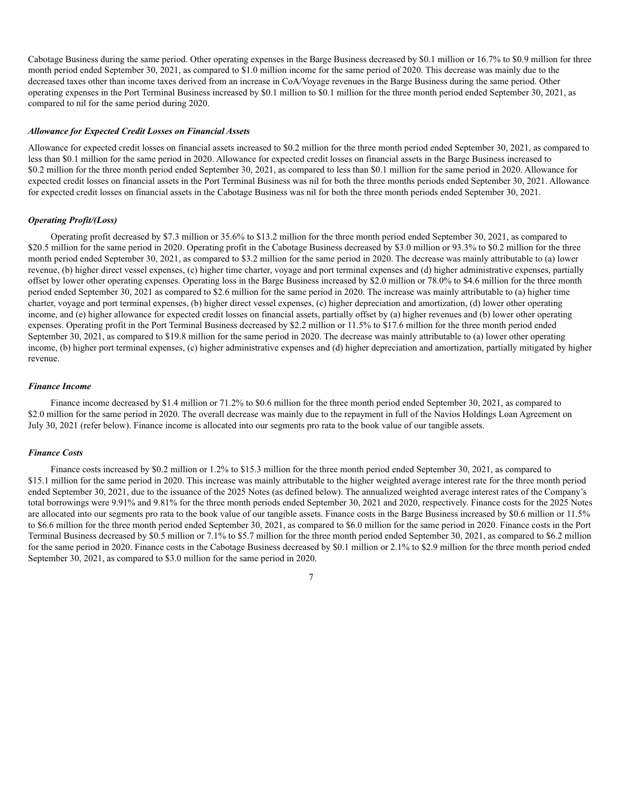Cabotage Business during the same period. Other operating expenses in the Barge Business decreased by \$0.1 million or 16.7% to \$0.9 million for three month period ended September 30, 2021, as compared to \$1.0 million income for the same period of 2020. This decrease was mainly due to the decreased taxes other than income taxes derived from an increase in CoA/Voyage revenues in the Barge Business during the same period. Other operating expenses in the Port Terminal Business increased by \$0.1 million to \$0.1 million for the three month period ended September 30, 2021, as compared to nil for the same period during 2020.

#### *Allowance for Expected Credit Losses on Financial Assets*

Allowance for expected credit losses on financial assets increased to \$0.2 million for the three month period ended September 30, 2021, as compared to less than \$0.1 million for the same period in 2020. Allowance for expected credit losses on financial assets in the Barge Business increased to \$0.2 million for the three month period ended September 30, 2021, as compared to less than \$0.1 million for the same period in 2020. Allowance for expected credit losses on financial assets in the Port Terminal Business was nil for both the three months periods ended September 30, 2021. Allowance for expected credit losses on financial assets in the Cabotage Business was nil for both the three month periods ended September 30, 2021.

# *Operating Profit/(Loss)*

Operating profit decreased by \$7.3 million or 35.6% to \$13.2 million for the three month period ended September 30, 2021, as compared to \$20.5 million for the same period in 2020. Operating profit in the Cabotage Business decreased by \$3.0 million or 93.3% to \$0.2 million for the three month period ended September 30, 2021, as compared to \$3.2 million for the same period in 2020. The decrease was mainly attributable to (a) lower revenue, (b) higher direct vessel expenses, (c) higher time charter, voyage and port terminal expenses and (d) higher administrative expenses, partially offset by lower other operating expenses. Operating loss in the Barge Business increased by \$2.0 million or 78.0% to \$4.6 million for the three month period ended September 30, 2021 as compared to \$2.6 million for the same period in 2020. The increase was mainly attributable to (a) higher time charter, voyage and port terminal expenses, (b) higher direct vessel expenses, (c) higher depreciation and amortization, (d) lower other operating income, and (e) higher allowance for expected credit losses on financial assets, partially offset by (a) higher revenues and (b) lower other operating expenses. Operating profit in the Port Terminal Business decreased by \$2.2 million or 11.5% to \$17.6 million for the three month period ended September 30, 2021, as compared to \$19.8 million for the same period in 2020. The decrease was mainly attributable to (a) lower other operating income, (b) higher port terminal expenses, (c) higher administrative expenses and (d) higher depreciation and amortization, partially mitigated by higher revenue.

#### *Finance Income*

Finance income decreased by \$1.4 million or 71.2% to \$0.6 million for the three month period ended September 30, 2021, as compared to \$2.0 million for the same period in 2020. The overall decrease was mainly due to the repayment in full of the Navios Holdings Loan Agreement on July 30, 2021 (refer below). Finance income is allocated into our segments pro rata to the book value of our tangible assets.

#### *Finance Costs*

Finance costs increased by \$0.2 million or 1.2% to \$15.3 million for the three month period ended September 30, 2021, as compared to \$15.1 million for the same period in 2020. This increase was mainly attributable to the higher weighted average interest rate for the three month period ended September 30, 2021, due to the issuance of the 2025 Notes (as defined below). The annualized weighted average interest rates of the Company's total borrowings were 9.91% and 9.81% for the three month periods ended September 30, 2021 and 2020, respectively. Finance costs for the 2025 Notes are allocated into our segments pro rata to the book value of our tangible assets. Finance costs in the Barge Business increased by \$0.6 million or 11.5% to \$6.6 million for the three month period ended September 30, 2021, as compared to \$6.0 million for the same period in 2020. Finance costs in the Port Terminal Business decreased by \$0.5 million or 7.1% to \$5.7 million for the three month period ended September 30, 2021, as compared to \$6.2 million for the same period in 2020. Finance costs in the Cabotage Business decreased by \$0.1 million or 2.1% to \$2.9 million for the three month period ended September 30, 2021, as compared to \$3.0 million for the same period in 2020.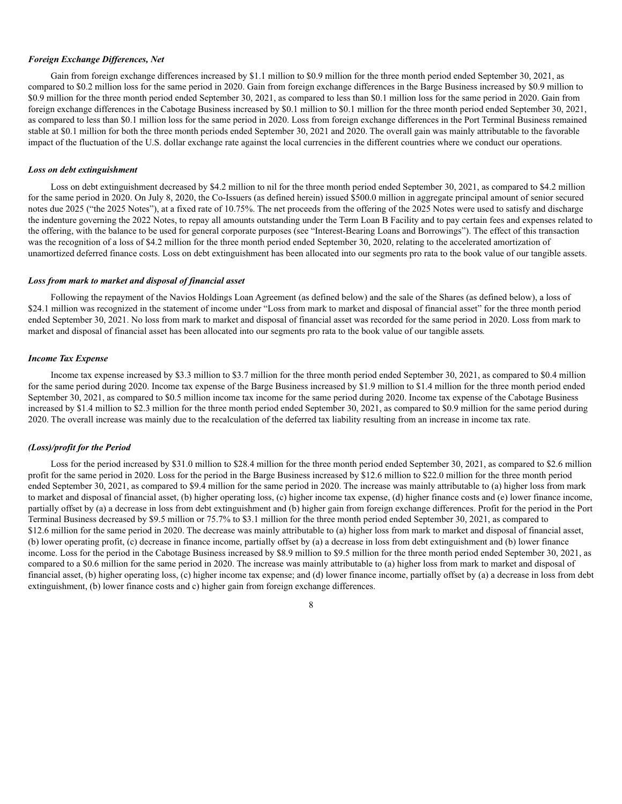#### *Foreign Exchange Differences, Net*

Gain from foreign exchange differences increased by \$1.1 million to \$0.9 million for the three month period ended September 30, 2021, as compared to \$0.2 million loss for the same period in 2020. Gain from foreign exchange differences in the Barge Business increased by \$0.9 million to \$0.9 million for the three month period ended September 30, 2021, as compared to less than \$0.1 million loss for the same period in 2020. Gain from foreign exchange differences in the Cabotage Business increased by \$0.1 million to \$0.1 million for the three month period ended September 30, 2021, as compared to less than \$0.1 million loss for the same period in 2020. Loss from foreign exchange differences in the Port Terminal Business remained stable at \$0.1 million for both the three month periods ended September 30, 2021 and 2020. The overall gain was mainly attributable to the favorable impact of the fluctuation of the U.S. dollar exchange rate against the local currencies in the different countries where we conduct our operations.

#### *Loss on debt extinguishment*

Loss on debt extinguishment decreased by \$4.2 million to nil for the three month period ended September 30, 2021, as compared to \$4.2 million for the same period in 2020. On July 8, 2020, the Co-Issuers (as defined herein) issued \$500.0 million in aggregate principal amount of senior secured notes due 2025 ("the 2025 Notes"), at a fixed rate of 10.75%. The net proceeds from the offering of the 2025 Notes were used to satisfy and discharge the indenture governing the 2022 Notes, to repay all amounts outstanding under the Term Loan B Facility and to pay certain fees and expenses related to the offering, with the balance to be used for general corporate purposes (see "Interest-Bearing Loans and Borrowings"). The effect of this transaction was the recognition of a loss of \$4.2 million for the three month period ended September 30, 2020, relating to the accelerated amortization of unamortized deferred finance costs. Loss on debt extinguishment has been allocated into our segments pro rata to the book value of our tangible assets.

#### *Loss from mark to market and disposal of financial asset*

Following the repayment of the Navios Holdings Loan Agreement (as defined below) and the sale of the Shares (as defined below), a loss of \$24.1 million was recognized in the statement of income under "Loss from mark to market and disposal of financial asset" for the three month period ended September 30, 2021. No loss from mark to market and disposal of financial asset was recorded for the same period in 2020. Loss from mark to market and disposal of financial asset has been allocated into our segments pro rata to the book value of our tangible assets*.*

#### *Income Tax Expense*

Income tax expense increased by \$3.3 million to \$3.7 million for the three month period ended September 30, 2021, as compared to \$0.4 million for the same period during 2020. Income tax expense of the Barge Business increased by \$1.9 million to \$1.4 million for the three month period ended September 30, 2021, as compared to \$0.5 million income tax income for the same period during 2020. Income tax expense of the Cabotage Business increased by \$1.4 million to \$2.3 million for the three month period ended September 30, 2021, as compared to \$0.9 million for the same period during 2020. The overall increase was mainly due to the recalculation of the deferred tax liability resulting from an increase in income tax rate.

#### *(Loss)/profit for the Period*

Loss for the period increased by \$31.0 million to \$28.4 million for the three month period ended September 30, 2021, as compared to \$2.6 million profit for the same period in 2020. Loss for the period in the Barge Business increased by \$12.6 million to \$22.0 million for the three month period ended September 30, 2021, as compared to \$9.4 million for the same period in 2020. The increase was mainly attributable to (a) higher loss from mark to market and disposal of financial asset, (b) higher operating loss, (c) higher income tax expense, (d) higher finance costs and (e) lower finance income, partially offset by (a) a decrease in loss from debt extinguishment and (b) higher gain from foreign exchange differences. Profit for the period in the Port Terminal Business decreased by \$9.5 million or 75.7% to \$3.1 million for the three month period ended September 30, 2021, as compared to \$12.6 million for the same period in 2020. The decrease was mainly attributable to (a) higher loss from mark to market and disposal of financial asset, (b) lower operating profit, (c) decrease in finance income, partially offset by (a) a decrease in loss from debt extinguishment and (b) lower finance income. Loss for the period in the Cabotage Business increased by \$8.9 million to \$9.5 million for the three month period ended September 30, 2021, as compared to a \$0.6 million for the same period in 2020. The increase was mainly attributable to (a) higher loss from mark to market and disposal of financial asset, (b) higher operating loss, (c) higher income tax expense; and (d) lower finance income, partially offset by (a) a decrease in loss from debt extinguishment, (b) lower finance costs and c) higher gain from foreign exchange differences.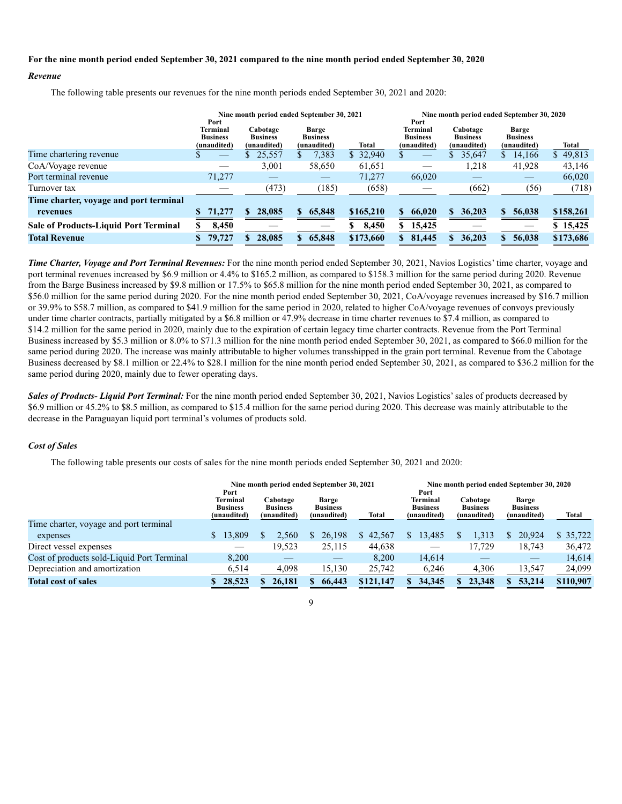#### **For the nine month period ended September 30, 2021 compared to the nine month period ended September 30, 2020**

#### *Revenue*

The following table presents our revenues for the nine month periods ended September 30, 2021 and 2020:

|                                              | Port                                              | Nine month period ended September 30, 2021 |                                                |           | Nine month period ended September 30, 2020<br>Port |                                            |                                         |           |  |  |  |  |
|----------------------------------------------|---------------------------------------------------|--------------------------------------------|------------------------------------------------|-----------|----------------------------------------------------|--------------------------------------------|-----------------------------------------|-----------|--|--|--|--|
|                                              | <b>Terminal</b><br><b>Business</b><br>(unaudited) | Cabotage<br><b>Business</b><br>(unaudited) | <b>Barge</b><br><b>Business</b><br>(unaudited) | Total     | Terminal<br><b>Business</b><br>(unaudited)         | Cabotage<br><b>Business</b><br>(unaudited) | Barge<br><b>Business</b><br>(unaudited) | Total     |  |  |  |  |
| Time chartering revenue                      |                                                   | 25,557                                     | 7,383                                          | \$32,940  |                                                    | 35,647                                     | 14,166<br>$\mathbb{S}$                  | \$49,813  |  |  |  |  |
| CoA/Voyage revenue                           |                                                   | 3,001                                      | 58,650                                         | 61,651    |                                                    | 1,218                                      | 41,928                                  | 43,146    |  |  |  |  |
| Port terminal revenue                        | 71,277                                            |                                            |                                                | 71,277    | 66,020                                             | __                                         |                                         | 66,020    |  |  |  |  |
| Turnover tax                                 |                                                   | (473)                                      | (185)                                          | (658)     |                                                    | (662)                                      | (56)                                    | (718)     |  |  |  |  |
| Time charter, voyage and port terminal       |                                                   |                                            |                                                |           |                                                    |                                            |                                         |           |  |  |  |  |
| revenues                                     | 71,277                                            | 28,085                                     | 65,848<br>S.                                   | \$165,210 | 66,020<br>S.                                       | 36,203<br>S.                               | 56,038<br>S.                            | \$158,261 |  |  |  |  |
| <b>Sale of Products-Liquid Port Terminal</b> | 8,450                                             |                                            |                                                | 8,450     | 15,425<br>\$                                       |                                            |                                         | \$15,425  |  |  |  |  |
| <b>Total Revenue</b>                         | 79,727                                            | 28,085                                     | 65,848<br>S.                                   | \$173,660 | 81,445<br>\$                                       | 36,203<br>\$                               | 56,038                                  | \$173,686 |  |  |  |  |

*Time Charter, Voyage and Port Terminal Revenues:* For the nine month period ended September 30, 2021, Navios Logistics' time charter, voyage and port terminal revenues increased by \$6.9 million or 4.4% to \$165.2 million, as compared to \$158.3 million for the same period during 2020. Revenue from the Barge Business increased by \$9.8 million or 17.5% to \$65.8 million for the nine month period ended September 30, 2021, as compared to \$56.0 million for the same period during 2020. For the nine month period ended September 30, 2021, CoA/voyage revenues increased by \$16.7 million or 39.9% to \$58.7 million, as compared to \$41.9 million for the same period in 2020, related to higher CoA/voyage revenues of convoys previously under time charter contracts, partially mitigated by a \$6.8 million or 47.9% decrease in time charter revenues to \$7.4 million, as compared to \$14.2 million for the same period in 2020, mainly due to the expiration of certain legacy time charter contracts. Revenue from the Port Terminal Business increased by \$5.3 million or 8.0% to \$71.3 million for the nine month period ended September 30, 2021, as compared to \$66.0 million for the same period during 2020. The increase was mainly attributable to higher volumes transshipped in the grain port terminal. Revenue from the Cabotage Business decreased by \$8.1 million or 22.4% to \$28.1 million for the nine month period ended September 30, 2021, as compared to \$36.2 million for the same period during 2020, mainly due to fewer operating days.

*Sales of Products- Liquid Port Terminal:* For the nine month period ended September 30, 2021, Navios Logistics' sales of products decreased by \$6.9 million or 45.2% to \$8.5 million, as compared to \$15.4 million for the same period during 2020. This decrease was mainly attributable to the decrease in the Paraguayan liquid port terminal's volumes of products sold.

# *Cost of Sales*

The following table presents our costs of sales for the nine month periods ended September 30, 2021 and 2020:

|                                            | Port                                              | Nine month period ended September 30, 2021 |                                         |              | Nine month period ended September 30, 2020<br>Port |                                            |                                                |           |  |  |  |  |
|--------------------------------------------|---------------------------------------------------|--------------------------------------------|-----------------------------------------|--------------|----------------------------------------------------|--------------------------------------------|------------------------------------------------|-----------|--|--|--|--|
|                                            | <b>Terminal</b><br><b>Business</b><br>(unaudited) | Cabotage<br><b>Business</b><br>(unaudited) | Barge<br><b>Business</b><br>(unaudited) | <b>Total</b> | Terminal<br><b>Business</b><br>(unaudited)         | Cabotage<br><b>Business</b><br>(unaudited) | <b>Barge</b><br><b>Business</b><br>(unaudited) | Total     |  |  |  |  |
| Time charter, voyage and port terminal     |                                                   |                                            |                                         |              |                                                    |                                            |                                                |           |  |  |  |  |
| expenses                                   | 13,809                                            | 2.560                                      | 26,198                                  | \$42,567     | 13,485                                             | 1,313                                      | 20,924                                         | \$35,722  |  |  |  |  |
| Direct vessel expenses                     |                                                   | 19.523                                     | 25,115                                  | 44,638       | __                                                 | 17.729                                     | 18,743                                         | 36,472    |  |  |  |  |
| Cost of products sold-Liquid Port Terminal | 8,200                                             |                                            |                                         | 8,200        | 14,614                                             |                                            |                                                | 14,614    |  |  |  |  |
| Depreciation and amortization              | 6,514                                             | 4,098                                      | 15,130                                  | 25,742       | 6,246                                              | 4,306                                      | 13,547                                         | 24,099    |  |  |  |  |
| <b>Total cost of sales</b>                 | 28,523                                            | 26,181                                     | 66,443                                  | \$121,147    | 34,345                                             | 23,348                                     | 53,214                                         | \$110,907 |  |  |  |  |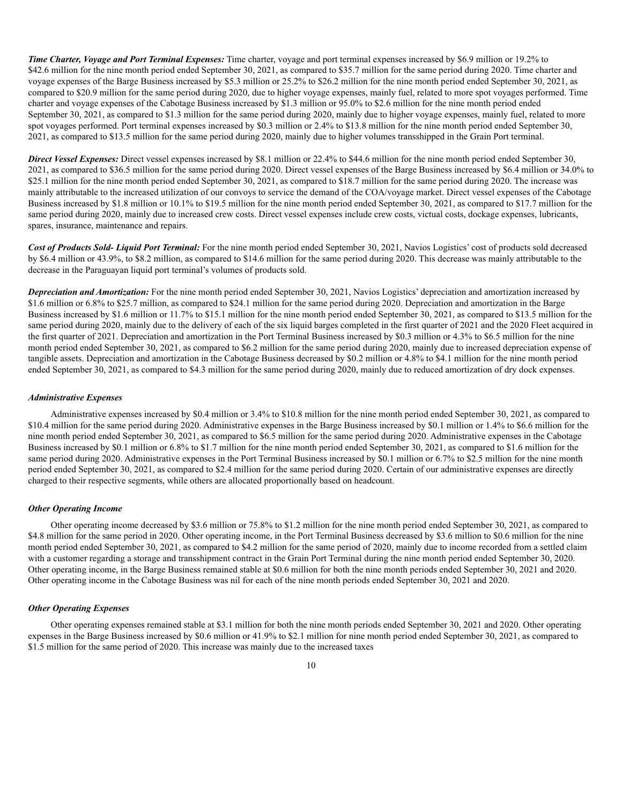*Time Charter, Voyage and Port Terminal Expenses:* Time charter, voyage and port terminal expenses increased by \$6.9 million or 19.2% to \$42.6 million for the nine month period ended September 30, 2021, as compared to \$35.7 million for the same period during 2020. Time charter and voyage expenses of the Barge Business increased by \$5.3 million or 25.2% to \$26.2 million for the nine month period ended September 30, 2021, as compared to \$20.9 million for the same period during 2020, due to higher voyage expenses, mainly fuel, related to more spot voyages performed. Time charter and voyage expenses of the Cabotage Business increased by \$1.3 million or 95.0% to \$2.6 million for the nine month period ended September 30, 2021, as compared to \$1.3 million for the same period during 2020, mainly due to higher voyage expenses, mainly fuel, related to more spot voyages performed. Port terminal expenses increased by \$0.3 million or 2.4% to \$13.8 million for the nine month period ended September 30, 2021, as compared to \$13.5 million for the same period during 2020, mainly due to higher volumes transshipped in the Grain Port terminal.

*Direct Vessel Expenses:* Direct vessel expenses increased by \$8.1 million or 22.4% to \$44.6 million for the nine month period ended September 30, 2021, as compared to \$36.5 million for the same period during 2020. Direct vessel expenses of the Barge Business increased by \$6.4 million or 34.0% to \$25.1 million for the nine month period ended September 30, 2021, as compared to \$18.7 million for the same period during 2020. The increase was mainly attributable to the increased utilization of our convoys to service the demand of the COA/voyage market. Direct vessel expenses of the Cabotage Business increased by \$1.8 million or 10.1% to \$19.5 million for the nine month period ended September 30, 2021, as compared to \$17.7 million for the same period during 2020, mainly due to increased crew costs. Direct vessel expenses include crew costs, victual costs, dockage expenses, lubricants, spares, insurance, maintenance and repairs.

*Cost of Products Sold- Liquid Port Terminal:* For the nine month period ended September 30, 2021, Navios Logistics' cost of products sold decreased by \$6.4 million or 43.9%, to \$8.2 million, as compared to \$14.6 million for the same period during 2020. This decrease was mainly attributable to the decrease in the Paraguayan liquid port terminal's volumes of products sold.

*Depreciation and Amortization:* For the nine month period ended September 30, 2021, Navios Logistics' depreciation and amortization increased by \$1.6 million or 6.8% to \$25.7 million, as compared to \$24.1 million for the same period during 2020. Depreciation and amortization in the Barge Business increased by \$1.6 million or 11.7% to \$15.1 million for the nine month period ended September 30, 2021, as compared to \$13.5 million for the same period during 2020, mainly due to the delivery of each of the six liquid barges completed in the first quarter of 2021 and the 2020 Fleet acquired in the first quarter of 2021. Depreciation and amortization in the Port Terminal Business increased by \$0.3 million or 4.3% to \$6.5 million for the nine month period ended September 30, 2021, as compared to \$6.2 million for the same period during 2020, mainly due to increased depreciation expense of tangible assets. Depreciation and amortization in the Cabotage Business decreased by \$0.2 million or 4.8% to \$4.1 million for the nine month period ended September 30, 2021, as compared to \$4.3 million for the same period during 2020, mainly due to reduced amortization of dry dock expenses.

#### *Administrative Expenses*

Administrative expenses increased by \$0.4 million or 3.4% to \$10.8 million for the nine month period ended September 30, 2021, as compared to \$10.4 million for the same period during 2020. Administrative expenses in the Barge Business increased by \$0.1 million or 1.4% to \$6.6 million for the nine month period ended September 30, 2021, as compared to \$6.5 million for the same period during 2020. Administrative expenses in the Cabotage Business increased by \$0.1 million or 6.8% to \$1.7 million for the nine month period ended September 30, 2021, as compared to \$1.6 million for the same period during 2020. Administrative expenses in the Port Terminal Business increased by \$0.1 million or 6.7% to \$2.5 million for the nine month period ended September 30, 2021, as compared to \$2.4 million for the same period during 2020. Certain of our administrative expenses are directly charged to their respective segments, while others are allocated proportionally based on headcount.

#### *Other Operating Income*

Other operating income decreased by \$3.6 million or 75.8% to \$1.2 million for the nine month period ended September 30, 2021, as compared to \$4.8 million for the same period in 2020. Other operating income, in the Port Terminal Business decreased by \$3.6 million to \$0.6 million for the nine month period ended September 30, 2021, as compared to \$4.2 million for the same period of 2020, mainly due to income recorded from a settled claim with a customer regarding a storage and transshipment contract in the Grain Port Terminal during the nine month period ended September 30, 2020. Other operating income, in the Barge Business remained stable at \$0.6 million for both the nine month periods ended September 30, 2021 and 2020. Other operating income in the Cabotage Business was nil for each of the nine month periods ended September 30, 2021 and 2020.

#### *Other Operating Expenses*

Other operating expenses remained stable at \$3.1 million for both the nine month periods ended September 30, 2021 and 2020. Other operating expenses in the Barge Business increased by \$0.6 million or 41.9% to \$2.1 million for nine month period ended September 30, 2021, as compared to \$1.5 million for the same period of 2020. This increase was mainly due to the increased taxes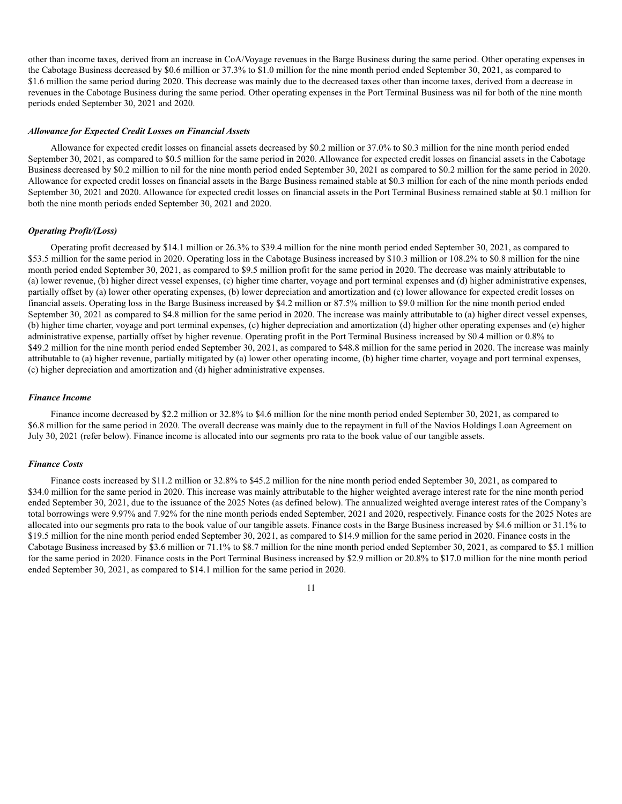other than income taxes, derived from an increase in CoA/Voyage revenues in the Barge Business during the same period. Other operating expenses in the Cabotage Business decreased by \$0.6 million or 37.3% to \$1.0 million for the nine month period ended September 30, 2021, as compared to \$1.6 million the same period during 2020. This decrease was mainly due to the decreased taxes other than income taxes, derived from a decrease in revenues in the Cabotage Business during the same period. Other operating expenses in the Port Terminal Business was nil for both of the nine month periods ended September 30, 2021 and 2020.

#### *Allowance for Expected Credit Losses on Financial Assets*

Allowance for expected credit losses on financial assets decreased by \$0.2 million or 37.0% to \$0.3 million for the nine month period ended September 30, 2021, as compared to \$0.5 million for the same period in 2020. Allowance for expected credit losses on financial assets in the Cabotage Business decreased by \$0.2 million to nil for the nine month period ended September 30, 2021 as compared to \$0.2 million for the same period in 2020. Allowance for expected credit losses on financial assets in the Barge Business remained stable at \$0.3 million for each of the nine month periods ended September 30, 2021 and 2020. Allowance for expected credit losses on financial assets in the Port Terminal Business remained stable at \$0.1 million for both the nine month periods ended September 30, 2021 and 2020.

#### *Operating Profit/(Loss)*

Operating profit decreased by \$14.1 million or 26.3% to \$39.4 million for the nine month period ended September 30, 2021, as compared to \$53.5 million for the same period in 2020. Operating loss in the Cabotage Business increased by \$10.3 million or 108.2% to \$0.8 million for the nine month period ended September 30, 2021, as compared to \$9.5 million profit for the same period in 2020. The decrease was mainly attributable to (a) lower revenue, (b) higher direct vessel expenses, (c) higher time charter, voyage and port terminal expenses and (d) higher administrative expenses, partially offset by (a) lower other operating expenses, (b) lower depreciation and amortization and (c) lower allowance for expected credit losses on financial assets. Operating loss in the Barge Business increased by \$4.2 million or 87.5% million to \$9.0 million for the nine month period ended September 30, 2021 as compared to \$4.8 million for the same period in 2020. The increase was mainly attributable to (a) higher direct vessel expenses, (b) higher time charter, voyage and port terminal expenses, (c) higher depreciation and amortization (d) higher other operating expenses and (e) higher administrative expense, partially offset by higher revenue. Operating profit in the Port Terminal Business increased by \$0.4 million or 0.8% to \$49.2 million for the nine month period ended September 30, 2021, as compared to \$48.8 million for the same period in 2020. The increase was mainly attributable to (a) higher revenue, partially mitigated by (a) lower other operating income, (b) higher time charter, voyage and port terminal expenses, (c) higher depreciation and amortization and (d) higher administrative expenses.

#### *Finance Income*

Finance income decreased by \$2.2 million or 32.8% to \$4.6 million for the nine month period ended September 30, 2021, as compared to \$6.8 million for the same period in 2020. The overall decrease was mainly due to the repayment in full of the Navios Holdings Loan Agreement on July 30, 2021 (refer below). Finance income is allocated into our segments pro rata to the book value of our tangible assets.

#### *Finance Costs*

Finance costs increased by \$11.2 million or 32.8% to \$45.2 million for the nine month period ended September 30, 2021, as compared to \$34.0 million for the same period in 2020. This increase was mainly attributable to the higher weighted average interest rate for the nine month period ended September 30, 2021, due to the issuance of the 2025 Notes (as defined below). The annualized weighted average interest rates of the Company's total borrowings were 9.97% and 7.92% for the nine month periods ended September, 2021 and 2020, respectively. Finance costs for the 2025 Notes are allocated into our segments pro rata to the book value of our tangible assets. Finance costs in the Barge Business increased by \$4.6 million or 31.1% to \$19.5 million for the nine month period ended September 30, 2021, as compared to \$14.9 million for the same period in 2020. Finance costs in the Cabotage Business increased by \$3.6 million or 71.1% to \$8.7 million for the nine month period ended September 30, 2021, as compared to \$5.1 million for the same period in 2020. Finance costs in the Port Terminal Business increased by \$2.9 million or 20.8% to \$17.0 million for the nine month period ended September 30, 2021, as compared to \$14.1 million for the same period in 2020.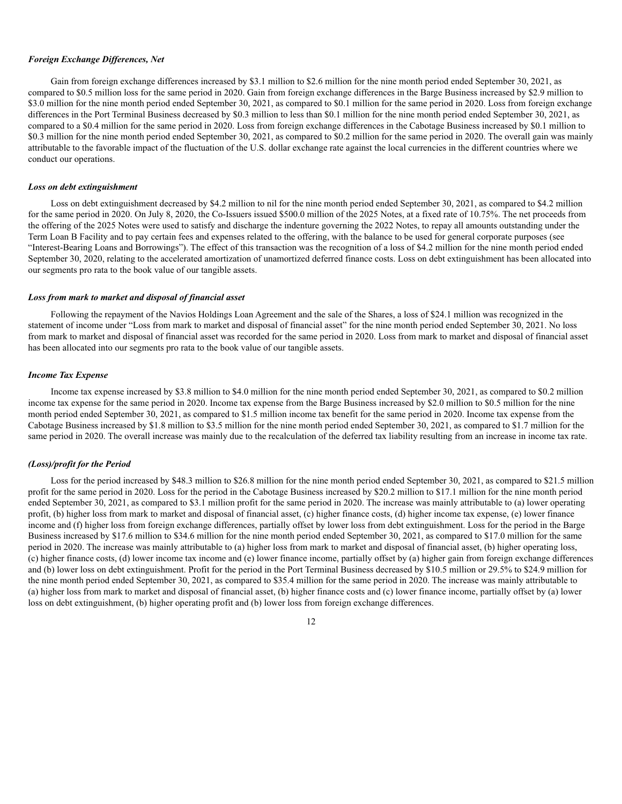#### *Foreign Exchange Differences, Net*

Gain from foreign exchange differences increased by \$3.1 million to \$2.6 million for the nine month period ended September 30, 2021, as compared to \$0.5 million loss for the same period in 2020. Gain from foreign exchange differences in the Barge Business increased by \$2.9 million to \$3.0 million for the nine month period ended September 30, 2021, as compared to \$0.1 million for the same period in 2020. Loss from foreign exchange differences in the Port Terminal Business decreased by \$0.3 million to less than \$0.1 million for the nine month period ended September 30, 2021, as compared to a \$0.4 million for the same period in 2020. Loss from foreign exchange differences in the Cabotage Business increased by \$0.1 million to \$0.3 million for the nine month period ended September 30, 2021, as compared to \$0.2 million for the same period in 2020. The overall gain was mainly attributable to the favorable impact of the fluctuation of the U.S. dollar exchange rate against the local currencies in the different countries where we conduct our operations.

#### *Loss on debt extinguishment*

Loss on debt extinguishment decreased by \$4.2 million to nil for the nine month period ended September 30, 2021, as compared to \$4.2 million for the same period in 2020. On July 8, 2020, the Co-Issuers issued \$500.0 million of the 2025 Notes, at a fixed rate of 10.75%. The net proceeds from the offering of the 2025 Notes were used to satisfy and discharge the indenture governing the 2022 Notes, to repay all amounts outstanding under the Term Loan B Facility and to pay certain fees and expenses related to the offering, with the balance to be used for general corporate purposes (see "Interest-Bearing Loans and Borrowings"). The effect of this transaction was the recognition of a loss of \$4.2 million for the nine month period ended September 30, 2020, relating to the accelerated amortization of unamortized deferred finance costs. Loss on debt extinguishment has been allocated into our segments pro rata to the book value of our tangible assets.

#### *Loss from mark to market and disposal of financial asset*

Following the repayment of the Navios Holdings Loan Agreement and the sale of the Shares, a loss of \$24.1 million was recognized in the statement of income under "Loss from mark to market and disposal of financial asset" for the nine month period ended September 30, 2021. No loss from mark to market and disposal of financial asset was recorded for the same period in 2020. Loss from mark to market and disposal of financial asset has been allocated into our segments pro rata to the book value of our tangible assets.

#### *Income Tax Expense*

Income tax expense increased by \$3.8 million to \$4.0 million for the nine month period ended September 30, 2021, as compared to \$0.2 million income tax expense for the same period in 2020. Income tax expense from the Barge Business increased by \$2.0 million to \$0.5 million for the nine month period ended September 30, 2021, as compared to \$1.5 million income tax benefit for the same period in 2020. Income tax expense from the Cabotage Business increased by \$1.8 million to \$3.5 million for the nine month period ended September 30, 2021, as compared to \$1.7 million for the same period in 2020. The overall increase was mainly due to the recalculation of the deferred tax liability resulting from an increase in income tax rate.

#### *(Loss)/profit for the Period*

Loss for the period increased by \$48.3 million to \$26.8 million for the nine month period ended September 30, 2021, as compared to \$21.5 million profit for the same period in 2020. Loss for the period in the Cabotage Business increased by \$20.2 million to \$17.1 million for the nine month period ended September 30, 2021, as compared to \$3.1 million profit for the same period in 2020. The increase was mainly attributable to (a) lower operating profit, (b) higher loss from mark to market and disposal of financial asset, (c) higher finance costs, (d) higher income tax expense, (e) lower finance income and (f) higher loss from foreign exchange differences, partially offset by lower loss from debt extinguishment. Loss for the period in the Barge Business increased by \$17.6 million to \$34.6 million for the nine month period ended September 30, 2021, as compared to \$17.0 million for the same period in 2020. The increase was mainly attributable to (a) higher loss from mark to market and disposal of financial asset, (b) higher operating loss, (c) higher finance costs, (d) lower income tax income and (e) lower finance income, partially offset by (a) higher gain from foreign exchange differences and (b) lower loss on debt extinguishment. Profit for the period in the Port Terminal Business decreased by \$10.5 million or 29.5% to \$24.9 million for the nine month period ended September 30, 2021, as compared to \$35.4 million for the same period in 2020. The increase was mainly attributable to (a) higher loss from mark to market and disposal of financial asset, (b) higher finance costs and (c) lower finance income, partially offset by (a) lower loss on debt extinguishment, (b) higher operating profit and (b) lower loss from foreign exchange differences.

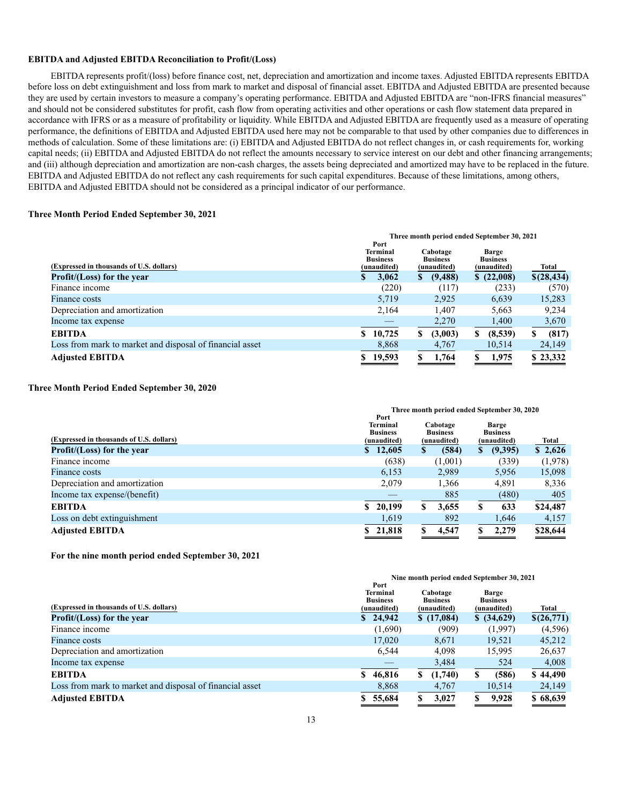#### **EBITDA and Adjusted EBITDA Reconciliation to Profit/(Loss)**

EBITDA represents profit/(loss) before finance cost, net, depreciation and amortization and income taxes. Adjusted EBITDA represents EBITDA before loss on debt extinguishment and loss from mark to market and disposal of financial asset. EBITDA and Adjusted EBITDA are presented because they are used by certain investors to measure a company's operating performance. EBITDA and Adjusted EBITDA are "non-IFRS financial measures" and should not be considered substitutes for profit, cash flow from operating activities and other operations or cash flow statement data prepared in accordance with IFRS or as a measure of profitability or liquidity. While EBITDA and Adjusted EBITDA are frequently used as a measure of operating performance, the definitions of EBITDA and Adjusted EBITDA used here may not be comparable to that used by other companies due to differences in methods of calculation. Some of these limitations are: (i) EBITDA and Adjusted EBITDA do not reflect changes in, or cash requirements for, working capital needs; (ii) EBITDA and Adjusted EBITDA do not reflect the amounts necessary to service interest on our debt and other financing arrangements; and (iii) although depreciation and amortization are non-cash charges, the assets being depreciated and amortized may have to be replaced in the future. EBITDA and Adjusted EBITDA do not reflect any cash requirements for such capital expenditures. Because of these limitations, among others, EBITDA and Adjusted EBITDA should not be considered as a principal indicator of our performance.

#### **Three Month Period Ended September 30, 2021**

|                                                          |                                                           |        |    | Three month period ended September 30, 2021 |   |                                                |   |             |
|----------------------------------------------------------|-----------------------------------------------------------|--------|----|---------------------------------------------|---|------------------------------------------------|---|-------------|
| (Expressed in thousands of U.S. dollars)                 | Port<br><b>Terminal</b><br><b>Business</b><br>(unaudited) |        |    | Cabotage<br><b>Business</b><br>(unaudited)  |   | <b>Barge</b><br><b>Business</b><br>(unaudited) |   | Total       |
| Profit/(Loss) for the year                               |                                                           | 3,062  | S. | (9, 488)                                    |   | \$(22,008)                                     |   | \$(28, 434) |
| Finance income                                           |                                                           | (220)  |    | (117)                                       |   | (233)                                          |   | (570)       |
| Finance costs                                            |                                                           | 5.719  |    | 2.925                                       |   | 6,639                                          |   | 15,283      |
| Depreciation and amortization                            |                                                           | 2.164  |    | 1.407                                       |   | 5,663                                          |   | 9,234       |
| Income tax expense                                       |                                                           |        |    | 2,270                                       |   | 1,400                                          |   | 3,670       |
| <b>EBITDA</b>                                            |                                                           | 10,725 | S  | (3,003)                                     | S | (8,539)                                        | S | (817)       |
| Loss from mark to market and disposal of financial asset |                                                           | 8,868  |    | 4,767                                       |   | 10,514                                         |   | 24,149      |
| <b>Adjusted EBITDA</b>                                   |                                                           | 19,593 |    | 1.764                                       |   | 1,975                                          |   | \$23,332    |

#### **Three Month Period Ended September 30, 2020**

|                                          | Three month period ended September 30, 2020               |   |                                            |    |                                                |          |  |  |  |
|------------------------------------------|-----------------------------------------------------------|---|--------------------------------------------|----|------------------------------------------------|----------|--|--|--|
| (Expressed in thousands of U.S. dollars) | Port<br><b>Terminal</b><br><b>Business</b><br>(unaudited) |   | Cabotage<br><b>Business</b><br>(unaudited) |    | <b>Barge</b><br><b>Business</b><br>(unaudited) | Total    |  |  |  |
| Profit/(Loss) for the year               | \$12,605                                                  | S | (584)                                      | S. | (9,395)                                        | \$2,626  |  |  |  |
| Finance income                           | (638)                                                     |   | (1,001)                                    |    | (339)                                          | (1,978)  |  |  |  |
| Finance costs                            | 6,153                                                     |   | 2,989                                      |    | 5,956                                          | 15,098   |  |  |  |
| Depreciation and amortization            | 2.079                                                     |   | 1,366                                      |    | 4,891                                          | 8,336    |  |  |  |
| Income tax expense/(benefit)             |                                                           |   | 885                                        |    | (480)                                          | 405      |  |  |  |
| <b>EBITDA</b>                            | \$20,199                                                  |   | 3,655                                      | \$ | 633                                            | \$24,487 |  |  |  |
| Loss on debt extinguishment              | 1,619                                                     |   | 892                                        |    | 1,646                                          | 4,157    |  |  |  |
| <b>Adjusted EBITDA</b>                   | \$21,818                                                  |   | 4,547                                      |    | 2.279                                          | \$28,644 |  |  |  |

**For the nine month period ended September 30, 2021**

|                                                          |                                                           | Nine month period ended September 30, 2021 |                                                |            |
|----------------------------------------------------------|-----------------------------------------------------------|--------------------------------------------|------------------------------------------------|------------|
| (Expressed in thousands of U.S. dollars)                 | Port<br><b>Terminal</b><br><b>Business</b><br>(unaudited) | Cabotage<br><b>Business</b><br>(unaudited) | <b>Barge</b><br><b>Business</b><br>(unaudited) | Total      |
| Profit/(Loss) for the year                               | \$24,942                                                  | \$(17,084)                                 | \$ (34,629)                                    | \$(26,771) |
| Finance income                                           | (1,690)                                                   | (909)                                      | (1,997)                                        | (4, 596)   |
| <b>Finance costs</b>                                     | 17.020                                                    | 8.671                                      | 19.521                                         | 45,212     |
| Depreciation and amortization                            | 6.544                                                     | 4.098                                      | 15,995                                         | 26,637     |
| Income tax expense                                       |                                                           | 3,484                                      | 524                                            | 4,008      |
| <b>EBITDA</b>                                            | 46,816<br>S.                                              | (1,740)<br>S.                              | (586)                                          | \$44,490   |
| Loss from mark to market and disposal of financial asset | 8,868                                                     | 4,767                                      | 10,514                                         | 24,149     |
| <b>Adjusted EBITDA</b>                                   | 55,684                                                    | 3,027                                      | 9,928                                          | \$68,639   |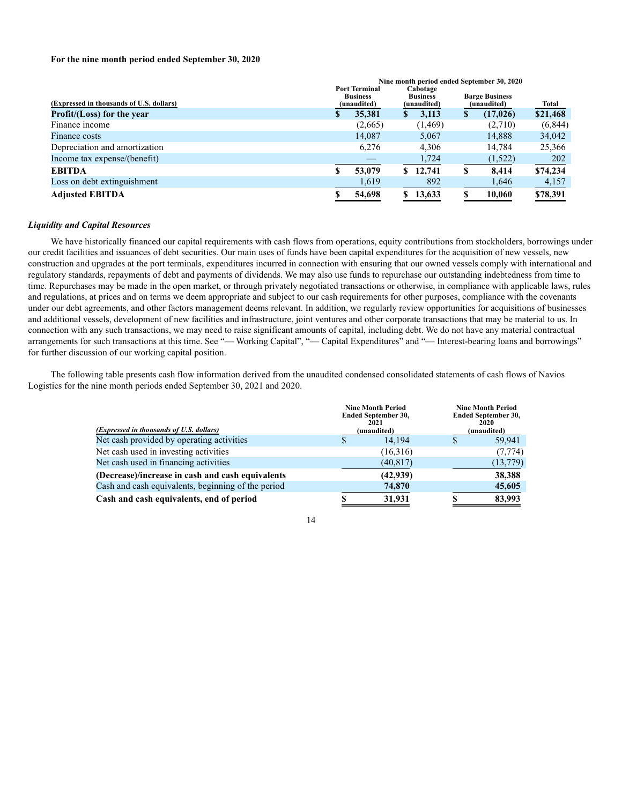#### **For the nine month period ended September 30, 2020**

|                                          |   |                                                                                                      |    |          |    | Nine month period ended September 30, 2020 |          |
|------------------------------------------|---|------------------------------------------------------------------------------------------------------|----|----------|----|--------------------------------------------|----------|
| (Expressed in thousands of U.S. dollars) |   | <b>Port Terminal</b><br>Cabotage<br><b>Business</b><br><b>Business</b><br>(unaudited)<br>(unaudited) |    |          |    | <b>Barge Business</b><br>(unaudited)       | Total    |
| Profit/(Loss) for the year               |   | 35,381                                                                                               | S. | 3,113    | S. | (17, 026)                                  | \$21,468 |
| Finance income                           |   | (2,665)                                                                                              |    | (1,469)  |    | (2,710)                                    | (6,844)  |
| Finance costs                            |   | 14.087                                                                                               |    | 5.067    |    | 14,888                                     | 34,042   |
| Depreciation and amortization            |   | 6,276                                                                                                |    | 4,306    |    | 14.784                                     | 25,366   |
| Income tax expense/(benefit)             |   |                                                                                                      |    | 1,724    |    | (1,522)                                    | 202      |
| <b>EBITDA</b>                            | ъ | 53,079                                                                                               |    | \$12,741 | S  | 8,414                                      | \$74,234 |
| Loss on debt extinguishment              |   | 1,619                                                                                                |    | 892      |    | 1,646                                      | 4,157    |
| <b>Adjusted EBITDA</b>                   |   | 54,698                                                                                               |    | \$13,633 |    | 10.060                                     | \$78,391 |

#### *Liquidity and Capital Resources*

We have historically financed our capital requirements with cash flows from operations, equity contributions from stockholders, borrowings under our credit facilities and issuances of debt securities. Our main uses of funds have been capital expenditures for the acquisition of new vessels, new construction and upgrades at the port terminals, expenditures incurred in connection with ensuring that our owned vessels comply with international and regulatory standards, repayments of debt and payments of dividends. We may also use funds to repurchase our outstanding indebtedness from time to time. Repurchases may be made in the open market, or through privately negotiated transactions or otherwise, in compliance with applicable laws, rules and regulations, at prices and on terms we deem appropriate and subject to our cash requirements for other purposes, compliance with the covenants under our debt agreements, and other factors management deems relevant. In addition, we regularly review opportunities for acquisitions of businesses and additional vessels, development of new facilities and infrastructure, joint ventures and other corporate transactions that may be material to us. In connection with any such transactions, we may need to raise significant amounts of capital, including debt. We do not have any material contractual arrangements for such transactions at this time. See "— Working Capital", "— Capital Expenditures" and "— Interest-bearing loans and borrowings" for further discussion of our working capital position.

The following table presents cash flow information derived from the unaudited condensed consolidated statements of cash flows of Navios Logistics for the nine month periods ended September 30, 2021 and 2020.

| (Expressed in thousands of U.S. dollars)           | <b>Nine Month Period</b><br><b>Ended September 30.</b><br>2021<br>(unaudited) |           |   | <b>Nine Month Period</b><br><b>Ended September 30,</b><br>2020<br>(unaudited) |
|----------------------------------------------------|-------------------------------------------------------------------------------|-----------|---|-------------------------------------------------------------------------------|
| Net cash provided by operating activities          |                                                                               | 14.194    | S | 59.941                                                                        |
| Net cash used in investing activities              |                                                                               | (16,316)  |   | (7, 774)                                                                      |
| Net cash used in financing activities              |                                                                               | (40, 817) |   | (13, 779)                                                                     |
| (Decrease)/increase in cash and cash equivalents   |                                                                               | (42,939)  |   | 38,388                                                                        |
| Cash and cash equivalents, beginning of the period |                                                                               | 74,870    |   | 45,605                                                                        |
| Cash and cash equivalents, end of period           |                                                                               | 31,931    |   | 83.993                                                                        |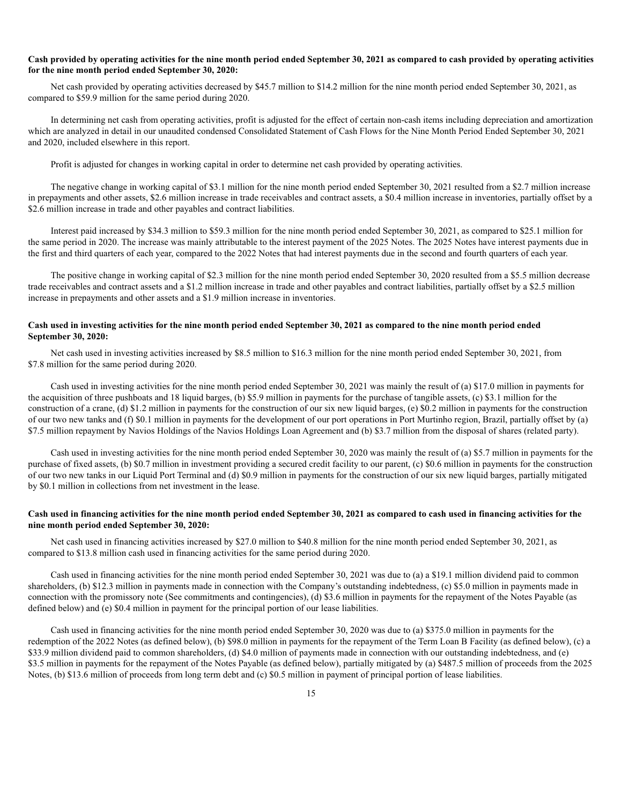#### **Cash provided by operating activities for the nine month period ended September 30, 2021 as compared to cash provided by operating activities for the nine month period ended September 30, 2020:**

Net cash provided by operating activities decreased by \$45.7 million to \$14.2 million for the nine month period ended September 30, 2021, as compared to \$59.9 million for the same period during 2020.

In determining net cash from operating activities, profit is adjusted for the effect of certain non-cash items including depreciation and amortization which are analyzed in detail in our unaudited condensed Consolidated Statement of Cash Flows for the Nine Month Period Ended September 30, 2021 and 2020, included elsewhere in this report.

Profit is adjusted for changes in working capital in order to determine net cash provided by operating activities.

The negative change in working capital of \$3.1 million for the nine month period ended September 30, 2021 resulted from a \$2.7 million increase in prepayments and other assets, \$2.6 million increase in trade receivables and contract assets, a \$0.4 million increase in inventories, partially offset by a \$2.6 million increase in trade and other payables and contract liabilities.

Interest paid increased by \$34.3 million to \$59.3 million for the nine month period ended September 30, 2021, as compared to \$25.1 million for the same period in 2020. The increase was mainly attributable to the interest payment of the 2025 Notes. The 2025 Notes have interest payments due in the first and third quarters of each year, compared to the 2022 Notes that had interest payments due in the second and fourth quarters of each year.

The positive change in working capital of \$2.3 million for the nine month period ended September 30, 2020 resulted from a \$5.5 million decrease trade receivables and contract assets and a \$1.2 million increase in trade and other payables and contract liabilities, partially offset by a \$2.5 million increase in prepayments and other assets and a \$1.9 million increase in inventories.

# **Cash used in investing activities for the nine month period ended September 30, 2021 as compared to the nine month period ended September 30, 2020:**

Net cash used in investing activities increased by \$8.5 million to \$16.3 million for the nine month period ended September 30, 2021, from \$7.8 million for the same period during 2020.

Cash used in investing activities for the nine month period ended September 30, 2021 was mainly the result of (a) \$17.0 million in payments for the acquisition of three pushboats and 18 liquid barges, (b) \$5.9 million in payments for the purchase of tangible assets, (c) \$3.1 million for the construction of a crane, (d) \$1.2 million in payments for the construction of our six new liquid barges, (e) \$0.2 million in payments for the construction of our two new tanks and (f) \$0.1 million in payments for the development of our port operations in Port Murtinho region, Brazil, partially offset by (a) \$7.5 million repayment by Navios Holdings of the Navios Holdings Loan Agreement and (b) \$3.7 million from the disposal of shares (related party).

Cash used in investing activities for the nine month period ended September 30, 2020 was mainly the result of (a) \$5.7 million in payments for the purchase of fixed assets, (b) \$0.7 million in investment providing a secured credit facility to our parent, (c) \$0.6 million in payments for the construction of our two new tanks in our Liquid Port Terminal and (d) \$0.9 million in payments for the construction of our six new liquid barges, partially mitigated by \$0.1 million in collections from net investment in the lease.

# **Cash used in financing activities for the nine month period ended September 30, 2021 as compared to cash used in financing activities for the nine month period ended September 30, 2020:**

Net cash used in financing activities increased by \$27.0 million to \$40.8 million for the nine month period ended September 30, 2021, as compared to \$13.8 million cash used in financing activities for the same period during 2020.

Cash used in financing activities for the nine month period ended September 30, 2021 was due to (a) a \$19.1 million dividend paid to common shareholders, (b) \$12.3 million in payments made in connection with the Company's outstanding indebtedness, (c) \$5.0 million in payments made in connection with the promissory note (See commitments and contingencies), (d) \$3.6 million in payments for the repayment of the Notes Payable (as defined below) and (e) \$0.4 million in payment for the principal portion of our lease liabilities.

Cash used in financing activities for the nine month period ended September 30, 2020 was due to (a) \$375.0 million in payments for the redemption of the 2022 Notes (as defined below), (b) \$98.0 million in payments for the repayment of the Term Loan B Facility (as defined below), (c) a \$33.9 million dividend paid to common shareholders, (d) \$4.0 million of payments made in connection with our outstanding indebtedness, and (e) \$3.5 million in payments for the repayment of the Notes Payable (as defined below), partially mitigated by (a) \$487.5 million of proceeds from the 2025 Notes, (b) \$13.6 million of proceeds from long term debt and (c) \$0.5 million in payment of principal portion of lease liabilities.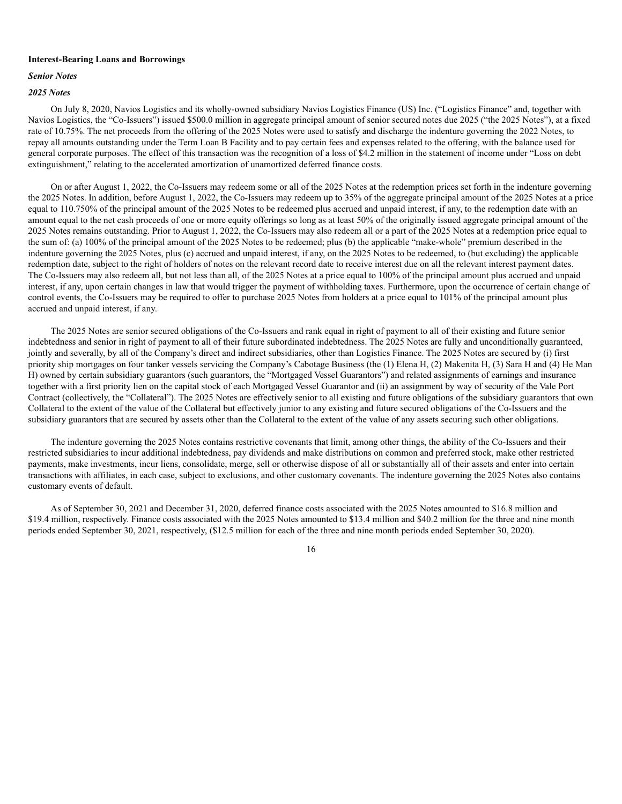#### **Interest-Bearing Loans and Borrowings**

# *Senior Notes*

# *2025 Notes*

On July 8, 2020, Navios Logistics and its wholly-owned subsidiary Navios Logistics Finance (US) Inc. ("Logistics Finance" and, together with Navios Logistics, the "Co-Issuers") issued \$500.0 million in aggregate principal amount of senior secured notes due 2025 ("the 2025 Notes"), at a fixed rate of 10.75%. The net proceeds from the offering of the 2025 Notes were used to satisfy and discharge the indenture governing the 2022 Notes, to repay all amounts outstanding under the Term Loan B Facility and to pay certain fees and expenses related to the offering, with the balance used for general corporate purposes. The effect of this transaction was the recognition of a loss of \$4.2 million in the statement of income under "Loss on debt extinguishment," relating to the accelerated amortization of unamortized deferred finance costs.

On or after August 1, 2022, the Co-Issuers may redeem some or all of the 2025 Notes at the redemption prices set forth in the indenture governing the 2025 Notes. In addition, before August 1, 2022, the Co-Issuers may redeem up to 35% of the aggregate principal amount of the 2025 Notes at a price equal to 110.750% of the principal amount of the 2025 Notes to be redeemed plus accrued and unpaid interest, if any, to the redemption date with an amount equal to the net cash proceeds of one or more equity offerings so long as at least 50% of the originally issued aggregate principal amount of the 2025 Notes remains outstanding. Prior to August 1, 2022, the Co-Issuers may also redeem all or a part of the 2025 Notes at a redemption price equal to the sum of: (a) 100% of the principal amount of the 2025 Notes to be redeemed; plus (b) the applicable "make-whole" premium described in the indenture governing the 2025 Notes, plus (c) accrued and unpaid interest, if any, on the 2025 Notes to be redeemed, to (but excluding) the applicable redemption date, subject to the right of holders of notes on the relevant record date to receive interest due on all the relevant interest payment dates. The Co-Issuers may also redeem all, but not less than all, of the 2025 Notes at a price equal to 100% of the principal amount plus accrued and unpaid interest, if any, upon certain changes in law that would trigger the payment of withholding taxes. Furthermore, upon the occurrence of certain change of control events, the Co-Issuers may be required to offer to purchase 2025 Notes from holders at a price equal to 101% of the principal amount plus accrued and unpaid interest, if any.

The 2025 Notes are senior secured obligations of the Co-Issuers and rank equal in right of payment to all of their existing and future senior indebtedness and senior in right of payment to all of their future subordinated indebtedness. The 2025 Notes are fully and unconditionally guaranteed, jointly and severally, by all of the Company's direct and indirect subsidiaries, other than Logistics Finance. The 2025 Notes are secured by (i) first priority ship mortgages on four tanker vessels servicing the Company's Cabotage Business (the (1) Elena H, (2) Makenita H, (3) Sara H and (4) He Man H) owned by certain subsidiary guarantors (such guarantors, the "Mortgaged Vessel Guarantors") and related assignments of earnings and insurance together with a first priority lien on the capital stock of each Mortgaged Vessel Guarantor and (ii) an assignment by way of security of the Vale Port Contract (collectively, the "Collateral"). The 2025 Notes are effectively senior to all existing and future obligations of the subsidiary guarantors that own Collateral to the extent of the value of the Collateral but effectively junior to any existing and future secured obligations of the Co-Issuers and the subsidiary guarantors that are secured by assets other than the Collateral to the extent of the value of any assets securing such other obligations.

The indenture governing the 2025 Notes contains restrictive covenants that limit, among other things, the ability of the Co-Issuers and their restricted subsidiaries to incur additional indebtedness, pay dividends and make distributions on common and preferred stock, make other restricted payments, make investments, incur liens, consolidate, merge, sell or otherwise dispose of all or substantially all of their assets and enter into certain transactions with affiliates, in each case, subject to exclusions, and other customary covenants. The indenture governing the 2025 Notes also contains customary events of default.

As of September 30, 2021 and December 31, 2020, deferred finance costs associated with the 2025 Notes amounted to \$16.8 million and \$19.4 million, respectively. Finance costs associated with the 2025 Notes amounted to \$13.4 million and \$40.2 million for the three and nine month periods ended September 30, 2021, respectively, (\$12.5 million for each of the three and nine month periods ended September 30, 2020).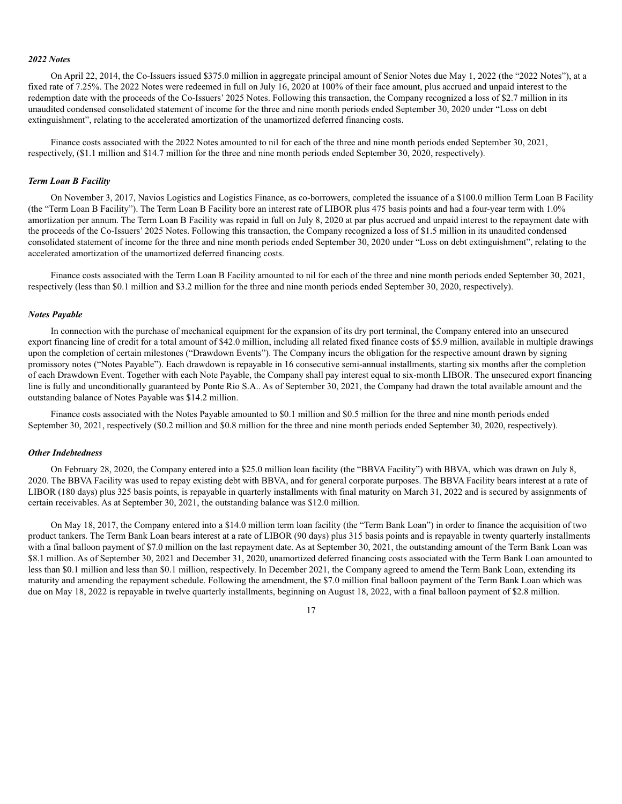#### *2022 Notes*

On April 22, 2014, the Co-Issuers issued \$375.0 million in aggregate principal amount of Senior Notes due May 1, 2022 (the "2022 Notes"), at a fixed rate of 7.25%. The 2022 Notes were redeemed in full on July 16, 2020 at 100% of their face amount, plus accrued and unpaid interest to the redemption date with the proceeds of the Co-Issuers' 2025 Notes. Following this transaction, the Company recognized a loss of \$2.7 million in its unaudited condensed consolidated statement of income for the three and nine month periods ended September 30, 2020 under "Loss on debt extinguishment", relating to the accelerated amortization of the unamortized deferred financing costs.

Finance costs associated with the 2022 Notes amounted to nil for each of the three and nine month periods ended September 30, 2021, respectively, (\$1.1 million and \$14.7 million for the three and nine month periods ended September 30, 2020, respectively).

#### *Term Loan B Facility*

On November 3, 2017, Navios Logistics and Logistics Finance, as co-borrowers, completed the issuance of a \$100.0 million Term Loan B Facility (the "Term Loan B Facility"). The Term Loan B Facility bore an interest rate of LIBOR plus 475 basis points and had a four-year term with 1.0% amortization per annum. The Term Loan B Facility was repaid in full on July 8, 2020 at par plus accrued and unpaid interest to the repayment date with the proceeds of the Co-Issuers' 2025 Notes. Following this transaction, the Company recognized a loss of \$1.5 million in its unaudited condensed consolidated statement of income for the three and nine month periods ended September 30, 2020 under "Loss on debt extinguishment", relating to the accelerated amortization of the unamortized deferred financing costs.

Finance costs associated with the Term Loan B Facility amounted to nil for each of the three and nine month periods ended September 30, 2021, respectively (less than \$0.1 million and \$3.2 million for the three and nine month periods ended September 30, 2020, respectively).

#### *Notes Payable*

In connection with the purchase of mechanical equipment for the expansion of its dry port terminal, the Company entered into an unsecured export financing line of credit for a total amount of \$42.0 million, including all related fixed finance costs of \$5.9 million, available in multiple drawings upon the completion of certain milestones ("Drawdown Events"). The Company incurs the obligation for the respective amount drawn by signing promissory notes ("Notes Payable"). Each drawdown is repayable in 16 consecutive semi-annual installments, starting six months after the completion of each Drawdown Event. Together with each Note Payable, the Company shall pay interest equal to six-month LIBOR. The unsecured export financing line is fully and unconditionally guaranteed by Ponte Rio S.A.. As of September 30, 2021, the Company had drawn the total available amount and the outstanding balance of Notes Payable was \$14.2 million.

Finance costs associated with the Notes Payable amounted to \$0.1 million and \$0.5 million for the three and nine month periods ended September 30, 2021, respectively (\$0.2 million and \$0.8 million for the three and nine month periods ended September 30, 2020, respectively).

#### *Other Indebtedness*

On February 28, 2020, the Company entered into a \$25.0 million loan facility (the "BBVA Facility") with BBVA, which was drawn on July 8, 2020. The BBVA Facility was used to repay existing debt with BBVA, and for general corporate purposes. The BBVA Facility bears interest at a rate of LIBOR (180 days) plus 325 basis points, is repayable in quarterly installments with final maturity on March 31, 2022 and is secured by assignments of certain receivables. As at September 30, 2021, the outstanding balance was \$12.0 million.

On May 18, 2017, the Company entered into a \$14.0 million term loan facility (the "Term Bank Loan") in order to finance the acquisition of two product tankers. The Term Bank Loan bears interest at a rate of LIBOR (90 days) plus 315 basis points and is repayable in twenty quarterly installments with a final balloon payment of \$7.0 million on the last repayment date. As at September 30, 2021, the outstanding amount of the Term Bank Loan was \$8.1 million. As of September 30, 2021 and December 31, 2020, unamortized deferred financing costs associated with the Term Bank Loan amounted to less than \$0.1 million and less than \$0.1 million, respectively. In December 2021, the Company agreed to amend the Term Bank Loan, extending its maturity and amending the repayment schedule. Following the amendment, the \$7.0 million final balloon payment of the Term Bank Loan which was due on May 18, 2022 is repayable in twelve quarterly installments, beginning on August 18, 2022, with a final balloon payment of \$2.8 million.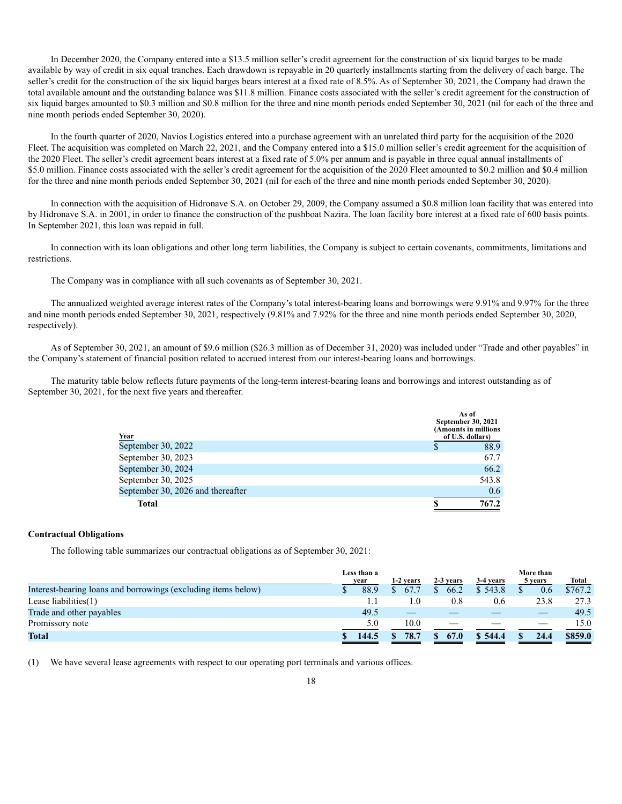In December 2020, the Company entered into a \$13.5 million seller's credit agreement for the construction of six liquid barges to be made available by way of credit in six equal tranches. Each drawdown is repayable in 20 quarterly installments starting from the delivery of each barge. The seller's credit for the construction of the six liquid barges bears interest at a fixed rate of 8.5%. As of September 30, 2021, the Company had drawn the total available amount and the outstanding balance was \$11.8 million. Finance costs associated with the seller's credit agreement for the construction of six liquid barges amounted to \$0.3 million and \$0.8 million for the three and nine month periods ended September 30, 2021 (nil for each of the three and nine month periods ended September 30, 2020).

In the fourth quarter of 2020, Navios Logistics entered into a purchase agreement with an unrelated third party for the acquisition of the 2020 Fleet. The acquisition was completed on March 22, 2021, and the Company entered into a \$15.0 million seller's credit agreement for the acquisition of the 2020 Fleet. The seller's credit agreement bears interest at a fixed rate of 5.0% per annum and is payable in three equal annual installments of \$5.0 million. Finance costs associated with the seller's credit agreement for the acquisition of the 2020 Fleet amounted to \$0.2 million and \$0.4 million for the three and nine month periods ended September 30, 2021 (nil for each of the three and nine month periods ended September 30, 2020).

In connection with the acquisition of Hidronave S.A. on October 29, 2009, the Company assumed a \$0.8 million loan facility that was entered into by Hidronave S.A. in 2001, in order to finance the construction of the pushboat Nazira. The loan facility bore interest at a fixed rate of 600 basis points. In September 2021, this loan was repaid in full.

In connection with its loan obligations and other long term liabilities, the Company is subject to certain covenants, commitments, limitations and restrictions.

The Company was in compliance with all such covenants as of September 30, 2021.

The annualized weighted average interest rates of the Company's total interest-bearing loans and borrowings were 9.91% and 9.97% for the three and nine month periods ended September 30, 2021, respectively (9.81% and 7.92% for the three and nine month periods ended September 30, 2020, respectively).

As of September 30, 2021, an amount of \$9.6 million (\$26.3 million as of December 31, 2020) was included under "Trade and other payables" in the Company's statement of financial position related to accrued interest from our interest-bearing loans and borrowings.

The maturity table below reflects future payments of the long-term interest-bearing loans and borrowings and interest outstanding as of September 30, 2021, for the next five years and thereafter.

| Year                              | As of<br>September 30, 2021<br>(Amounts in millions<br>of U.S. dollars) |
|-----------------------------------|-------------------------------------------------------------------------|
| September 30, 2022                | 88.9                                                                    |
| September 30, 2023                | 67.7                                                                    |
| September 30, 2024                | 66.2                                                                    |
| September 30, 2025                | 543.8                                                                   |
| September 30, 2026 and thereafter | 0.6                                                                     |
| <b>Total</b>                      | 767.2                                                                   |

#### **Contractual Obligations**

The following table summarizes our contractual obligations as of September 30, 2021:

|                                                               | Less than a<br>year | 1-2 years |     | 2-3 years | 3-4 years | More than<br>5 years     | <b>Total</b> |
|---------------------------------------------------------------|---------------------|-----------|-----|-----------|-----------|--------------------------|--------------|
| Interest-bearing loans and borrowings (excluding items below) | 88.9                | 67.7      |     | 66.2      | \$543.8   | 0.6                      | \$767.2      |
| Lease liabilities $(1)$                                       | 1.1                 |           | 1.0 | 0.8       | 0.6       | 23.8                     | 27.3         |
| Trade and other payables                                      | 49.5                |           |     |           |           |                          | 49.5         |
| Promissory note                                               | 5.0                 | 10.0      |     | __        |           | $\overline{\phantom{a}}$ | 15.0         |
| <b>Total</b>                                                  | 144.5               | 78.7      |     | 67.0      | 544.4     | 24.4                     | \$859.0      |

(1) We have several lease agreements with respect to our operating port terminals and various offices.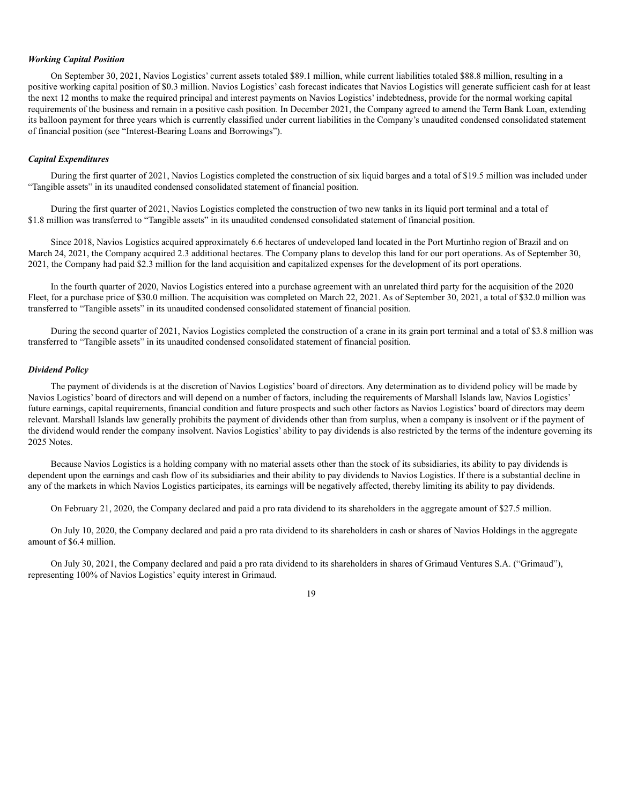#### *Working Capital Position*

On September 30, 2021, Navios Logistics' current assets totaled \$89.1 million, while current liabilities totaled \$88.8 million, resulting in a positive working capital position of \$0.3 million. Navios Logistics' cash forecast indicates that Navios Logistics will generate sufficient cash for at least the next 12 months to make the required principal and interest payments on Navios Logistics' indebtedness, provide for the normal working capital requirements of the business and remain in a positive cash position. In December 2021, the Company agreed to amend the Term Bank Loan, extending its balloon payment for three years which is currently classified under current liabilities in the Company's unaudited condensed consolidated statement of financial position (see "Interest-Bearing Loans and Borrowings").

#### *Capital Expenditures*

During the first quarter of 2021, Navios Logistics completed the construction of six liquid barges and a total of \$19.5 million was included under "Tangible assets" in its unaudited condensed consolidated statement of financial position.

During the first quarter of 2021, Navios Logistics completed the construction of two new tanks in its liquid port terminal and a total of \$1.8 million was transferred to "Tangible assets" in its unaudited condensed consolidated statement of financial position.

Since 2018, Navios Logistics acquired approximately 6.6 hectares of undeveloped land located in the Port Murtinho region of Brazil and on March 24, 2021, the Company acquired 2.3 additional hectares. The Company plans to develop this land for our port operations. As of September 30, 2021, the Company had paid \$2.3 million for the land acquisition and capitalized expenses for the development of its port operations.

In the fourth quarter of 2020, Navios Logistics entered into a purchase agreement with an unrelated third party for the acquisition of the 2020 Fleet, for a purchase price of \$30.0 million. The acquisition was completed on March 22, 2021. As of September 30, 2021, a total of \$32.0 million was transferred to "Tangible assets" in its unaudited condensed consolidated statement of financial position.

During the second quarter of 2021, Navios Logistics completed the construction of a crane in its grain port terminal and a total of \$3.8 million was transferred to "Tangible assets" in its unaudited condensed consolidated statement of financial position.

#### *Dividend Policy*

The payment of dividends is at the discretion of Navios Logistics' board of directors. Any determination as to dividend policy will be made by Navios Logistics' board of directors and will depend on a number of factors, including the requirements of Marshall Islands law, Navios Logistics' future earnings, capital requirements, financial condition and future prospects and such other factors as Navios Logistics' board of directors may deem relevant. Marshall Islands law generally prohibits the payment of dividends other than from surplus, when a company is insolvent or if the payment of the dividend would render the company insolvent. Navios Logistics' ability to pay dividends is also restricted by the terms of the indenture governing its 2025 Notes.

Because Navios Logistics is a holding company with no material assets other than the stock of its subsidiaries, its ability to pay dividends is dependent upon the earnings and cash flow of its subsidiaries and their ability to pay dividends to Navios Logistics. If there is a substantial decline in any of the markets in which Navios Logistics participates, its earnings will be negatively affected, thereby limiting its ability to pay dividends.

On February 21, 2020, the Company declared and paid a pro rata dividend to its shareholders in the aggregate amount of \$27.5 million.

On July 10, 2020, the Company declared and paid a pro rata dividend to its shareholders in cash or shares of Navios Holdings in the aggregate amount of \$6.4 million.

On July 30, 2021, the Company declared and paid a pro rata dividend to its shareholders in shares of Grimaud Ventures S.A. ("Grimaud"), representing 100% of Navios Logistics' equity interest in Grimaud.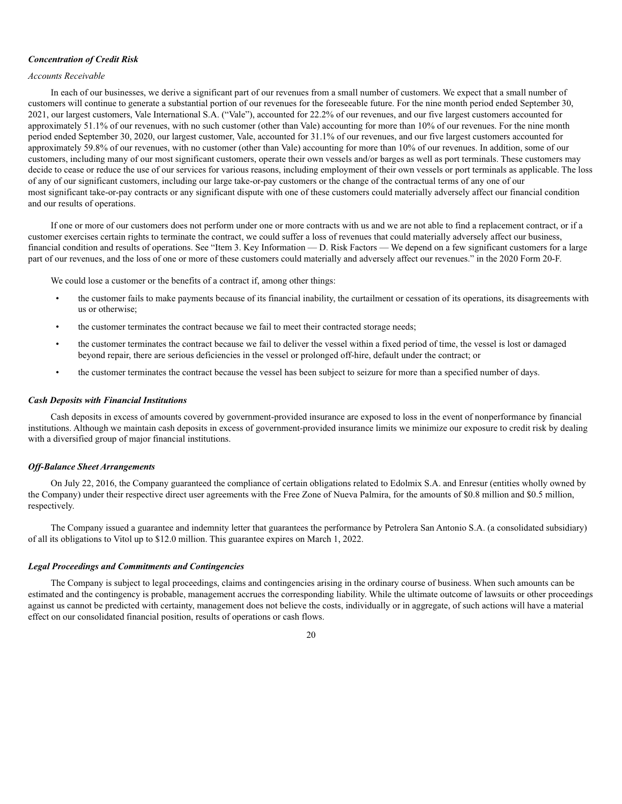#### *Concentration of Credit Risk*

# *Accounts Receivable*

In each of our businesses, we derive a significant part of our revenues from a small number of customers. We expect that a small number of customers will continue to generate a substantial portion of our revenues for the foreseeable future. For the nine month period ended September 30, 2021, our largest customers, Vale International S.A. ("Vale"), accounted for 22.2% of our revenues, and our five largest customers accounted for approximately 51.1% of our revenues, with no such customer (other than Vale) accounting for more than 10% of our revenues. For the nine month period ended September 30, 2020, our largest customer, Vale, accounted for 31.1% of our revenues, and our five largest customers accounted for approximately 59.8% of our revenues, with no customer (other than Vale) accounting for more than 10% of our revenues. In addition, some of our customers, including many of our most significant customers, operate their own vessels and/or barges as well as port terminals. These customers may decide to cease or reduce the use of our services for various reasons, including employment of their own vessels or port terminals as applicable. The loss of any of our significant customers, including our large take-or-pay customers or the change of the contractual terms of any one of our most significant take-or-pay contracts or any significant dispute with one of these customers could materially adversely affect our financial condition and our results of operations.

If one or more of our customers does not perform under one or more contracts with us and we are not able to find a replacement contract, or if a customer exercises certain rights to terminate the contract, we could suffer a loss of revenues that could materially adversely affect our business, financial condition and results of operations. See "Item 3. Key Information — D. Risk Factors — We depend on a few significant customers for a large part of our revenues, and the loss of one or more of these customers could materially and adversely affect our revenues." in the 2020 Form 20-F.

We could lose a customer or the benefits of a contract if, among other things:

- the customer fails to make payments because of its financial inability, the curtailment or cessation of its operations, its disagreements with us or otherwise;
- the customer terminates the contract because we fail to meet their contracted storage needs;
- the customer terminates the contract because we fail to deliver the vessel within a fixed period of time, the vessel is lost or damaged beyond repair, there are serious deficiencies in the vessel or prolonged off-hire, default under the contract; or
- the customer terminates the contract because the vessel has been subject to seizure for more than a specified number of days.

#### *Cash Deposits with Financial Institutions*

Cash deposits in excess of amounts covered by government-provided insurance are exposed to loss in the event of nonperformance by financial institutions. Although we maintain cash deposits in excess of government-provided insurance limits we minimize our exposure to credit risk by dealing with a diversified group of major financial institutions.

#### *Off-Balance Sheet Arrangements*

On July 22, 2016, the Company guaranteed the compliance of certain obligations related to Edolmix S.A. and Enresur (entities wholly owned by the Company) under their respective direct user agreements with the Free Zone of Nueva Palmira, for the amounts of \$0.8 million and \$0.5 million, respectively.

The Company issued a guarantee and indemnity letter that guarantees the performance by Petrolera San Antonio S.A. (a consolidated subsidiary) of all its obligations to Vitol up to \$12.0 million. This guarantee expires on March 1, 2022.

#### *Legal Proceedings and Commitments and Contingencies*

The Company is subject to legal proceedings, claims and contingencies arising in the ordinary course of business. When such amounts can be estimated and the contingency is probable, management accrues the corresponding liability. While the ultimate outcome of lawsuits or other proceedings against us cannot be predicted with certainty, management does not believe the costs, individually or in aggregate, of such actions will have a material effect on our consolidated financial position, results of operations or cash flows.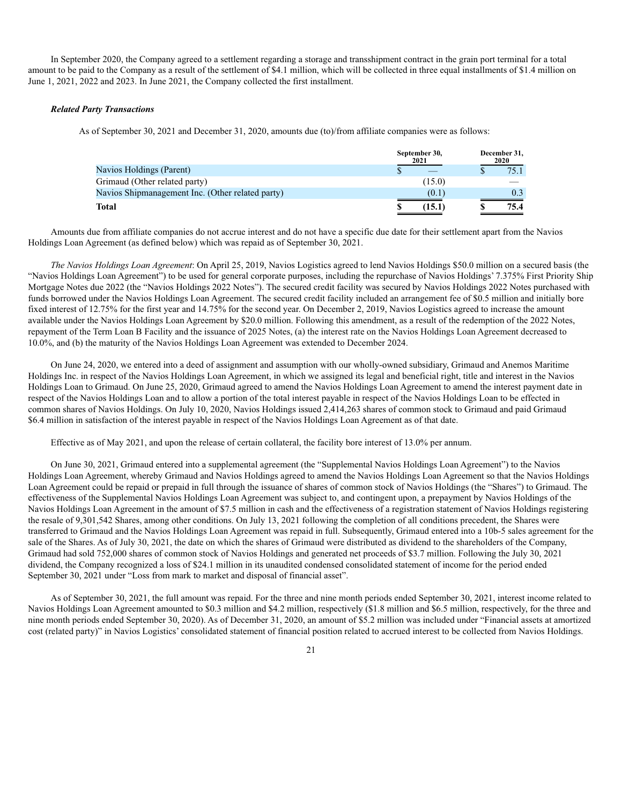In September 2020, the Company agreed to a settlement regarding a storage and transshipment contract in the grain port terminal for a total amount to be paid to the Company as a result of the settlement of \$4.1 million, which will be collected in three equal installments of \$1.4 million on June 1, 2021, 2022 and 2023. In June 2021, the Company collected the first installment.

#### *Related Party Transactions*

As of September 30, 2021 and December 31, 2020, amounts due (to)/from affiliate companies were as follows:

|                                                  | September 30,<br>2021 | December 31,<br>2020 |
|--------------------------------------------------|-----------------------|----------------------|
| Navios Holdings (Parent)                         |                       | 75.1                 |
| Grimaud (Other related party)                    | (15.0)                |                      |
| Navios Shipmanagement Inc. (Other related party) | (0.1)                 |                      |
| Total                                            | (15.1)                | 75.4                 |

Amounts due from affiliate companies do not accrue interest and do not have a specific due date for their settlement apart from the Navios Holdings Loan Agreement (as defined below) which was repaid as of September 30, 2021.

*The Navios Holdings Loan Agreement*: On April 25, 2019, Navios Logistics agreed to lend Navios Holdings \$50.0 million on a secured basis (the "Navios Holdings Loan Agreement") to be used for general corporate purposes, including the repurchase of Navios Holdings' 7.375% First Priority Ship Mortgage Notes due 2022 (the "Navios Holdings 2022 Notes"). The secured credit facility was secured by Navios Holdings 2022 Notes purchased with funds borrowed under the Navios Holdings Loan Agreement. The secured credit facility included an arrangement fee of \$0.5 million and initially bore fixed interest of 12.75% for the first year and 14.75% for the second year. On December 2, 2019, Navios Logistics agreed to increase the amount available under the Navios Holdings Loan Agreement by \$20.0 million. Following this amendment, as a result of the redemption of the 2022 Notes, repayment of the Term Loan B Facility and the issuance of 2025 Notes, (a) the interest rate on the Navios Holdings Loan Agreement decreased to 10.0%, and (b) the maturity of the Navios Holdings Loan Agreement was extended to December 2024.

On June 24, 2020, we entered into a deed of assignment and assumption with our wholly-owned subsidiary, Grimaud and Anemos Maritime Holdings Inc. in respect of the Navios Holdings Loan Agreement, in which we assigned its legal and beneficial right, title and interest in the Navios Holdings Loan to Grimaud. On June 25, 2020, Grimaud agreed to amend the Navios Holdings Loan Agreement to amend the interest payment date in respect of the Navios Holdings Loan and to allow a portion of the total interest payable in respect of the Navios Holdings Loan to be effected in common shares of Navios Holdings. On July 10, 2020, Navios Holdings issued 2,414,263 shares of common stock to Grimaud and paid Grimaud \$6.4 million in satisfaction of the interest payable in respect of the Navios Holdings Loan Agreement as of that date.

Effective as of May 2021, and upon the release of certain collateral, the facility bore interest of 13.0% per annum.

On June 30, 2021, Grimaud entered into a supplemental agreement (the "Supplemental Navios Holdings Loan Agreement") to the Navios Holdings Loan Agreement, whereby Grimaud and Navios Holdings agreed to amend the Navios Holdings Loan Agreement so that the Navios Holdings Loan Agreement could be repaid or prepaid in full through the issuance of shares of common stock of Navios Holdings (the "Shares") to Grimaud. The effectiveness of the Supplemental Navios Holdings Loan Agreement was subject to, and contingent upon, a prepayment by Navios Holdings of the Navios Holdings Loan Agreement in the amount of \$7.5 million in cash and the effectiveness of a registration statement of Navios Holdings registering the resale of 9,301,542 Shares, among other conditions. On July 13, 2021 following the completion of all conditions precedent, the Shares were transferred to Grimaud and the Navios Holdings Loan Agreement was repaid in full. Subsequently, Grimaud entered into a 10b-5 sales agreement for the sale of the Shares. As of July 30, 2021, the date on which the shares of Grimaud were distributed as dividend to the shareholders of the Company, Grimaud had sold 752,000 shares of common stock of Navios Holdings and generated net proceeds of \$3.7 million. Following the July 30, 2021 dividend, the Company recognized a loss of \$24.1 million in its unaudited condensed consolidated statement of income for the period ended September 30, 2021 under "Loss from mark to market and disposal of financial asset".

As of September 30, 2021, the full amount was repaid. For the three and nine month periods ended September 30, 2021, interest income related to Navios Holdings Loan Agreement amounted to \$0.3 million and \$4.2 million, respectively (\$1.8 million and \$6.5 million, respectively, for the three and nine month periods ended September 30, 2020). As of December 31, 2020, an amount of \$5.2 million was included under "Financial assets at amortized cost (related party)" in Navios Logistics' consolidated statement of financial position related to accrued interest to be collected from Navios Holdings.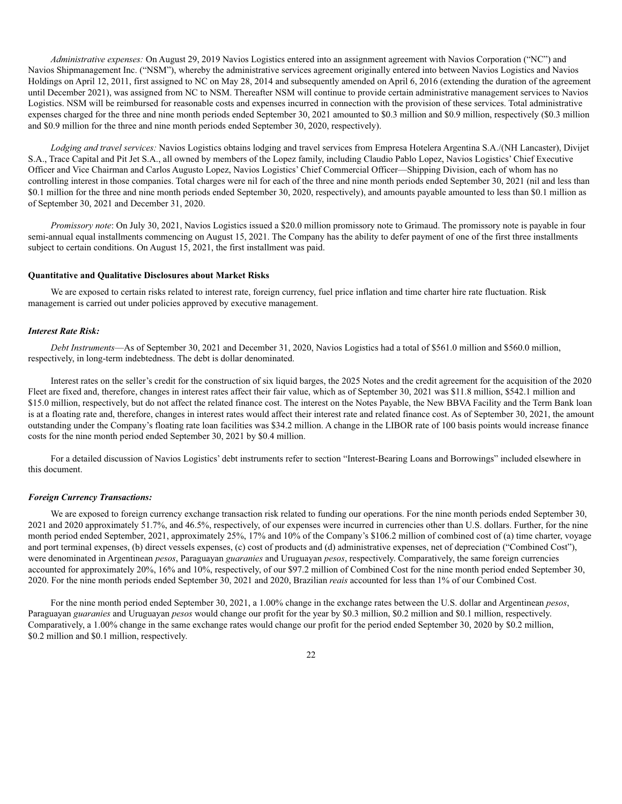*Administrative expenses:* On August 29, 2019 Navios Logistics entered into an assignment agreement with Navios Corporation ("NC") and Navios Shipmanagement Inc. ("NSM"), whereby the administrative services agreement originally entered into between Navios Logistics and Navios Holdings on April 12, 2011, first assigned to NC on May 28, 2014 and subsequently amended on April 6, 2016 (extending the duration of the agreement until December 2021), was assigned from NC to NSM. Thereafter NSM will continue to provide certain administrative management services to Navios Logistics. NSM will be reimbursed for reasonable costs and expenses incurred in connection with the provision of these services. Total administrative expenses charged for the three and nine month periods ended September 30, 2021 amounted to \$0.3 million and \$0.9 million, respectively (\$0.3 million and \$0.9 million for the three and nine month periods ended September 30, 2020, respectively).

*Lodging and travel services:* Navios Logistics obtains lodging and travel services from Empresa Hotelera Argentina S.A./(NH Lancaster), Divijet S.A., Trace Capital and Pit Jet S.A., all owned by members of the Lopez family, including Claudio Pablo Lopez, Navios Logistics' Chief Executive Officer and Vice Chairman and Carlos Augusto Lopez, Navios Logistics' Chief Commercial Officer—Shipping Division, each of whom has no controlling interest in those companies. Total charges were nil for each of the three and nine month periods ended September 30, 2021 (nil and less than \$0.1 million for the three and nine month periods ended September 30, 2020, respectively), and amounts payable amounted to less than \$0.1 million as of September 30, 2021 and December 31, 2020.

*Promissory note*: On July 30, 2021, Navios Logistics issued a \$20.0 million promissory note to Grimaud. The promissory note is payable in four semi-annual equal installments commencing on August 15, 2021. The Company has the ability to defer payment of one of the first three installments subject to certain conditions. On August 15, 2021, the first installment was paid.

#### **Quantitative and Qualitative Disclosures about Market Risks**

We are exposed to certain risks related to interest rate, foreign currency, fuel price inflation and time charter hire rate fluctuation. Risk management is carried out under policies approved by executive management.

#### *Interest Rate Risk:*

*Debt Instruments*—As of September 30, 2021 and December 31, 2020, Navios Logistics had a total of \$561.0 million and \$560.0 million, respectively, in long-term indebtedness. The debt is dollar denominated.

Interest rates on the seller's credit for the construction of six liquid barges, the 2025 Notes and the credit agreement for the acquisition of the 2020 Fleet are fixed and, therefore, changes in interest rates affect their fair value, which as of September 30, 2021 was \$11.8 million, \$542.1 million and \$15.0 million, respectively, but do not affect the related finance cost. The interest on the Notes Payable, the New BBVA Facility and the Term Bank loan is at a floating rate and, therefore, changes in interest rates would affect their interest rate and related finance cost. As of September 30, 2021, the amount outstanding under the Company's floating rate loan facilities was \$34.2 million. A change in the LIBOR rate of 100 basis points would increase finance costs for the nine month period ended September 30, 2021 by \$0.4 million.

For a detailed discussion of Navios Logistics' debt instruments refer to section "Interest-Bearing Loans and Borrowings" included elsewhere in this document.

#### *Foreign Currency Transactions:*

We are exposed to foreign currency exchange transaction risk related to funding our operations. For the nine month periods ended September 30, 2021 and 2020 approximately 51.7%, and 46.5%, respectively, of our expenses were incurred in currencies other than U.S. dollars. Further, for the nine month period ended September, 2021, approximately 25%, 17% and 10% of the Company's \$106.2 million of combined cost of (a) time charter, voyage and port terminal expenses, (b) direct vessels expenses, (c) cost of products and (d) administrative expenses, net of depreciation ("Combined Cost"), were denominated in Argentinean *pesos*, Paraguayan *guaranies* and Uruguayan *pesos*, respectively. Comparatively, the same foreign currencies accounted for approximately 20%, 16% and 10%, respectively, of our \$97.2 million of Combined Cost for the nine month period ended September 30, 2020. For the nine month periods ended September 30, 2021 and 2020, Brazilian *reais* accounted for less than 1% of our Combined Cost.

For the nine month period ended September 30, 2021, a 1.00% change in the exchange rates between the U.S. dollar and Argentinean *pesos*, Paraguayan *guaranies* and Uruguayan *pesos* would change our profit for the year by \$0.3 million, \$0.2 million and \$0.1 million, respectively. Comparatively, a 1.00% change in the same exchange rates would change our profit for the period ended September 30, 2020 by \$0.2 million, \$0.2 million and \$0.1 million, respectively.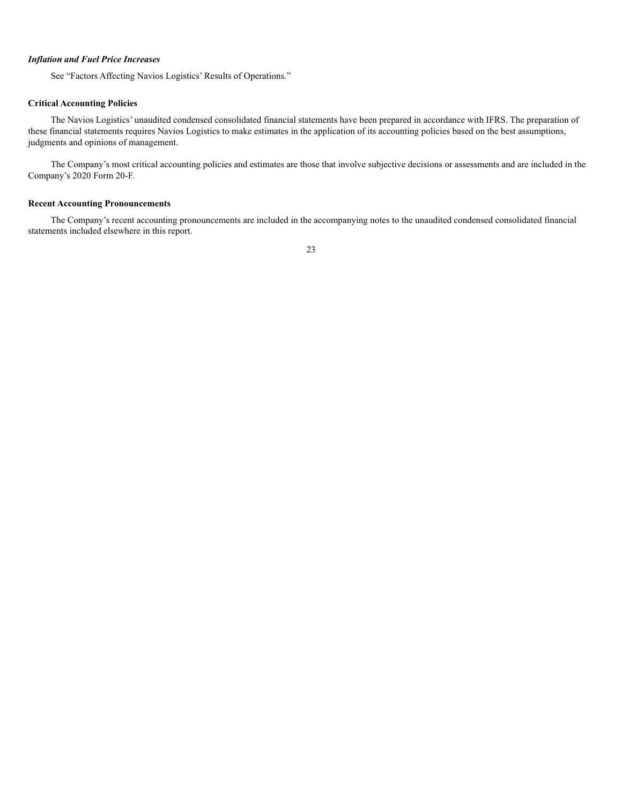#### *Inflation and Fuel Price Increases*

See "Factors Affecting Navios Logistics' Results of Operations."

#### **Critical Accounting Policies**

The Navios Logistics' unaudited condensed consolidated financial statements have been prepared in accordance with IFRS. The preparation of these financial statements requires Navios Logistics to make estimates in the application of its accounting policies based on the best assumptions, judgments and opinions of management.

The Company's most critical accounting policies and estimates are those that involve subjective decisions or assessments and are included in the Company's 2020 Form 20-F.

#### **Recent Accounting Pronouncements**

The Company's recent accounting pronouncements are included in the accompanying notes to the unaudited condensed consolidated financial statements included elsewhere in this report.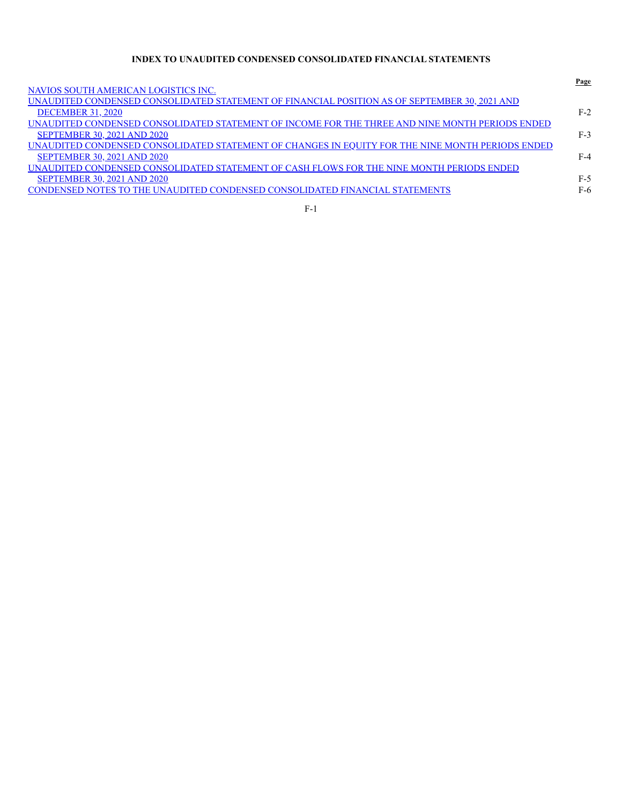# **INDEX TO UNAUDITED CONDENSED CONSOLIDATED FINANCIAL STATEMENTS**

|                                                                                                         | Page  |
|---------------------------------------------------------------------------------------------------------|-------|
| <u>NAVIOS SOUTH AMERICAN LOGISTICS INC.</u>                                                             |       |
| <u>UNAUDITED CONDENSED CONSOLIDATED STATEMENT OF FINANCIAL POSITION AS OF SEPTEMBER 30, 2021 AND</u>    |       |
| <b>DECEMBER 31, 2020</b>                                                                                | $F-2$ |
| UNAUDITED CONDENSED CONSOLIDATED STATEMENT OF INCOME FOR THE THREE AND NINE MONTH PERIODS ENDED         |       |
| <b>SEPTEMBER 30, 2021 AND 2020</b>                                                                      | $F-3$ |
| <u>UNAUDITED CONDENSED CONSOLIDATED STATEMENT OF CHANGES IN EQUITY FOR THE NINE MONTH PERIODS ENDED</u> |       |
| <b>SEPTEMBER 30, 2021 AND 2020</b>                                                                      | $F-4$ |
| UNAUDITED CONDENSED CONSOLIDATED STATEMENT OF CASH FLOWS FOR THE NINE MONTH PERIODS ENDED               |       |
| <b>SEPTEMBER 30, 2021 AND 2020</b>                                                                      | $F-5$ |
| CONDENSED NOTES TO THE UNAUDITED CONDENSED CONSOLIDATED FINANCIAL STATEMENTS                            | $F-6$ |
|                                                                                                         |       |

| ۰<br>٠ |  |
|--------|--|
|        |  |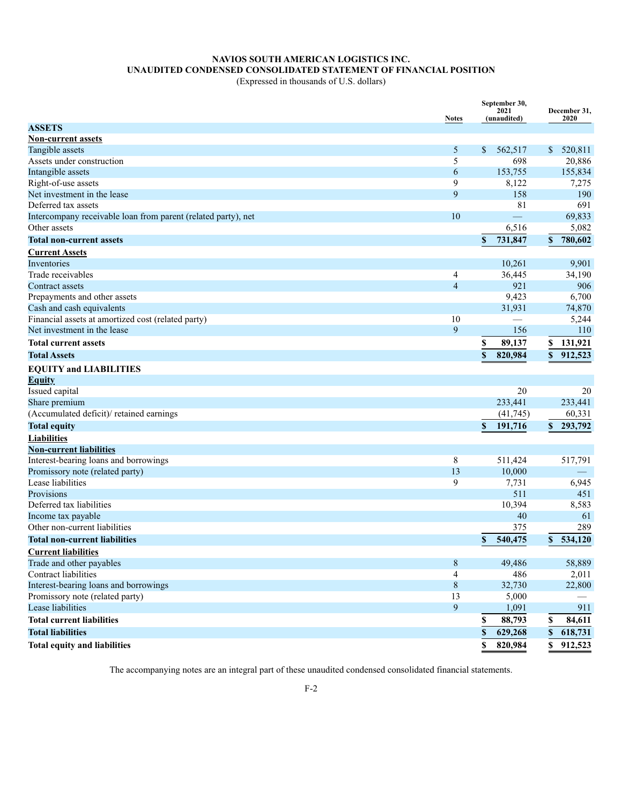# **NAVIOS SOUTH AMERICAN LOGISTICS INC. UNAUDITED CONDENSED CONSOLIDATED STATEMENT OF FINANCIAL POSITION**

(Expressed in thousands of U.S. dollars)

|                                                               | <b>Notes</b>   |    | September 30,<br>2021<br>(unaudited) |              | December 31,<br>2020          |
|---------------------------------------------------------------|----------------|----|--------------------------------------|--------------|-------------------------------|
| <b>ASSETS</b>                                                 |                |    |                                      |              |                               |
| <b>Non-current assets</b>                                     |                |    |                                      |              |                               |
| Tangible assets                                               | 5              | \$ | 562,517                              |              | \$520,811                     |
| Assets under construction                                     | 5              |    | 698                                  |              | 20,886                        |
| Intangible assets                                             | 6              |    | 153,755                              |              | 155,834                       |
| Right-of-use assets                                           | 9              |    | 8,122                                |              | 7,275                         |
| Net investment in the lease                                   | 9              |    | 158                                  |              | 190                           |
| Deferred tax assets                                           |                |    | 81                                   |              | 691                           |
| Intercompany receivable loan from parent (related party), net | 10             |    | $\qquad \qquad$                      |              | 69,833                        |
| Other assets                                                  |                |    | 6,516                                |              | 5,082                         |
| <b>Total non-current assets</b>                               |                | \$ | 731,847                              | \$           | 780,602                       |
| <b>Current Assets</b>                                         |                |    |                                      |              |                               |
| Inventories                                                   |                |    | 10,261                               |              | 9,901                         |
| Trade receivables                                             | 4              |    | 36,445                               |              | 34,190                        |
| Contract assets                                               | $\overline{4}$ |    | 921                                  |              | 906                           |
| Prepayments and other assets                                  |                |    | 9,423                                |              | 6,700                         |
| Cash and cash equivalents                                     |                |    | 31,931                               |              | 74,870                        |
| Financial assets at amortized cost (related party)            | 10             |    |                                      |              | 5,244                         |
| Net investment in the lease                                   | 9              |    | 156                                  |              | 110                           |
| <b>Total current assets</b>                                   |                | \$ | 89,137                               | \$           | 131,921                       |
| <b>Total Assets</b>                                           |                | \$ | 820,984                              | S            | 912,523                       |
| <b>EQUITY and LIABILITIES</b>                                 |                |    |                                      |              |                               |
| <b>Equity</b>                                                 |                |    |                                      |              |                               |
| Issued capital                                                |                |    | 20                                   |              | 20                            |
| Share premium                                                 |                |    | 233,441                              |              | 233,441                       |
| (Accumulated deficit)/retained earnings                       |                |    | (41,745)                             |              | 60,331                        |
| <b>Total equity</b>                                           |                | \$ | 191,716                              |              | \$293,792                     |
| <b>Liabilities</b>                                            |                |    |                                      |              |                               |
| <b>Non-current liabilities</b>                                |                |    |                                      |              |                               |
| Interest-bearing loans and borrowings                         | 8              |    | 511,424                              |              | 517,791                       |
| Promissory note (related party)                               | 13             |    | 10,000                               |              | $\overbrace{\phantom{12333}}$ |
| Lease liabilities                                             | 9              |    | 7,731                                |              | 6,945                         |
| Provisions                                                    |                |    | 511                                  |              | 451                           |
| Deferred tax liabilities                                      |                |    | 10,394                               |              | 8,583                         |
| Income tax payable                                            |                |    | 40                                   |              | 61                            |
| Other non-current liabilities                                 |                |    | 375                                  |              | 289                           |
| <b>Total non-current liabilities</b>                          |                | \$ | 540,475                              |              | \$534.120                     |
| <b>Current liabilities</b>                                    |                |    |                                      |              |                               |
| Trade and other payables                                      | $\,8\,$        |    | 49,486                               |              | 58,889                        |
| Contract liabilities                                          | 4              |    | 486                                  |              | 2,011                         |
| Interest-bearing loans and borrowings                         | $\,8\,$        |    | 32,730                               |              | 22,800                        |
| Promissory note (related party)                               | 13             |    | 5,000                                |              |                               |
| Lease liabilities                                             | 9              |    | 1,091                                |              | 911                           |
| <b>Total current liabilities</b>                              |                | \$ | 88,793                               | \$           | 84,611                        |
| <b>Total liabilities</b>                                      |                | \$ |                                      |              | 618,731                       |
|                                                               |                |    | 629,268                              | \$           |                               |
| <b>Total equity and liabilities</b>                           |                | \$ | 820,984                              | $\mathbf{s}$ | 912,523                       |

The accompanying notes are an integral part of these unaudited condensed consolidated financial statements.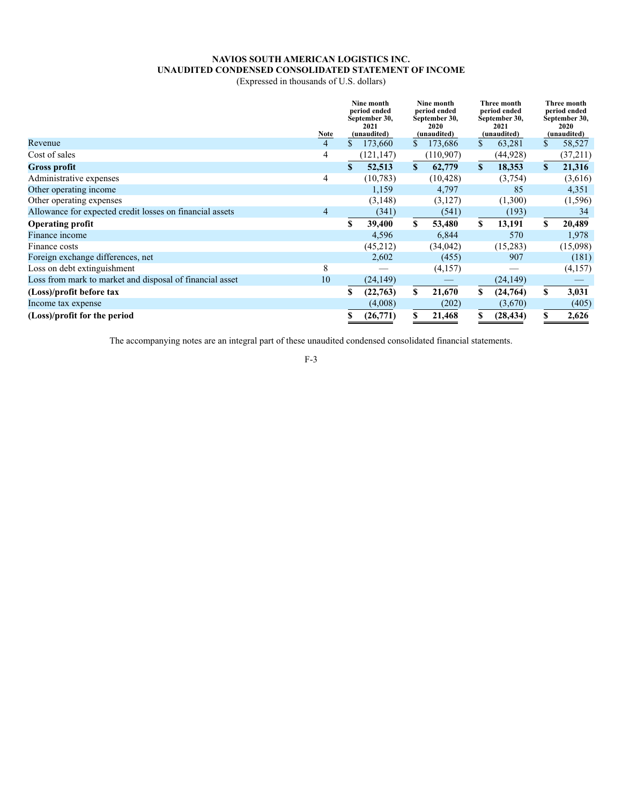# **NAVIOS SOUTH AMERICAN LOGISTICS INC. UNAUDITED CONDENSED CONSOLIDATED STATEMENT OF INCOME**

(Expressed in thousands of U.S. dollars)

|                                                          | Note           | Nine month<br>Nine month<br>period ended<br>period ended<br>September 30,<br>September 30,<br>2021<br>2020<br>(unaudited)<br>(unaudited) |            |    | Three month<br>period ended<br>September 30,<br>2021<br>(unaudited) |    | <b>Three month</b><br>period ended<br>September 30,<br>2020<br>(unaudited) |              |          |
|----------------------------------------------------------|----------------|------------------------------------------------------------------------------------------------------------------------------------------|------------|----|---------------------------------------------------------------------|----|----------------------------------------------------------------------------|--------------|----------|
| Revenue                                                  | $\overline{4}$ | S.                                                                                                                                       | 173,660    | S. | 173,686                                                             | \$ | 63,281                                                                     | \$           | 58,527   |
| Cost of sales                                            | 4              |                                                                                                                                          | (121, 147) |    | (110,907)                                                           |    | (44, 928)                                                                  |              | (37,211) |
| <b>Gross profit</b>                                      |                | \$                                                                                                                                       | 52,513     | S. | 62,779                                                              | S  | 18,353                                                                     | $\mathbf{s}$ | 21,316   |
| Administrative expenses                                  | 4              |                                                                                                                                          | (10, 783)  |    | (10, 428)                                                           |    | (3,754)                                                                    |              | (3,616)  |
| Other operating income                                   |                |                                                                                                                                          | 1,159      |    | 4,797                                                               |    | 85                                                                         |              | 4,351    |
| Other operating expenses                                 |                |                                                                                                                                          | (3,148)    |    | (3,127)                                                             |    | (1,300)                                                                    |              | (1,596)  |
| Allowance for expected credit losses on financial assets | 4              |                                                                                                                                          | (341)      |    | (541)                                                               |    | (193)                                                                      |              | 34       |
| <b>Operating profit</b>                                  |                | S                                                                                                                                        | 39,400     | S. | 53,480                                                              | \$ | 13,191                                                                     | S            | 20,489   |
| Finance income                                           |                |                                                                                                                                          | 4,596      |    | 6,844                                                               |    | 570                                                                        |              | 1,978    |
| Finance costs                                            |                |                                                                                                                                          | (45,212)   |    | (34, 042)                                                           |    | (15,283)                                                                   |              | (15,098) |
| Foreign exchange differences, net                        |                |                                                                                                                                          | 2,602      |    | (455)                                                               |    | 907                                                                        |              | (181)    |
| Loss on debt extinguishment                              | 8              |                                                                                                                                          |            |    | (4,157)                                                             |    |                                                                            |              | (4,157)  |
| Loss from mark to market and disposal of financial asset | 10             |                                                                                                                                          | (24, 149)  |    |                                                                     |    | (24, 149)                                                                  |              |          |
| (Loss)/profit before tax                                 |                | S                                                                                                                                        | (22,763)   | S. | 21,670                                                              | \$ | (24,764)                                                                   | S            | 3,031    |
| Income tax expense                                       |                |                                                                                                                                          | (4,008)    |    | (202)                                                               |    | (3,670)                                                                    |              | (405)    |
| (Loss)/profit for the period                             |                | S                                                                                                                                        | (26, 771)  |    | 21,468                                                              |    | (28, 434)                                                                  | S            | 2,626    |

The accompanying notes are an integral part of these unaudited condensed consolidated financial statements.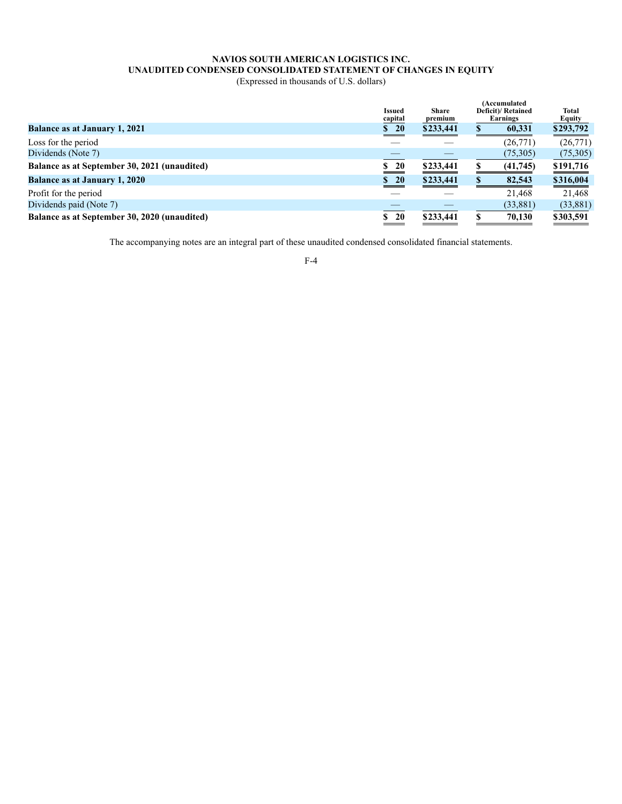# **NAVIOS SOUTH AMERICAN LOGISTICS INC. UNAUDITED CONDENSED CONSOLIDATED STATEMENT OF CHANGES IN EQUITY**

(Expressed in thousands of U.S. dollars)

|                                              | <b>Issued</b><br>capital | <b>Share</b><br>premium |  | (Accumulated<br>Deficit)/Retained<br>Earnings | <b>Total</b><br>Equity |  |
|----------------------------------------------|--------------------------|-------------------------|--|-----------------------------------------------|------------------------|--|
| <b>Balance as at January 1, 2021</b>         | \$20                     | \$233,441               |  | 60,331                                        | \$293,792              |  |
| Loss for the period                          |                          |                         |  | (26,771)                                      | (26,771)               |  |
| Dividends (Note 7)                           |                          |                         |  | (75,305)                                      | (75,305)               |  |
| Balance as at September 30, 2021 (unaudited) | <b>20</b><br>S.          | \$233,441               |  | (41,745)                                      | \$191,716              |  |
| <b>Balance as at January 1, 2020</b>         | \$20                     | \$233,441               |  | 82,543                                        | \$316,004              |  |
| Profit for the period                        |                          |                         |  | 21.468                                        | 21.468                 |  |
| Dividends paid (Note 7)                      |                          |                         |  | (33,881)                                      | (33,881)               |  |
| Balance as at September 30, 2020 (unaudited) | 20<br>\$                 | \$233,441               |  | 70,130                                        | \$303,591              |  |

The accompanying notes are an integral part of these unaudited condensed consolidated financial statements.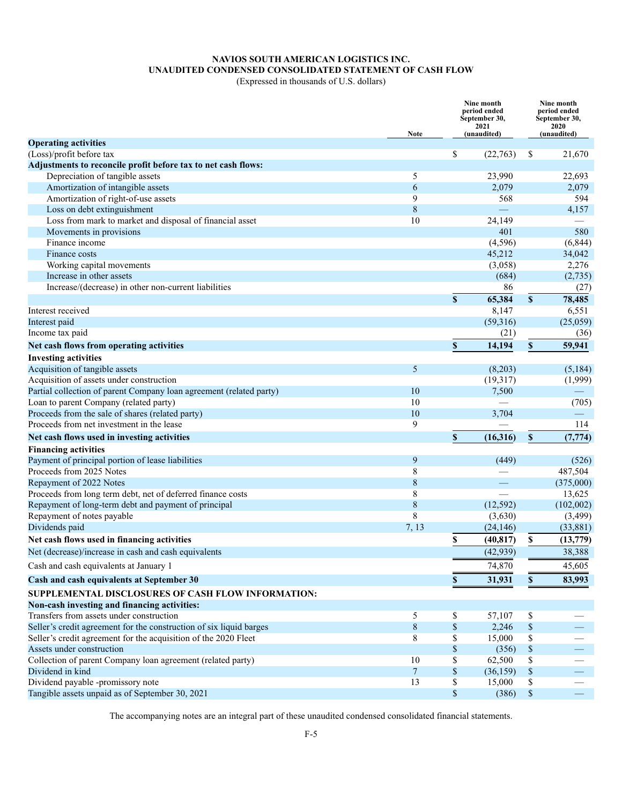# **NAVIOS SOUTH AMERICAN LOGISTICS INC. UNAUDITED CONDENSED CONSOLIDATED STATEMENT OF CASH FLOW**

(Expressed in thousands of U.S. dollars)

|                                                                     | Note           |              | Nine month<br>period ended<br>September 30,<br>2021<br>(unaudited) |                                                                       | Nine month<br>period ended<br>September 30,<br>2020<br>(unaudited) |
|---------------------------------------------------------------------|----------------|--------------|--------------------------------------------------------------------|-----------------------------------------------------------------------|--------------------------------------------------------------------|
| <b>Operating activities</b>                                         |                |              |                                                                    |                                                                       |                                                                    |
| (Loss)/profit before tax                                            |                | \$           | (22, 763)                                                          | \$                                                                    | 21,670                                                             |
| Adjustments to reconcile profit before tax to net cash flows:       |                |              |                                                                    |                                                                       |                                                                    |
| Depreciation of tangible assets                                     | 5              |              | 23,990                                                             |                                                                       | 22,693                                                             |
| Amortization of intangible assets                                   | 6              |              | 2,079                                                              |                                                                       | 2,079                                                              |
| Amortization of right-of-use assets                                 | 9              |              | 568                                                                |                                                                       | 594                                                                |
| Loss on debt extinguishment                                         | 8              |              |                                                                    |                                                                       | 4,157                                                              |
| Loss from mark to market and disposal of financial asset            | 10             |              | 24,149                                                             |                                                                       |                                                                    |
| Movements in provisions                                             |                |              | 401                                                                |                                                                       | 580                                                                |
| Finance income                                                      |                |              | (4, 596)                                                           |                                                                       | (6, 844)                                                           |
| Finance costs                                                       |                |              | 45,212                                                             |                                                                       | 34,042                                                             |
| Working capital movements                                           |                |              | (3,058)                                                            |                                                                       | 2,276                                                              |
| Increase in other assets                                            |                |              | (684)                                                              |                                                                       | (2,735)                                                            |
| Increase/(decrease) in other non-current liabilities                |                |              | 86                                                                 |                                                                       | (27)                                                               |
|                                                                     |                | $\mathbf S$  | 65,384                                                             | $\mathbf S$                                                           | 78,485                                                             |
| Interest received                                                   |                |              | 8,147                                                              |                                                                       | 6,551                                                              |
| Interest paid                                                       |                |              | (59,316)                                                           |                                                                       | (25,059)                                                           |
| Income tax paid                                                     |                |              | (21)                                                               |                                                                       | (36)                                                               |
| Net cash flows from operating activities                            |                | \$           | 14,194                                                             | \$                                                                    | 59,941                                                             |
| <b>Investing activities</b>                                         |                |              |                                                                    |                                                                       |                                                                    |
| Acquisition of tangible assets                                      | 5              |              | (8,203)                                                            |                                                                       | (5, 184)                                                           |
| Acquisition of assets under construction                            |                |              | (19,317)                                                           |                                                                       | (1,999)                                                            |
| Partial collection of parent Company loan agreement (related party) | 10             |              | 7,500                                                              |                                                                       |                                                                    |
| Loan to parent Company (related party)                              | 10             |              |                                                                    |                                                                       | (705)                                                              |
| Proceeds from the sale of shares (related party)                    | 10             |              | 3,704                                                              |                                                                       |                                                                    |
| Proceeds from net investment in the lease                           | 9              |              |                                                                    |                                                                       | 114                                                                |
| Net cash flows used in investing activities                         |                | \$           | (16,316)                                                           | \$                                                                    | (7, 774)                                                           |
| <b>Financing activities</b>                                         |                |              |                                                                    |                                                                       |                                                                    |
| Payment of principal portion of lease liabilities                   | 9              |              | (449)                                                              |                                                                       | (526)                                                              |
| Proceeds from 2025 Notes                                            | 8              |              |                                                                    |                                                                       | 487,504                                                            |
| Repayment of 2022 Notes                                             | 8              |              |                                                                    |                                                                       | (375,000)                                                          |
| Proceeds from long term debt, net of deferred finance costs         | 8              |              |                                                                    |                                                                       | 13,625                                                             |
| Repayment of long-term debt and payment of principal                | 8              |              | (12, 592)                                                          |                                                                       | (102,002)                                                          |
| Repayment of notes payable                                          | 8              |              | (3,630)                                                            |                                                                       | (3,499)                                                            |
| Dividends paid                                                      | 7, 13          |              | (24, 146)                                                          |                                                                       | (33, 881)                                                          |
| Net cash flows used in financing activities                         |                | \$           | (40, 817)                                                          | \$                                                                    | (13,779)                                                           |
| Net (decrease)/increase in cash and cash equivalents                |                |              | (42, 939)                                                          |                                                                       | 38,388                                                             |
|                                                                     |                |              |                                                                    |                                                                       |                                                                    |
| Cash and cash equivalents at January 1                              |                |              | 74,870                                                             |                                                                       | 45,605                                                             |
| Cash and cash equivalents at September 30                           |                | \$           | 31,931                                                             | \$                                                                    | 83,993                                                             |
| SUPPLEMENTAL DISCLOSURES OF CASH FLOW INFORMATION:                  |                |              |                                                                    |                                                                       |                                                                    |
| Non-cash investing and financing activities:                        |                |              |                                                                    |                                                                       |                                                                    |
| Transfers from assets under construction                            | 5              | \$           | 57,107                                                             | \$                                                                    |                                                                    |
| Seller's credit agreement for the construction of six liquid barges | $8\,$          | \$           | 2,246                                                              | $\$$                                                                  |                                                                    |
| Seller's credit agreement for the acquisition of the 2020 Fleet     | 8              | \$           | 15,000                                                             | \$                                                                    |                                                                    |
| Assets under construction                                           |                | \$           | (356)                                                              | $\mathbb{S}% _{t}\left( t\right) \equiv\mathbb{S}_{t}\left( t\right)$ |                                                                    |
| Collection of parent Company loan agreement (related party)         | 10             | \$           | 62,500                                                             | \$                                                                    |                                                                    |
| Dividend in kind                                                    | $\overline{7}$ | $\mathbb{S}$ | (36, 159)                                                          | $\$$                                                                  |                                                                    |
| Dividend payable -promissory note                                   | 13             | \$           | 15,000                                                             | \$                                                                    |                                                                    |
| Tangible assets unpaid as of September 30, 2021                     |                | \$           | (386)                                                              | $\$$                                                                  | $\hspace{0.05cm}$                                                  |

The accompanying notes are an integral part of these unaudited condensed consolidated financial statements.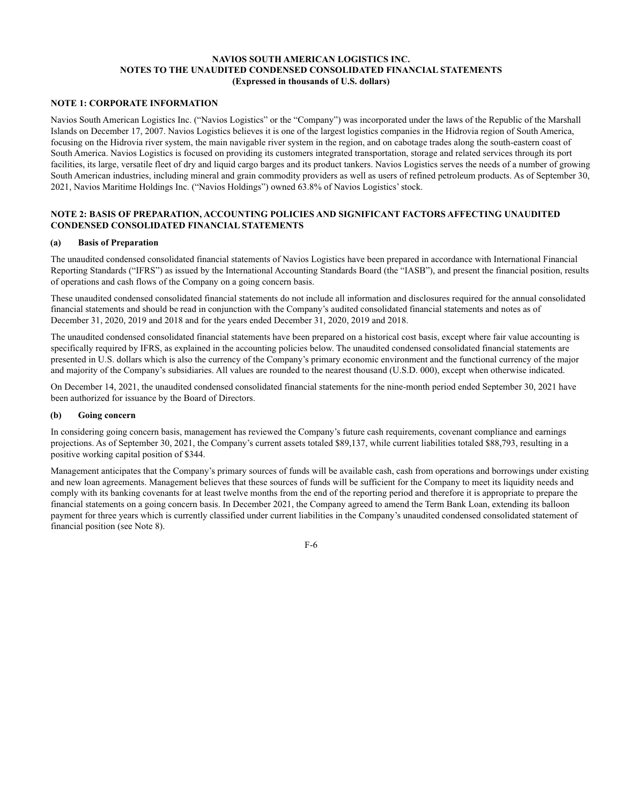# **NOTE 1: CORPORATE INFORMATION**

Navios South American Logistics Inc. ("Navios Logistics" or the "Company") was incorporated under the laws of the Republic of the Marshall Islands on December 17, 2007. Navios Logistics believes it is one of the largest logistics companies in the Hidrovia region of South America, focusing on the Hidrovia river system, the main navigable river system in the region, and on cabotage trades along the south-eastern coast of South America. Navios Logistics is focused on providing its customers integrated transportation, storage and related services through its port facilities, its large, versatile fleet of dry and liquid cargo barges and its product tankers. Navios Logistics serves the needs of a number of growing South American industries, including mineral and grain commodity providers as well as users of refined petroleum products. As of September 30, 2021, Navios Maritime Holdings Inc. ("Navios Holdings") owned 63.8% of Navios Logistics' stock.

# **NOTE 2: BASIS OF PREPARATION, ACCOUNTING POLICIES AND SIGNIFICANT FACTORS AFFECTING UNAUDITED CONDENSED CONSOLIDATED FINANCIAL STATEMENTS**

#### **(a) Basis of Preparation**

The unaudited condensed consolidated financial statements of Navios Logistics have been prepared in accordance with International Financial Reporting Standards ("IFRS") as issued by the International Accounting Standards Board (the "IASB"), and present the financial position, results of operations and cash flows of the Company on a going concern basis.

These unaudited condensed consolidated financial statements do not include all information and disclosures required for the annual consolidated financial statements and should be read in conjunction with the Company's audited consolidated financial statements and notes as of December 31, 2020, 2019 and 2018 and for the years ended December 31, 2020, 2019 and 2018.

The unaudited condensed consolidated financial statements have been prepared on a historical cost basis, except where fair value accounting is specifically required by IFRS, as explained in the accounting policies below. The unaudited condensed consolidated financial statements are presented in U.S. dollars which is also the currency of the Company's primary economic environment and the functional currency of the major and majority of the Company's subsidiaries. All values are rounded to the nearest thousand (U.S.D. 000), except when otherwise indicated.

On December 14, 2021, the unaudited condensed consolidated financial statements for the nine-month period ended September 30, 2021 have been authorized for issuance by the Board of Directors.

# **(b) Going concern**

In considering going concern basis, management has reviewed the Company's future cash requirements, covenant compliance and earnings projections. As of September 30, 2021, the Company's current assets totaled \$89,137, while current liabilities totaled \$88,793, resulting in a positive working capital position of \$344.

Management anticipates that the Company's primary sources of funds will be available cash, cash from operations and borrowings under existing and new loan agreements. Management believes that these sources of funds will be sufficient for the Company to meet its liquidity needs and comply with its banking covenants for at least twelve months from the end of the reporting period and therefore it is appropriate to prepare the financial statements on a going concern basis. In December 2021, the Company agreed to amend the Term Bank Loan, extending its balloon payment for three years which is currently classified under current liabilities in the Company's unaudited condensed consolidated statement of financial position (see Note 8).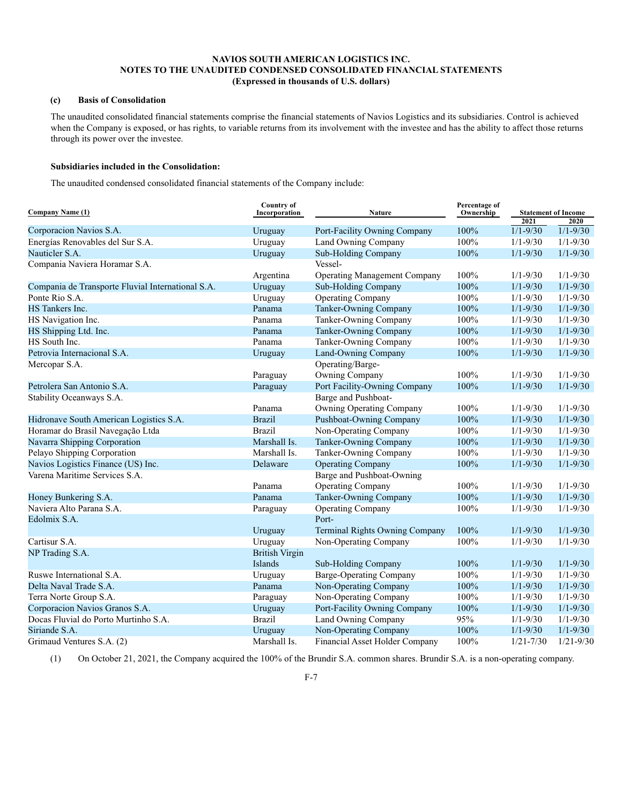# **(c) Basis of Consolidation**

The unaudited consolidated financial statements comprise the financial statements of Navios Logistics and its subsidiaries. Control is achieved when the Company is exposed, or has rights, to variable returns from its involvement with the investee and has the ability to affect those returns through its power over the investee.

# **Subsidiaries included in the Consolidation:**

The unaudited condensed consolidated financial statements of the Company include:

| <b>Company Name (1)</b>                           | <b>Country of</b><br><b>Nature</b> |                                     | Percentage of |               | <b>Statement of Income</b> |  |
|---------------------------------------------------|------------------------------------|-------------------------------------|---------------|---------------|----------------------------|--|
|                                                   | Incorporation                      |                                     | Ownership     | 2021          | 2020                       |  |
| Corporacion Navios S.A.                           | Uruguay                            | Port-Facility Owning Company        | 100%          | $1/1 - 9/30$  | $1/1 - 9/30$               |  |
| Energías Renovables del Sur S.A.                  | Uruguay                            | Land Owning Company                 | 100%          | $1/1 - 9/30$  | $1/1 - 9/30$               |  |
| Nauticler S.A.                                    | Uruguay                            | <b>Sub-Holding Company</b>          | 100%          | $1/1 - 9/30$  | $1/1 - 9/30$               |  |
| Compania Naviera Horamar S.A.                     |                                    | Vessel-                             |               |               |                            |  |
|                                                   | Argentina                          | <b>Operating Management Company</b> | 100%          | $1/1 - 9/30$  | $1/1 - 9/30$               |  |
| Compania de Transporte Fluvial International S.A. | Uruguay                            | <b>Sub-Holding Company</b>          | 100%          | $1/1 - 9/30$  | $1/1 - 9/30$               |  |
| Ponte Rio S.A.                                    | Uruguay                            | <b>Operating Company</b>            | 100%          | $1/1 - 9/30$  | $1/1 - 9/30$               |  |
| HS Tankers Inc.                                   | Panama                             | Tanker-Owning Company               | 100%          | $1/1 - 9/30$  | $1/1 - 9/30$               |  |
| HS Navigation Inc.                                | Panama                             | Tanker-Owning Company               | 100%          | $1/1 - 9/30$  | $1/1 - 9/30$               |  |
| HS Shipping Ltd. Inc.                             | Panama                             | Tanker-Owning Company               | 100%          | $1/1 - 9/30$  | $1/1 - 9/30$               |  |
| HS South Inc.                                     | Panama                             | Tanker-Owning Company               | 100%          | $1/1 - 9/30$  | $1/1 - 9/30$               |  |
| Petrovia Internacional S.A.                       | Uruguay                            | Land-Owning Company                 | 100%          | $1/1 - 9/30$  | $1/1 - 9/30$               |  |
| Mercopar S.A.                                     |                                    | Operating/Barge-                    |               |               |                            |  |
|                                                   | Paraguay                           | Owning Company                      | 100%          | $1/1 - 9/30$  | $1/1 - 9/30$               |  |
| Petrolera San Antonio S.A.                        | Paraguay                           | Port Facility-Owning Company        | 100%          | $1/1 - 9/30$  | $1/1 - 9/30$               |  |
| Stability Oceanways S.A.                          |                                    | Barge and Pushboat-                 |               |               |                            |  |
|                                                   | Panama                             | Owning Operating Company            | 100%          | $1/1 - 9/30$  | $1/1 - 9/30$               |  |
| Hidronave South American Logistics S.A.           | <b>Brazil</b>                      | Pushboat-Owning Company             | 100%          | $1/1 - 9/30$  | $1/1 - 9/30$               |  |
| Horamar do Brasil Navegação Ltda                  | <b>Brazil</b>                      | Non-Operating Company               | 100%          | $1/1 - 9/30$  | $1/1 - 9/30$               |  |
| Navarra Shipping Corporation                      | Marshall Is.                       | Tanker-Owning Company               | 100%          | $1/1 - 9/30$  | $1/1 - 9/30$               |  |
| Pelayo Shipping Corporation                       | Marshall Is.                       | Tanker-Owning Company               | 100%          | $1/1 - 9/30$  | $1/1 - 9/30$               |  |
| Navios Logistics Finance (US) Inc.                | Delaware                           | <b>Operating Company</b>            | 100%          | $1/1 - 9/30$  | $1/1 - 9/30$               |  |
| Varena Maritime Services S.A.                     |                                    | Barge and Pushboat-Owning           |               |               |                            |  |
|                                                   | Panama                             | <b>Operating Company</b>            | 100%          | $1/1 - 9/30$  | $1/1 - 9/30$               |  |
| Honey Bunkering S.A.                              | Panama                             | Tanker-Owning Company               | 100%          | $1/1 - 9/30$  | $1/1 - 9/30$               |  |
| Naviera Alto Parana S.A.                          | Paraguay                           | <b>Operating Company</b>            | 100%          | $1/1 - 9/30$  | $1/1 - 9/30$               |  |
| Edolmix S.A.                                      |                                    | Port-                               |               |               |                            |  |
|                                                   | Uruguay                            | Terminal Rights Owning Company      | 100%          | $1/1 - 9/30$  | $1/1 - 9/30$               |  |
| Cartisur S.A.                                     | Uruguay                            | Non-Operating Company               | 100%          | $1/1 - 9/30$  | $1/1 - 9/30$               |  |
| NP Trading S.A.                                   | <b>British Virgin</b>              |                                     |               |               |                            |  |
|                                                   | <b>Islands</b>                     | Sub-Holding Company                 | 100%          | $1/1 - 9/30$  | $1/1 - 9/30$               |  |
| Ruswe International S.A.                          | Uruguay                            | <b>Barge-Operating Company</b>      | 100%          | $1/1 - 9/30$  | $1/1 - 9/30$               |  |
| Delta Naval Trade S.A.                            | Panama                             | Non-Operating Company               | 100%          | $1/1 - 9/30$  | $1/1 - 9/30$               |  |
| Terra Norte Group S.A.                            | Paraguay                           | Non-Operating Company               | 100%          | $1/1 - 9/30$  | $1/1 - 9/30$               |  |
| Corporacion Navios Granos S.A.                    | Uruguay                            | Port-Facility Owning Company        | 100%          | $1/1 - 9/30$  | $1/1 - 9/30$               |  |
| Docas Fluvial do Porto Murtinho S.A.              | <b>Brazil</b>                      | Land Owning Company                 | 95%           | $1/1 - 9/30$  | $1/1 - 9/30$               |  |
| Siriande S.A.                                     | Uruguay                            | Non-Operating Company               | 100%          | $1/1 - 9/30$  | $1/1 - 9/30$               |  |
| Grimaud Ventures S.A. (2)                         | Marshall Is.                       | Financial Asset Holder Company      | 100%          | $1/21 - 7/30$ | $1/21 - 9/30$              |  |

(1) On October 21, 2021, the Company acquired the 100% of the Brundir S.A. common shares. Brundir S.A. is a non-operating company.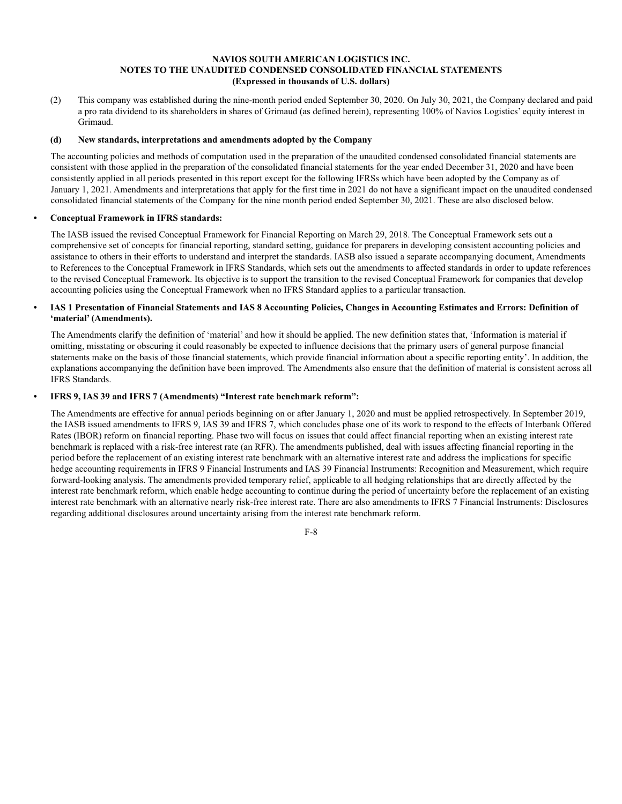(2) This company was established during the nine-month period ended September 30, 2020. On July 30, 2021, the Company declared and paid a pro rata dividend to its shareholders in shares of Grimaud (as defined herein), representing 100% of Navios Logistics' equity interest in Grimaud.

# **(d) New standards, interpretations and amendments adopted by the Company**

The accounting policies and methods of computation used in the preparation of the unaudited condensed consolidated financial statements are consistent with those applied in the preparation of the consolidated financial statements for the year ended December 31, 2020 and have been consistently applied in all periods presented in this report except for the following IFRSs which have been adopted by the Company as of January 1, 2021. Amendments and interpretations that apply for the first time in 2021 do not have a significant impact on the unaudited condensed consolidated financial statements of the Company for the nine month period ended September 30, 2021. These are also disclosed below.

# **• Conceptual Framework in IFRS standards:**

The IASB issued the revised Conceptual Framework for Financial Reporting on March 29, 2018. The Conceptual Framework sets out a comprehensive set of concepts for financial reporting, standard setting, guidance for preparers in developing consistent accounting policies and assistance to others in their efforts to understand and interpret the standards. IASB also issued a separate accompanying document, Amendments to References to the Conceptual Framework in IFRS Standards, which sets out the amendments to affected standards in order to update references to the revised Conceptual Framework. Its objective is to support the transition to the revised Conceptual Framework for companies that develop accounting policies using the Conceptual Framework when no IFRS Standard applies to a particular transaction.

# **• IAS 1 Presentation of Financial Statements and IAS 8 Accounting Policies, Changes in Accounting Estimates and Errors: Definition of 'material' (Amendments).**

The Amendments clarify the definition of 'material' and how it should be applied. The new definition states that, 'Information is material if omitting, misstating or obscuring it could reasonably be expected to influence decisions that the primary users of general purpose financial statements make on the basis of those financial statements, which provide financial information about a specific reporting entity'. In addition, the explanations accompanying the definition have been improved. The Amendments also ensure that the definition of material is consistent across all IFRS Standards.

# **• IFRS 9, IAS 39 and IFRS 7 (Amendments) "Interest rate benchmark reform":**

The Amendments are effective for annual periods beginning on or after January 1, 2020 and must be applied retrospectively. In September 2019, the IASB issued amendments to IFRS 9, IAS 39 and IFRS 7, which concludes phase one of its work to respond to the effects of Interbank Offered Rates (IBOR) reform on financial reporting. Phase two will focus on issues that could affect financial reporting when an existing interest rate benchmark is replaced with a risk-free interest rate (an RFR). The amendments published, deal with issues affecting financial reporting in the period before the replacement of an existing interest rate benchmark with an alternative interest rate and address the implications for specific hedge accounting requirements in IFRS 9 Financial Instruments and IAS 39 Financial Instruments: Recognition and Measurement, which require forward-looking analysis. The amendments provided temporary relief, applicable to all hedging relationships that are directly affected by the interest rate benchmark reform, which enable hedge accounting to continue during the period of uncertainty before the replacement of an existing interest rate benchmark with an alternative nearly risk-free interest rate. There are also amendments to IFRS 7 Financial Instruments: Disclosures regarding additional disclosures around uncertainty arising from the interest rate benchmark reform.

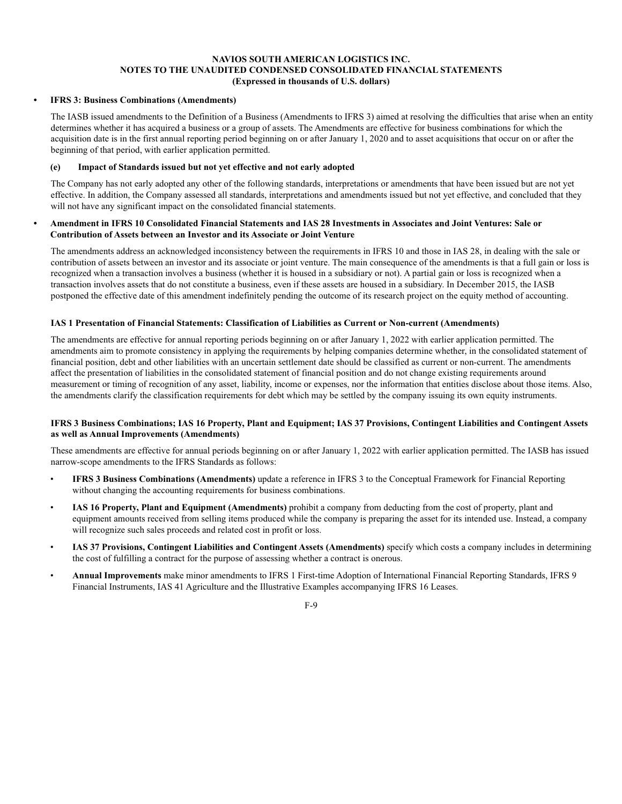#### **• IFRS 3: Business Combinations (Amendments)**

The IASB issued amendments to the Definition of a Business (Amendments to IFRS 3) aimed at resolving the difficulties that arise when an entity determines whether it has acquired a business or a group of assets. The Amendments are effective for business combinations for which the acquisition date is in the first annual reporting period beginning on or after January 1, 2020 and to asset acquisitions that occur on or after the beginning of that period, with earlier application permitted.

# **(e) Impact of Standards issued but not yet effective and not early adopted**

The Company has not early adopted any other of the following standards, interpretations or amendments that have been issued but are not yet effective. In addition, the Company assessed all standards, interpretations and amendments issued but not yet effective, and concluded that they will not have any significant impact on the consolidated financial statements.

#### **• Amendment in IFRS 10 Consolidated Financial Statements and IAS 28 Investments in Associates and Joint Ventures: Sale or Contribution of Assets between an Investor and its Associate or Joint Venture**

The amendments address an acknowledged inconsistency between the requirements in IFRS 10 and those in IAS 28, in dealing with the sale or contribution of assets between an investor and its associate or joint venture. The main consequence of the amendments is that a full gain or loss is recognized when a transaction involves a business (whether it is housed in a subsidiary or not). A partial gain or loss is recognized when a transaction involves assets that do not constitute a business, even if these assets are housed in a subsidiary. In December 2015, the IASB postponed the effective date of this amendment indefinitely pending the outcome of its research project on the equity method of accounting.

# **IAS 1 Presentation of Financial Statements: Classification of Liabilities as Current or Non-current (Amendments)**

The amendments are effective for annual reporting periods beginning on or after January 1, 2022 with earlier application permitted. The amendments aim to promote consistency in applying the requirements by helping companies determine whether, in the consolidated statement of financial position, debt and other liabilities with an uncertain settlement date should be classified as current or non-current. The amendments affect the presentation of liabilities in the consolidated statement of financial position and do not change existing requirements around measurement or timing of recognition of any asset, liability, income or expenses, nor the information that entities disclose about those items. Also, the amendments clarify the classification requirements for debt which may be settled by the company issuing its own equity instruments.

# **IFRS 3 Business Combinations; IAS 16 Property, Plant and Equipment; IAS 37 Provisions, Contingent Liabilities and Contingent Assets as well as Annual Improvements (Amendments)**

These amendments are effective for annual periods beginning on or after January 1, 2022 with earlier application permitted. The IASB has issued narrow-scope amendments to the IFRS Standards as follows:

- **IFRS 3 Business Combinations (Amendments)** update a reference in IFRS 3 to the Conceptual Framework for Financial Reporting without changing the accounting requirements for business combinations.
- **IAS 16 Property, Plant and Equipment (Amendments)** prohibit a company from deducting from the cost of property, plant and equipment amounts received from selling items produced while the company is preparing the asset for its intended use. Instead, a company will recognize such sales proceeds and related cost in profit or loss.
- **IAS 37 Provisions, Contingent Liabilities and Contingent Assets (Amendments)** specify which costs a company includes in determining the cost of fulfilling a contract for the purpose of assessing whether a contract is onerous.
- **Annual Improvements** make minor amendments to IFRS 1 First-time Adoption of International Financial Reporting Standards, IFRS 9 Financial Instruments, IAS 41 Agriculture and the Illustrative Examples accompanying IFRS 16 Leases.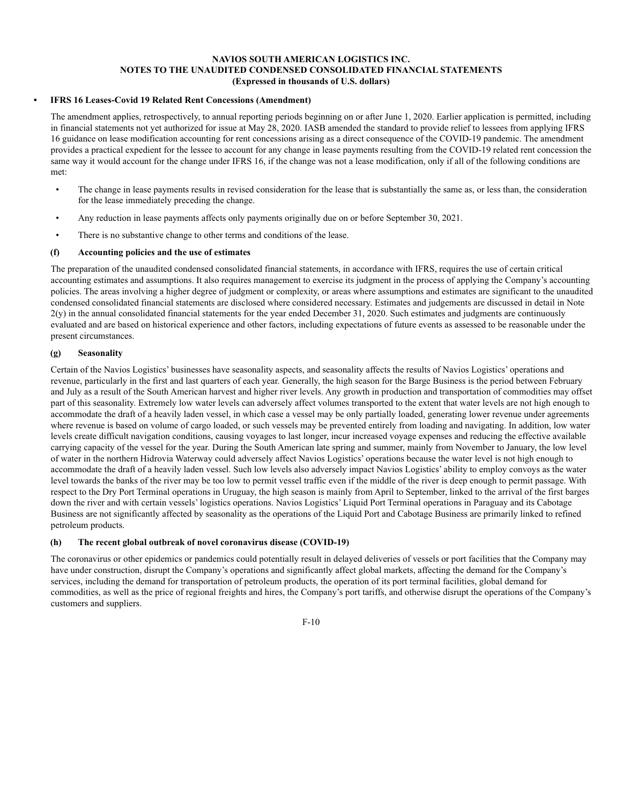# **• IFRS 16 Leases-Covid 19 Related Rent Concessions (Amendment)**

The amendment applies, retrospectively, to annual reporting periods beginning on or after June 1, 2020. Earlier application is permitted, including in financial statements not yet authorized for issue at May 28, 2020. IASB amended the standard to provide relief to lessees from applying IFRS 16 guidance on lease modification accounting for rent concessions arising as a direct consequence of the COVID-19 pandemic. The amendment provides a practical expedient for the lessee to account for any change in lease payments resulting from the COVID-19 related rent concession the same way it would account for the change under IFRS 16, if the change was not a lease modification, only if all of the following conditions are met:

- The change in lease payments results in revised consideration for the lease that is substantially the same as, or less than, the consideration for the lease immediately preceding the change.
- Any reduction in lease payments affects only payments originally due on or before September 30, 2021.
- There is no substantive change to other terms and conditions of the lease.

# **(f) Accounting policies and the use of estimates**

The preparation of the unaudited condensed consolidated financial statements, in accordance with IFRS, requires the use of certain critical accounting estimates and assumptions. It also requires management to exercise its judgment in the process of applying the Company's accounting policies. The areas involving a higher degree of judgment or complexity, or areas where assumptions and estimates are significant to the unaudited condensed consolidated financial statements are disclosed where considered necessary. Estimates and judgements are discussed in detail in Note  $2(y)$  in the annual consolidated financial statements for the year ended December 31, 2020. Such estimates and judgments are continuously evaluated and are based on historical experience and other factors, including expectations of future events as assessed to be reasonable under the present circumstances.

# **(g) Seasonality**

Certain of the Navios Logistics' businesses have seasonality aspects, and seasonality affects the results of Navios Logistics' operations and revenue, particularly in the first and last quarters of each year. Generally, the high season for the Barge Business is the period between February and July as a result of the South American harvest and higher river levels. Any growth in production and transportation of commodities may offset part of this seasonality. Extremely low water levels can adversely affect volumes transported to the extent that water levels are not high enough to accommodate the draft of a heavily laden vessel, in which case a vessel may be only partially loaded, generating lower revenue under agreements where revenue is based on volume of cargo loaded, or such vessels may be prevented entirely from loading and navigating. In addition, low water levels create difficult navigation conditions, causing voyages to last longer, incur increased voyage expenses and reducing the effective available carrying capacity of the vessel for the year. During the South American late spring and summer, mainly from November to January, the low level of water in the northern Hidrovia Waterway could adversely affect Navios Logistics' operations because the water level is not high enough to accommodate the draft of a heavily laden vessel. Such low levels also adversely impact Navios Logistics' ability to employ convoys as the water level towards the banks of the river may be too low to permit vessel traffic even if the middle of the river is deep enough to permit passage. With respect to the Dry Port Terminal operations in Uruguay, the high season is mainly from April to September, linked to the arrival of the first barges down the river and with certain vessels' logistics operations. Navios Logistics' Liquid Port Terminal operations in Paraguay and its Cabotage Business are not significantly affected by seasonality as the operations of the Liquid Port and Cabotage Business are primarily linked to refined petroleum products.

# **(h) The recent global outbreak of novel coronavirus disease (COVID-19)**

The coronavirus or other epidemics or pandemics could potentially result in delayed deliveries of vessels or port facilities that the Company may have under construction, disrupt the Company's operations and significantly affect global markets, affecting the demand for the Company's services, including the demand for transportation of petroleum products, the operation of its port terminal facilities, global demand for commodities, as well as the price of regional freights and hires, the Company's port tariffs, and otherwise disrupt the operations of the Company's customers and suppliers.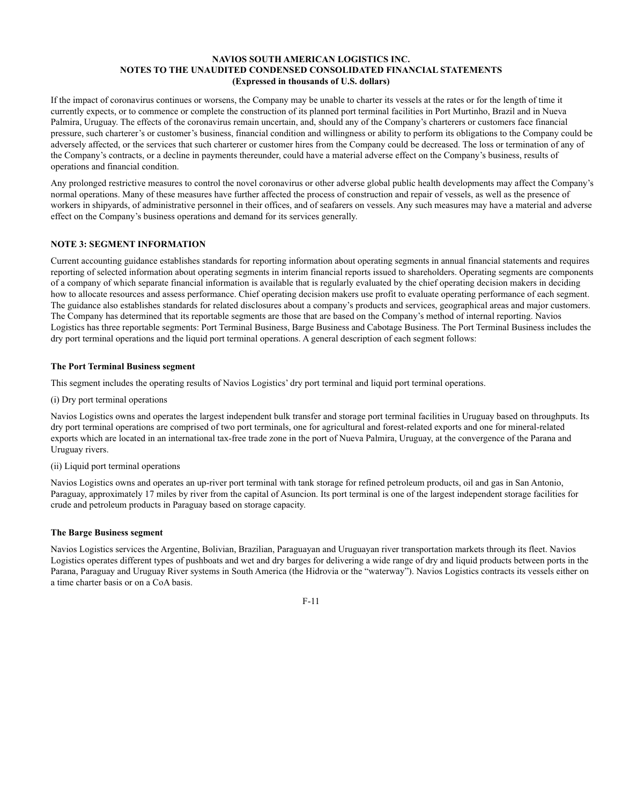If the impact of coronavirus continues or worsens, the Company may be unable to charter its vessels at the rates or for the length of time it currently expects, or to commence or complete the construction of its planned port terminal facilities in Port Murtinho, Brazil and in Nueva Palmira, Uruguay. The effects of the coronavirus remain uncertain, and, should any of the Company's charterers or customers face financial pressure, such charterer's or customer's business, financial condition and willingness or ability to perform its obligations to the Company could be adversely affected, or the services that such charterer or customer hires from the Company could be decreased. The loss or termination of any of the Company's contracts, or a decline in payments thereunder, could have a material adverse effect on the Company's business, results of operations and financial condition.

Any prolonged restrictive measures to control the novel coronavirus or other adverse global public health developments may affect the Company's normal operations. Many of these measures have further affected the process of construction and repair of vessels, as well as the presence of workers in shipyards, of administrative personnel in their offices, and of seafarers on vessels. Any such measures may have a material and adverse effect on the Company's business operations and demand for its services generally.

# **NOTE 3: SEGMENT INFORMATION**

Current accounting guidance establishes standards for reporting information about operating segments in annual financial statements and requires reporting of selected information about operating segments in interim financial reports issued to shareholders. Operating segments are components of a company of which separate financial information is available that is regularly evaluated by the chief operating decision makers in deciding how to allocate resources and assess performance. Chief operating decision makers use profit to evaluate operating performance of each segment. The guidance also establishes standards for related disclosures about a company's products and services, geographical areas and major customers. The Company has determined that its reportable segments are those that are based on the Company's method of internal reporting. Navios Logistics has three reportable segments: Port Terminal Business, Barge Business and Cabotage Business. The Port Terminal Business includes the dry port terminal operations and the liquid port terminal operations. A general description of each segment follows:

#### **The Port Terminal Business segment**

This segment includes the operating results of Navios Logistics' dry port terminal and liquid port terminal operations.

(i) Dry port terminal operations

Navios Logistics owns and operates the largest independent bulk transfer and storage port terminal facilities in Uruguay based on throughputs. Its dry port terminal operations are comprised of two port terminals, one for agricultural and forest-related exports and one for mineral-related exports which are located in an international tax-free trade zone in the port of Nueva Palmira, Uruguay, at the convergence of the Parana and Uruguay rivers.

#### (ii) Liquid port terminal operations

Navios Logistics owns and operates an up-river port terminal with tank storage for refined petroleum products, oil and gas in San Antonio, Paraguay, approximately 17 miles by river from the capital of Asuncion. Its port terminal is one of the largest independent storage facilities for crude and petroleum products in Paraguay based on storage capacity.

#### **The Barge Business segment**

Navios Logistics services the Argentine, Bolivian, Brazilian, Paraguayan and Uruguayan river transportation markets through its fleet. Navios Logistics operates different types of pushboats and wet and dry barges for delivering a wide range of dry and liquid products between ports in the Parana, Paraguay and Uruguay River systems in South America (the Hidrovia or the "waterway"). Navios Logistics contracts its vessels either on a time charter basis or on a CoA basis.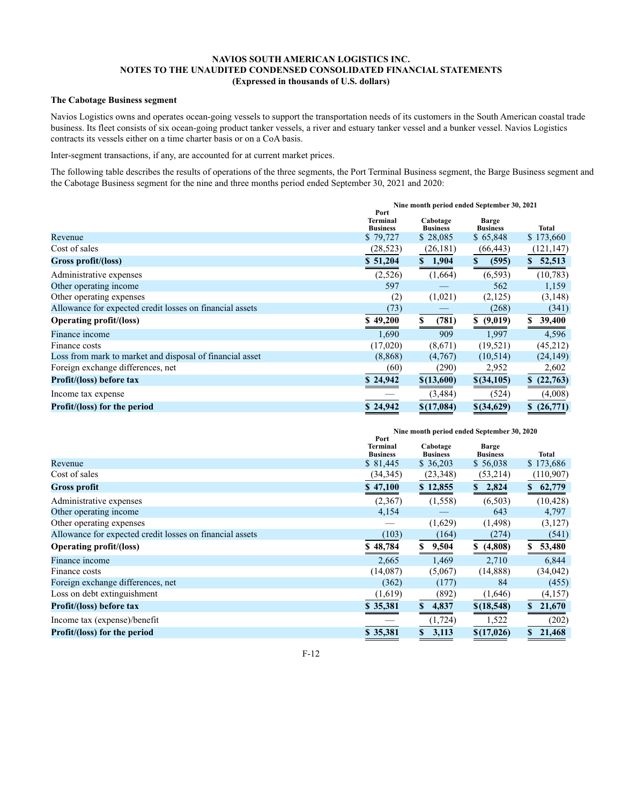# **The Cabotage Business segment**

Navios Logistics owns and operates ocean-going vessels to support the transportation needs of its customers in the South American coastal trade business. Its fleet consists of six ocean-going product tanker vessels, a river and estuary tanker vessel and a bunker vessel. Navios Logistics contracts its vessels either on a time charter basis or on a CoA basis.

Inter-segment transactions, if any, are accounted for at current market prices.

The following table describes the results of operations of the three segments, the Port Terminal Business segment, the Barge Business segment and the Cabotage Business segment for the nine and three months period ended September 30, 2021 and 2020:

|                                                          | Nine month period ended September 30, 2021<br>Port |                             |                                 |              |  |  |  |
|----------------------------------------------------------|----------------------------------------------------|-----------------------------|---------------------------------|--------------|--|--|--|
|                                                          | Terminal<br><b>Business</b>                        | Cabotage<br><b>Business</b> | <b>Barge</b><br><b>Business</b> | <b>Total</b> |  |  |  |
| Revenue                                                  | \$79,727                                           | \$28,085                    | \$65,848                        | \$173,660    |  |  |  |
| Cost of sales                                            | (28, 523)                                          | (26, 181)                   | (66, 443)                       | (121, 147)   |  |  |  |
| Gross profit/(loss)                                      | \$51,204                                           | 1,904<br>\$                 | (595)<br>S                      | \$52,513     |  |  |  |
| Administrative expenses                                  | (2,526)                                            | (1,664)                     | (6, 593)                        | (10, 783)    |  |  |  |
| Other operating income                                   | 597                                                |                             | 562                             | 1,159        |  |  |  |
| Other operating expenses                                 | (2)                                                | (1,021)                     | (2,125)                         | (3, 148)     |  |  |  |
| Allowance for expected credit losses on financial assets | (73)                                               |                             | (268)                           | (341)        |  |  |  |
| <b>Operating profit/(loss)</b>                           | \$49,200                                           | (781)                       | (9,019)<br>S.                   | 39,400<br>S. |  |  |  |
| Finance income                                           | 1,690                                              | 909                         | 1,997                           | 4,596        |  |  |  |
| Finance costs                                            | (17,020)                                           | (8,671)                     | (19,521)                        | (45,212)     |  |  |  |
| Loss from mark to market and disposal of financial asset | (8,868)                                            | (4,767)                     | (10,514)                        | (24, 149)    |  |  |  |
| Foreign exchange differences, net                        | (60)                                               | (290)                       | 2,952                           | 2,602        |  |  |  |
| Profit/(loss) before tax                                 | \$24,942                                           | \$(13,600)                  | \$(34,105)                      | \$(22,763)   |  |  |  |
| Income tax expense                                       |                                                    | (3,484)                     | (524)                           | (4,008)      |  |  |  |
| <b>Profit/(loss)</b> for the period                      | \$24,942                                           | \$(17,084)                  | $$$ (34,629)                    | \$(26,771)   |  |  |  |

|                                                          |                                     | Nine month period ended September 30, 2020 |                                 |                        |  |  |  |  |
|----------------------------------------------------------|-------------------------------------|--------------------------------------------|---------------------------------|------------------------|--|--|--|--|
|                                                          | Port<br>Terminal<br><b>Business</b> | Cabotage<br><b>Business</b>                | <b>Barge</b><br><b>Business</b> | <b>Total</b>           |  |  |  |  |
| Revenue                                                  | \$81,445                            | \$36,203                                   | \$56,038                        | \$173,686              |  |  |  |  |
| Cost of sales                                            | (34, 345)                           | (23, 348)                                  | (53,214)                        | (110,907)              |  |  |  |  |
| <b>Gross profit</b>                                      | \$47,100                            | \$12,855                                   | 2,824<br>\$                     | 62,779<br>\$           |  |  |  |  |
| Administrative expenses                                  | (2,367)                             | (1,558)                                    | (6,503)                         | (10, 428)              |  |  |  |  |
| Other operating income                                   | 4,154                               |                                            | 643                             | 4,797                  |  |  |  |  |
| Other operating expenses                                 |                                     | (1,629)                                    | (1,498)                         | (3,127)                |  |  |  |  |
| Allowance for expected credit losses on financial assets | (103)                               | (164)                                      | (274)                           | (541)                  |  |  |  |  |
| <b>Operating profit/(loss)</b>                           | \$48,784                            | 9,504<br>\$                                | (4,808)<br>S.                   | 53,480<br>S            |  |  |  |  |
| Finance income                                           | 2,665                               | 1,469                                      | 2,710                           | 6,844                  |  |  |  |  |
| Finance costs                                            | (14,087)                            | (5,067)                                    | (14, 888)                       | (34, 042)              |  |  |  |  |
| Foreign exchange differences, net                        | (362)                               | (177)                                      | 84                              | (455)                  |  |  |  |  |
| Loss on debt extinguishment                              | (1,619)                             | (892)                                      | (1,646)                         | (4,157)                |  |  |  |  |
| Profit/(loss) before tax                                 | \$35,381                            | 4,837<br>S                                 | \$(18,548)                      | $\mathbf{s}$<br>21,670 |  |  |  |  |
| Income tax (expense)/benefit                             |                                     | (1, 724)                                   | 1,522                           | (202)                  |  |  |  |  |
| Profit/(loss) for the period                             | \$35,381                            | 3,113<br>\$                                | \$(17,026)                      | 21,468<br>S.           |  |  |  |  |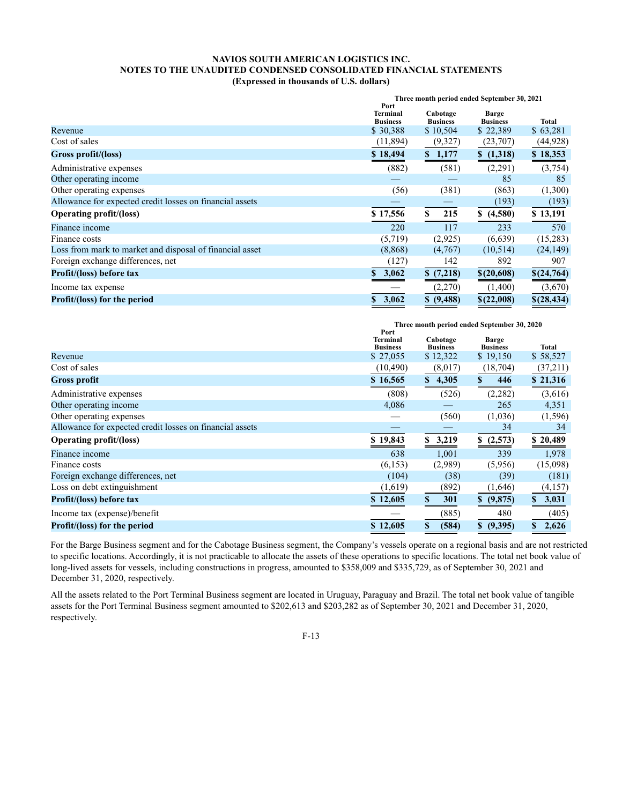|                                                          |                                    | Three month period ended September 30, 2021<br>Port |                                 |             |  |  |  |  |
|----------------------------------------------------------|------------------------------------|-----------------------------------------------------|---------------------------------|-------------|--|--|--|--|
|                                                          | <b>Terminal</b><br><b>Business</b> | Cabotage<br><b>Business</b>                         | <b>Barge</b><br><b>Business</b> | Total       |  |  |  |  |
| Revenue                                                  | \$30,388                           | \$10,504                                            | \$22,389                        | \$63,281    |  |  |  |  |
| Cost of sales                                            | (11,894)                           | (9,327)                                             | (23,707)                        | (44, 928)   |  |  |  |  |
| Gross profit/(loss)                                      | \$18,494                           | \$1,177                                             | \$(1,318)                       | \$18,353    |  |  |  |  |
| Administrative expenses                                  | (882)                              | (581)                                               | (2,291)                         | (3,754)     |  |  |  |  |
| Other operating income                                   |                                    |                                                     | 85                              | 85          |  |  |  |  |
| Other operating expenses                                 | (56)                               | (381)                                               | (863)                           | (1,300)     |  |  |  |  |
| Allowance for expected credit losses on financial assets |                                    |                                                     | (193)                           | (193)       |  |  |  |  |
| <b>Operating profit/(loss)</b>                           | \$17,556                           | 215<br>S                                            | (4,580)<br>S                    | \$13,191    |  |  |  |  |
| Finance income                                           | 220                                | 117                                                 | 233                             | 570         |  |  |  |  |
| Finance costs                                            | (5,719)                            | (2,925)                                             | (6,639)                         | (15,283)    |  |  |  |  |
| Loss from mark to market and disposal of financial asset | (8,868)                            | (4,767)                                             | (10,514)                        | (24, 149)   |  |  |  |  |
| Foreign exchange differences, net                        | (127)                              | 142                                                 | 892                             | 907         |  |  |  |  |
| Profit/(loss) before tax                                 | 3,062<br>\$                        | \$(7,218)                                           | \$(20,608)                      | \$(24,764)  |  |  |  |  |
| Income tax expense                                       |                                    | (2,270)                                             | (1,400)                         | (3,670)     |  |  |  |  |
| Profit/(loss) for the period                             | 3,062<br>\$                        | \$ (9,488)                                          | \$(22,008)                      | \$(28, 434) |  |  |  |  |

|                                                          |                                            | Three month period ended September 30, 2020 |                          |             |  |  |  |  |
|----------------------------------------------------------|--------------------------------------------|---------------------------------------------|--------------------------|-------------|--|--|--|--|
|                                                          | Port<br><b>Terminal</b><br><b>Business</b> | Cabotage<br><b>Business</b>                 | Barge<br><b>Business</b> | Total       |  |  |  |  |
| Revenue                                                  | \$ 27,055                                  | \$12,322                                    | \$19,150                 | \$58,527    |  |  |  |  |
| Cost of sales                                            | (10, 490)                                  | (8,017)                                     | (18,704)                 | (37,211)    |  |  |  |  |
| <b>Gross profit</b>                                      | \$16,565                                   | $\mathbf S$<br>4,305                        | 446                      | \$21,316    |  |  |  |  |
| Administrative expenses                                  | (808)                                      | (526)                                       | (2, 282)                 | (3,616)     |  |  |  |  |
| Other operating income                                   | 4,086                                      |                                             | 265                      | 4,351       |  |  |  |  |
| Other operating expenses                                 |                                            | (560)                                       | (1,036)                  | (1,596)     |  |  |  |  |
| Allowance for expected credit losses on financial assets |                                            |                                             | 34                       | 34          |  |  |  |  |
| <b>Operating profit/(loss)</b>                           | \$19,843                                   | \$3,219                                     | \$(2,573)                | \$20,489    |  |  |  |  |
| Finance income                                           | 638                                        | 1,001                                       | 339                      | 1,978       |  |  |  |  |
| Finance costs                                            | (6, 153)                                   | (2,989)                                     | (5,956)                  | (15,098)    |  |  |  |  |
| Foreign exchange differences, net                        | (104)                                      | (38)                                        | (39)                     | (181)       |  |  |  |  |
| Loss on debt extinguishment                              | (1,619)                                    | (892)                                       | (1,646)                  | (4,157)     |  |  |  |  |
| Profit/(loss) before tax                                 | \$12,605                                   | \$<br>301                                   | (9,875)<br>\$            | 3,031<br>S. |  |  |  |  |
| Income tax (expense)/benefit                             |                                            | (885)                                       | 480                      | (405)       |  |  |  |  |
| <b>Profit/(loss)</b> for the period                      | \$12,605                                   | \$<br>(584)                                 | (9,395)<br>$\mathbf{s}$  | 2,626<br>\$ |  |  |  |  |

For the Barge Business segment and for the Cabotage Business segment, the Company's vessels operate on a regional basis and are not restricted to specific locations. Accordingly, it is not practicable to allocate the assets of these operations to specific locations. The total net book value of long-lived assets for vessels, including constructions in progress, amounted to \$358,009 and \$335,729, as of September 30, 2021 and December 31, 2020, respectively.

All the assets related to the Port Terminal Business segment are located in Uruguay, Paraguay and Brazil. The total net book value of tangible assets for the Port Terminal Business segment amounted to \$202,613 and \$203,282 as of September 30, 2021 and December 31, 2020, respectively.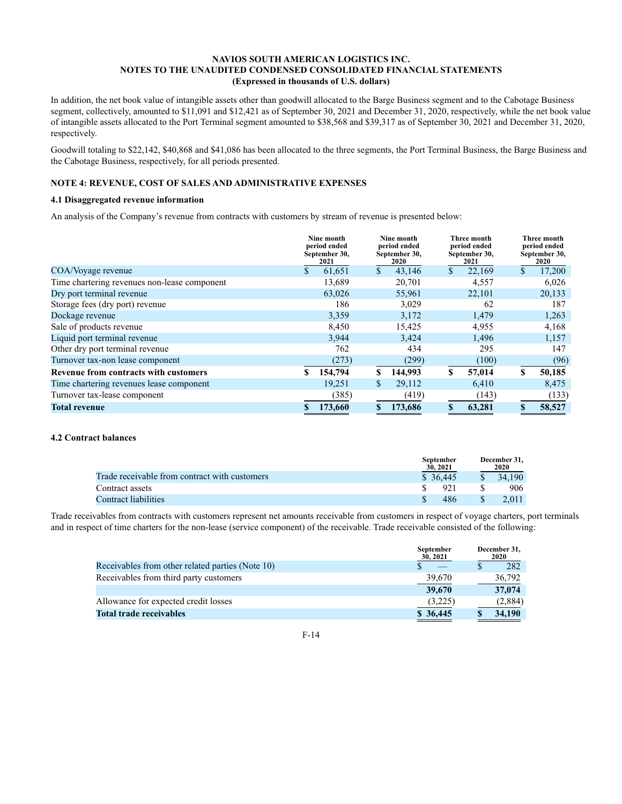In addition, the net book value of intangible assets other than goodwill allocated to the Barge Business segment and to the Cabotage Business segment, collectively, amounted to \$11,091 and \$12,421 as of September 30, 2021 and December 31, 2020, respectively, while the net book value of intangible assets allocated to the Port Terminal segment amounted to \$38,568 and \$39,317 as of September 30, 2021 and December 31, 2020, respectively.

Goodwill totaling to \$22,142, \$40,868 and \$41,086 has been allocated to the three segments, the Port Terminal Business, the Barge Business and the Cabotage Business, respectively, for all periods presented.

# **NOTE 4: REVENUE, COST OF SALES AND ADMINISTRATIVE EXPENSES**

# **4.1 Disaggregated revenue information**

An analysis of the Company's revenue from contracts with customers by stream of revenue is presented below:

|                                              |    | Nine month<br>period ended<br>September 30,<br>2021 | Nine month<br>period ended<br>September 30,<br>2020 |    | Three month<br>period ended<br>September 30,<br>2021 | Three month<br>period ended<br>September 30,<br><b>2020</b> |
|----------------------------------------------|----|-----------------------------------------------------|-----------------------------------------------------|----|------------------------------------------------------|-------------------------------------------------------------|
| COA/Voyage revenue                           | \$ | 61,651                                              | \$<br>43,146                                        | \$ | 22,169                                               | \$<br>17,200                                                |
| Time chartering revenues non-lease component |    | 13,689                                              | 20,701                                              |    | 4,557                                                | 6,026                                                       |
| Dry port terminal revenue                    |    | 63,026                                              | 55,961                                              |    | 22,101                                               | 20,133                                                      |
| Storage fees (dry port) revenue              |    | 186                                                 | 3,029                                               |    | 62                                                   | 187                                                         |
| Dockage revenue                              |    | 3,359                                               | 3,172                                               |    | 1,479                                                | 1,263                                                       |
| Sale of products revenue                     |    | 8,450                                               | 15,425                                              |    | 4,955                                                | 4,168                                                       |
| Liquid port terminal revenue                 |    | 3,944                                               | 3,424                                               |    | 1,496                                                | 1,157                                                       |
| Other dry port terminal revenue              |    | 762                                                 | 434                                                 |    | 295                                                  | 147                                                         |
| Turnover tax-non lease component             |    | (273)                                               | (299)                                               |    | (100)                                                | (96)                                                        |
| Revenue from contracts with customers        | S. | 154,794                                             | \$<br>144,993                                       | S  | 57,014                                               | \$<br>50,185                                                |
| Time chartering revenues lease component     |    | 19,251                                              | \$<br>29,112                                        |    | 6,410                                                | 8,475                                                       |
| Turnover tax-lease component                 |    | (385)                                               | (419)                                               |    | (143)                                                | (133)                                                       |
| <b>Total revenue</b>                         |    | 173,660                                             | 173,686                                             | \$ | 63,281                                               | \$<br>58,527                                                |

# **4.2 Contract balances**

|                                               | September<br>30, 2021 | December 31,<br>2020 |
|-----------------------------------------------|-----------------------|----------------------|
| Trade receivable from contract with customers | \$36.445              | 34.190               |
| Contract assets                               | 921                   | 906                  |
| Contract liabilities                          | 486                   | 2.011                |

Trade receivables from contracts with customers represent net amounts receivable from customers in respect of voyage charters, port terminals and in respect of time charters for the non-lease (service component) of the receivable. Trade receivable consisted of the following:

|                                                  | September<br>30, 2021 | December 31,<br>2020 |
|--------------------------------------------------|-----------------------|----------------------|
| Receivables from other related parties (Note 10) |                       | 282                  |
| Receivables from third party customers           | 39,670                | 36,792               |
|                                                  | 39,670                | 37,074               |
| Allowance for expected credit losses             | (3,225)               | (2,884)              |
| <b>Total trade receivables</b>                   | \$36,445              | 34,190               |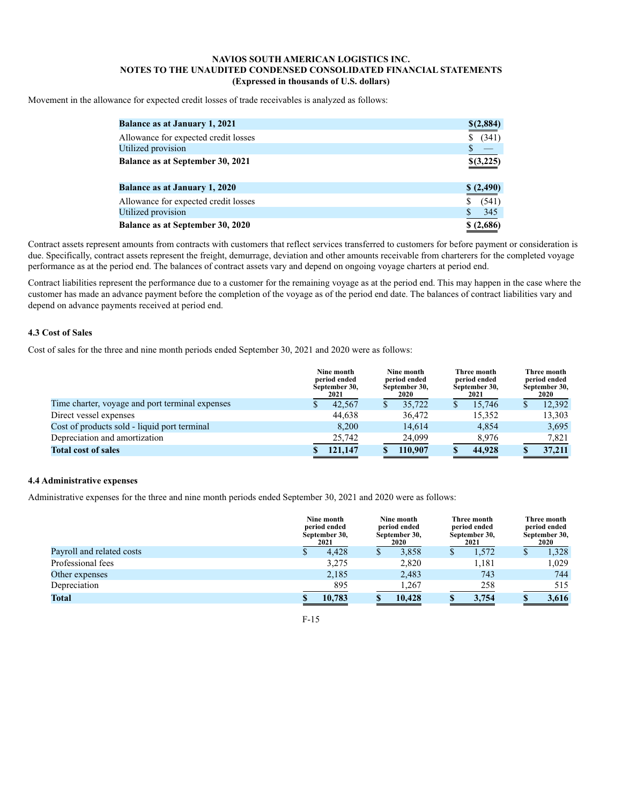Movement in the allowance for expected credit losses of trade receivables is analyzed as follows:

| <b>Balance as at January 1, 2021</b> | \$(2,884)  |
|--------------------------------------|------------|
| Allowance for expected credit losses | (341)<br>S |
| Utilized provision                   |            |
| Balance as at September 30, 2021     | \$(3,225)  |
| <b>Balance as at January 1, 2020</b> | \$(2,490)  |
| Allowance for expected credit losses | (541)      |
| Utilized provision                   | 345        |
| Balance as at September 30, 2020     | \$(2,686)  |

Contract assets represent amounts from contracts with customers that reflect services transferred to customers for before payment or consideration is due. Specifically, contract assets represent the freight, demurrage, deviation and other amounts receivable from charterers for the completed voyage performance as at the period end. The balances of contract assets vary and depend on ongoing voyage charters at period end.

Contract liabilities represent the performance due to a customer for the remaining voyage as at the period end. This may happen in the case where the customer has made an advance payment before the completion of the voyage as of the period end date. The balances of contract liabilities vary and depend on advance payments received at period end.

# **4.3 Cost of Sales**

Cost of sales for the three and nine month periods ended September 30, 2021 and 2020 were as follows:

|                                                 | Nine month<br>period ended<br>September 30,<br>2021 |   | Nine month<br>period ended<br>September 30,<br><b>2020</b> |    | Three month<br>period ended<br>September 30,<br>2021 |   | Three month<br>period ended<br>September 30,<br><b>2020</b> |
|-------------------------------------------------|-----------------------------------------------------|---|------------------------------------------------------------|----|------------------------------------------------------|---|-------------------------------------------------------------|
| Time charter, voyage and port terminal expenses | 42.567                                              | S | 35,722                                                     | S. | 15.746                                               | S | 12.392                                                      |
| Direct vessel expenses                          | 44.638                                              |   | 36,472                                                     |    | 15.352                                               |   | 13,303                                                      |
| Cost of products sold - liquid port terminal    | 8.200                                               |   | 14.614                                                     |    | 4.854                                                |   | 3,695                                                       |
| Depreciation and amortization                   | 25,742                                              |   | 24,099                                                     |    | 8,976                                                |   | 7.821                                                       |
| <b>Total cost of sales</b>                      | 121,147                                             |   | 110.907                                                    |    | 44,928                                               |   | 37,211                                                      |

# **4.4 Administrative expenses**

Administrative expenses for the three and nine month periods ended September 30, 2021 and 2020 were as follows:

|                           | Nine month<br>period ended<br>September 30,<br>2021 | Nine month<br>period ended<br>September 30,<br>2020 | Three month<br>period ended<br>September 30,<br>2021 | Three month<br>period ended<br>September 30,<br>2020 |
|---------------------------|-----------------------------------------------------|-----------------------------------------------------|------------------------------------------------------|------------------------------------------------------|
| Payroll and related costs | 4.428                                               | 3,858                                               | 1.572                                                | 1,328<br><sup>\$</sup>                               |
| Professional fees         | 3,275                                               | 2,820                                               | 1,181                                                | 1,029                                                |
| Other expenses            | 2,185                                               | 2,483                                               | 743                                                  | 744                                                  |
| Depreciation              | 895                                                 | 1,267                                               | 258                                                  | 515                                                  |
| <b>Total</b>              | 10,783                                              | 10.428                                              | 3.754                                                | 3,616                                                |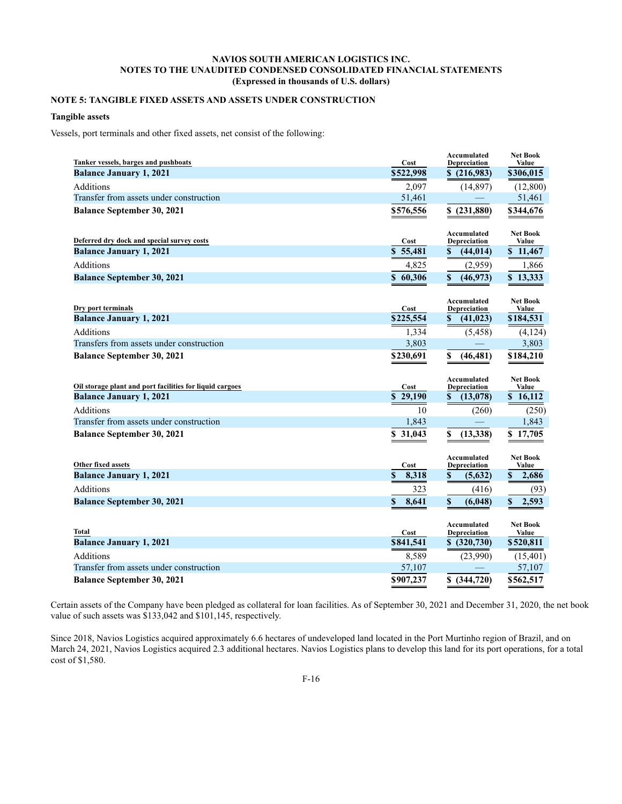# **NOTE 5: TANGIBLE FIXED ASSETS AND ASSETS UNDER CONSTRUCTION**

# **Tangible assets**

Vessels, port terminals and other fixed assets, net consist of the following:

| Depreciation<br>\$522,998<br><b>Balance January 1, 2021</b><br>\$(216,983)<br>\$306,015<br><b>Additions</b><br>2,097<br>(14, 897)<br>(12,800)<br>Transfer from assets under construction<br>51,461<br>51,461<br><b>Balance September 30, 2021</b><br>\$576,556<br>\$344,676<br>\$(231,880)<br>Accumulated<br><b>Net Book</b><br>Deferred dry dock and special survey costs<br>Cost<br>Depreciation<br>Value<br><b>Balance January 1, 2021</b><br>\$5,481<br>\$11,467<br>\$<br>(44, 014)<br><b>Additions</b><br>4,825<br>1,866<br>(2,959)<br>\$<br><b>Balance September 30, 2021</b><br>\$60,306<br>(46,973)<br>\$13,333<br><b>Net Book</b><br>Accumulated<br>Dry port terminals<br>Cost<br>Depreciation<br>Value<br>\$<br><b>Balance January 1, 2021</b><br>\$225,554<br>(41, 023)<br>\$184,531<br><b>Additions</b><br>1,334<br>(4, 124)<br>(5, 458)<br>Transfers from assets under construction<br>3,803<br>3,803<br><b>Balance September 30, 2021</b><br>\$184,210<br>\$230,691<br>\$<br>(46, 481)<br>Accumulated<br><b>Net Book</b><br>Oil storage plant and port facilities for liquid cargoes<br>Cost<br>Depreciation<br>Value<br>\$29,190<br>\$16,112<br><b>Balance January 1, 2021</b><br>\$<br>(13,078)<br><b>Additions</b><br>10<br>(250)<br>(260)<br>Transfer from assets under construction<br>1,843<br>1,843<br>\$31,043<br>\$<br>\$17,705<br><b>Balance September 30, 2021</b><br>(13,338)<br>Accumulated<br><b>Net Book</b><br>Other fixed assets<br>Cost<br>Depreciation<br>Value<br>\$<br>\$<br><b>Balance January 1, 2021</b><br>8,318<br>\$<br>2,686<br>(5,632)<br>Additions<br>323<br>(416)<br>(93)<br>8,641<br>$\mathbf S$<br>2,593<br><b>Balance September 30, 2021</b><br>\$<br>(6,048)<br>\$<br>Accumulated<br><b>Net Book</b><br>Total<br>Cost<br>Depreciation<br>Value<br><b>Balance January 1, 2021</b><br>\$841,541<br>\$ (320,730)<br>\$520,811<br><b>Additions</b><br>8,589<br>(23,990)<br>(15,401)<br>Transfer from assets under construction<br>57,107<br>57,107<br><b>Balance September 30, 2021</b><br>\$ (344,720)<br>\$562,517<br>\$907,237 | Tanker vessels, barges and pushboats | Cost | Accumulated | <b>Net Book</b><br>Value |
|--------------------------------------------------------------------------------------------------------------------------------------------------------------------------------------------------------------------------------------------------------------------------------------------------------------------------------------------------------------------------------------------------------------------------------------------------------------------------------------------------------------------------------------------------------------------------------------------------------------------------------------------------------------------------------------------------------------------------------------------------------------------------------------------------------------------------------------------------------------------------------------------------------------------------------------------------------------------------------------------------------------------------------------------------------------------------------------------------------------------------------------------------------------------------------------------------------------------------------------------------------------------------------------------------------------------------------------------------------------------------------------------------------------------------------------------------------------------------------------------------------------------------------------------------------------------------------------------------------------------------------------------------------------------------------------------------------------------------------------------------------------------------------------------------------------------------------------------------------------------------------------------------------------------------------------------------------------------------------------------------------------------------------------------------------------------------------|--------------------------------------|------|-------------|--------------------------|
|                                                                                                                                                                                                                                                                                                                                                                                                                                                                                                                                                                                                                                                                                                                                                                                                                                                                                                                                                                                                                                                                                                                                                                                                                                                                                                                                                                                                                                                                                                                                                                                                                                                                                                                                                                                                                                                                                                                                                                                                                                                                                |                                      |      |             |                          |
|                                                                                                                                                                                                                                                                                                                                                                                                                                                                                                                                                                                                                                                                                                                                                                                                                                                                                                                                                                                                                                                                                                                                                                                                                                                                                                                                                                                                                                                                                                                                                                                                                                                                                                                                                                                                                                                                                                                                                                                                                                                                                |                                      |      |             |                          |
|                                                                                                                                                                                                                                                                                                                                                                                                                                                                                                                                                                                                                                                                                                                                                                                                                                                                                                                                                                                                                                                                                                                                                                                                                                                                                                                                                                                                                                                                                                                                                                                                                                                                                                                                                                                                                                                                                                                                                                                                                                                                                |                                      |      |             |                          |
|                                                                                                                                                                                                                                                                                                                                                                                                                                                                                                                                                                                                                                                                                                                                                                                                                                                                                                                                                                                                                                                                                                                                                                                                                                                                                                                                                                                                                                                                                                                                                                                                                                                                                                                                                                                                                                                                                                                                                                                                                                                                                |                                      |      |             |                          |
|                                                                                                                                                                                                                                                                                                                                                                                                                                                                                                                                                                                                                                                                                                                                                                                                                                                                                                                                                                                                                                                                                                                                                                                                                                                                                                                                                                                                                                                                                                                                                                                                                                                                                                                                                                                                                                                                                                                                                                                                                                                                                |                                      |      |             |                          |
|                                                                                                                                                                                                                                                                                                                                                                                                                                                                                                                                                                                                                                                                                                                                                                                                                                                                                                                                                                                                                                                                                                                                                                                                                                                                                                                                                                                                                                                                                                                                                                                                                                                                                                                                                                                                                                                                                                                                                                                                                                                                                |                                      |      |             |                          |
|                                                                                                                                                                                                                                                                                                                                                                                                                                                                                                                                                                                                                                                                                                                                                                                                                                                                                                                                                                                                                                                                                                                                                                                                                                                                                                                                                                                                                                                                                                                                                                                                                                                                                                                                                                                                                                                                                                                                                                                                                                                                                |                                      |      |             |                          |
|                                                                                                                                                                                                                                                                                                                                                                                                                                                                                                                                                                                                                                                                                                                                                                                                                                                                                                                                                                                                                                                                                                                                                                                                                                                                                                                                                                                                                                                                                                                                                                                                                                                                                                                                                                                                                                                                                                                                                                                                                                                                                |                                      |      |             |                          |
|                                                                                                                                                                                                                                                                                                                                                                                                                                                                                                                                                                                                                                                                                                                                                                                                                                                                                                                                                                                                                                                                                                                                                                                                                                                                                                                                                                                                                                                                                                                                                                                                                                                                                                                                                                                                                                                                                                                                                                                                                                                                                |                                      |      |             |                          |
|                                                                                                                                                                                                                                                                                                                                                                                                                                                                                                                                                                                                                                                                                                                                                                                                                                                                                                                                                                                                                                                                                                                                                                                                                                                                                                                                                                                                                                                                                                                                                                                                                                                                                                                                                                                                                                                                                                                                                                                                                                                                                |                                      |      |             |                          |
|                                                                                                                                                                                                                                                                                                                                                                                                                                                                                                                                                                                                                                                                                                                                                                                                                                                                                                                                                                                                                                                                                                                                                                                                                                                                                                                                                                                                                                                                                                                                                                                                                                                                                                                                                                                                                                                                                                                                                                                                                                                                                |                                      |      |             |                          |
|                                                                                                                                                                                                                                                                                                                                                                                                                                                                                                                                                                                                                                                                                                                                                                                                                                                                                                                                                                                                                                                                                                                                                                                                                                                                                                                                                                                                                                                                                                                                                                                                                                                                                                                                                                                                                                                                                                                                                                                                                                                                                |                                      |      |             |                          |
|                                                                                                                                                                                                                                                                                                                                                                                                                                                                                                                                                                                                                                                                                                                                                                                                                                                                                                                                                                                                                                                                                                                                                                                                                                                                                                                                                                                                                                                                                                                                                                                                                                                                                                                                                                                                                                                                                                                                                                                                                                                                                |                                      |      |             |                          |
|                                                                                                                                                                                                                                                                                                                                                                                                                                                                                                                                                                                                                                                                                                                                                                                                                                                                                                                                                                                                                                                                                                                                                                                                                                                                                                                                                                                                                                                                                                                                                                                                                                                                                                                                                                                                                                                                                                                                                                                                                                                                                |                                      |      |             |                          |
|                                                                                                                                                                                                                                                                                                                                                                                                                                                                                                                                                                                                                                                                                                                                                                                                                                                                                                                                                                                                                                                                                                                                                                                                                                                                                                                                                                                                                                                                                                                                                                                                                                                                                                                                                                                                                                                                                                                                                                                                                                                                                |                                      |      |             |                          |
|                                                                                                                                                                                                                                                                                                                                                                                                                                                                                                                                                                                                                                                                                                                                                                                                                                                                                                                                                                                                                                                                                                                                                                                                                                                                                                                                                                                                                                                                                                                                                                                                                                                                                                                                                                                                                                                                                                                                                                                                                                                                                |                                      |      |             |                          |
|                                                                                                                                                                                                                                                                                                                                                                                                                                                                                                                                                                                                                                                                                                                                                                                                                                                                                                                                                                                                                                                                                                                                                                                                                                                                                                                                                                                                                                                                                                                                                                                                                                                                                                                                                                                                                                                                                                                                                                                                                                                                                |                                      |      |             |                          |
|                                                                                                                                                                                                                                                                                                                                                                                                                                                                                                                                                                                                                                                                                                                                                                                                                                                                                                                                                                                                                                                                                                                                                                                                                                                                                                                                                                                                                                                                                                                                                                                                                                                                                                                                                                                                                                                                                                                                                                                                                                                                                |                                      |      |             |                          |
|                                                                                                                                                                                                                                                                                                                                                                                                                                                                                                                                                                                                                                                                                                                                                                                                                                                                                                                                                                                                                                                                                                                                                                                                                                                                                                                                                                                                                                                                                                                                                                                                                                                                                                                                                                                                                                                                                                                                                                                                                                                                                |                                      |      |             |                          |
|                                                                                                                                                                                                                                                                                                                                                                                                                                                                                                                                                                                                                                                                                                                                                                                                                                                                                                                                                                                                                                                                                                                                                                                                                                                                                                                                                                                                                                                                                                                                                                                                                                                                                                                                                                                                                                                                                                                                                                                                                                                                                |                                      |      |             |                          |
|                                                                                                                                                                                                                                                                                                                                                                                                                                                                                                                                                                                                                                                                                                                                                                                                                                                                                                                                                                                                                                                                                                                                                                                                                                                                                                                                                                                                                                                                                                                                                                                                                                                                                                                                                                                                                                                                                                                                                                                                                                                                                |                                      |      |             |                          |
|                                                                                                                                                                                                                                                                                                                                                                                                                                                                                                                                                                                                                                                                                                                                                                                                                                                                                                                                                                                                                                                                                                                                                                                                                                                                                                                                                                                                                                                                                                                                                                                                                                                                                                                                                                                                                                                                                                                                                                                                                                                                                |                                      |      |             |                          |
|                                                                                                                                                                                                                                                                                                                                                                                                                                                                                                                                                                                                                                                                                                                                                                                                                                                                                                                                                                                                                                                                                                                                                                                                                                                                                                                                                                                                                                                                                                                                                                                                                                                                                                                                                                                                                                                                                                                                                                                                                                                                                |                                      |      |             |                          |
|                                                                                                                                                                                                                                                                                                                                                                                                                                                                                                                                                                                                                                                                                                                                                                                                                                                                                                                                                                                                                                                                                                                                                                                                                                                                                                                                                                                                                                                                                                                                                                                                                                                                                                                                                                                                                                                                                                                                                                                                                                                                                |                                      |      |             |                          |
|                                                                                                                                                                                                                                                                                                                                                                                                                                                                                                                                                                                                                                                                                                                                                                                                                                                                                                                                                                                                                                                                                                                                                                                                                                                                                                                                                                                                                                                                                                                                                                                                                                                                                                                                                                                                                                                                                                                                                                                                                                                                                |                                      |      |             |                          |
|                                                                                                                                                                                                                                                                                                                                                                                                                                                                                                                                                                                                                                                                                                                                                                                                                                                                                                                                                                                                                                                                                                                                                                                                                                                                                                                                                                                                                                                                                                                                                                                                                                                                                                                                                                                                                                                                                                                                                                                                                                                                                |                                      |      |             |                          |
|                                                                                                                                                                                                                                                                                                                                                                                                                                                                                                                                                                                                                                                                                                                                                                                                                                                                                                                                                                                                                                                                                                                                                                                                                                                                                                                                                                                                                                                                                                                                                                                                                                                                                                                                                                                                                                                                                                                                                                                                                                                                                |                                      |      |             |                          |
|                                                                                                                                                                                                                                                                                                                                                                                                                                                                                                                                                                                                                                                                                                                                                                                                                                                                                                                                                                                                                                                                                                                                                                                                                                                                                                                                                                                                                                                                                                                                                                                                                                                                                                                                                                                                                                                                                                                                                                                                                                                                                |                                      |      |             |                          |
|                                                                                                                                                                                                                                                                                                                                                                                                                                                                                                                                                                                                                                                                                                                                                                                                                                                                                                                                                                                                                                                                                                                                                                                                                                                                                                                                                                                                                                                                                                                                                                                                                                                                                                                                                                                                                                                                                                                                                                                                                                                                                |                                      |      |             |                          |
|                                                                                                                                                                                                                                                                                                                                                                                                                                                                                                                                                                                                                                                                                                                                                                                                                                                                                                                                                                                                                                                                                                                                                                                                                                                                                                                                                                                                                                                                                                                                                                                                                                                                                                                                                                                                                                                                                                                                                                                                                                                                                |                                      |      |             |                          |
|                                                                                                                                                                                                                                                                                                                                                                                                                                                                                                                                                                                                                                                                                                                                                                                                                                                                                                                                                                                                                                                                                                                                                                                                                                                                                                                                                                                                                                                                                                                                                                                                                                                                                                                                                                                                                                                                                                                                                                                                                                                                                |                                      |      |             |                          |
|                                                                                                                                                                                                                                                                                                                                                                                                                                                                                                                                                                                                                                                                                                                                                                                                                                                                                                                                                                                                                                                                                                                                                                                                                                                                                                                                                                                                                                                                                                                                                                                                                                                                                                                                                                                                                                                                                                                                                                                                                                                                                |                                      |      |             |                          |
|                                                                                                                                                                                                                                                                                                                                                                                                                                                                                                                                                                                                                                                                                                                                                                                                                                                                                                                                                                                                                                                                                                                                                                                                                                                                                                                                                                                                                                                                                                                                                                                                                                                                                                                                                                                                                                                                                                                                                                                                                                                                                |                                      |      |             |                          |
|                                                                                                                                                                                                                                                                                                                                                                                                                                                                                                                                                                                                                                                                                                                                                                                                                                                                                                                                                                                                                                                                                                                                                                                                                                                                                                                                                                                                                                                                                                                                                                                                                                                                                                                                                                                                                                                                                                                                                                                                                                                                                |                                      |      |             |                          |

Certain assets of the Company have been pledged as collateral for loan facilities. As of September 30, 2021 and December 31, 2020, the net book value of such assets was \$133,042 and \$101,145, respectively.

Since 2018, Navios Logistics acquired approximately 6.6 hectares of undeveloped land located in the Port Murtinho region of Brazil, and on March 24, 2021, Navios Logistics acquired 2.3 additional hectares. Navios Logistics plans to develop this land for its port operations, for a total cost of \$1,580.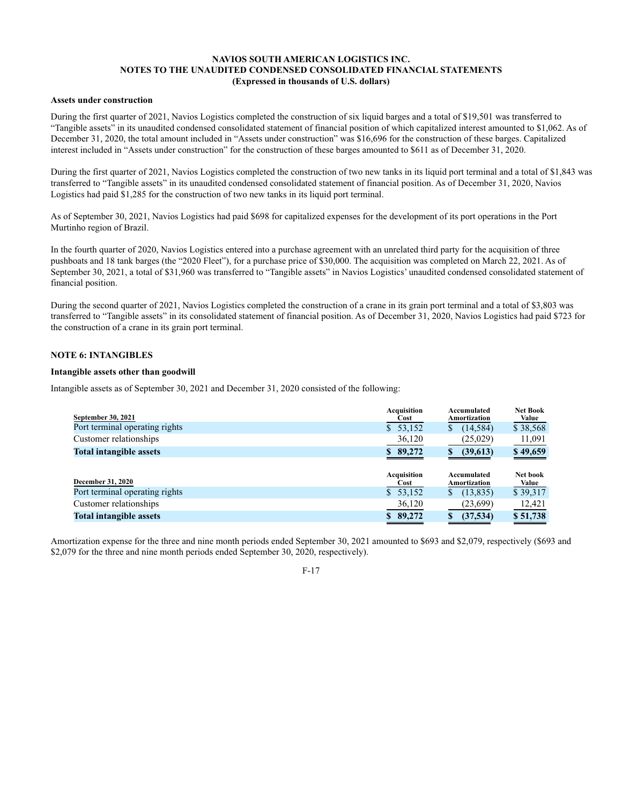# **Assets under construction**

During the first quarter of 2021, Navios Logistics completed the construction of six liquid barges and a total of \$19,501 was transferred to "Tangible assets" in its unaudited condensed consolidated statement of financial position of which capitalized interest amounted to \$1,062. As of December 31, 2020, the total amount included in "Assets under construction" was \$16,696 for the construction of these barges. Capitalized interest included in "Assets under construction" for the construction of these barges amounted to \$611 as of December 31, 2020.

During the first quarter of 2021, Navios Logistics completed the construction of two new tanks in its liquid port terminal and a total of \$1,843 was transferred to "Tangible assets" in its unaudited condensed consolidated statement of financial position. As of December 31, 2020, Navios Logistics had paid \$1,285 for the construction of two new tanks in its liquid port terminal.

As of September 30, 2021, Navios Logistics had paid \$698 for capitalized expenses for the development of its port operations in the Port Murtinho region of Brazil.

In the fourth quarter of 2020, Navios Logistics entered into a purchase agreement with an unrelated third party for the acquisition of three pushboats and 18 tank barges (the "2020 Fleet"), for a purchase price of \$30,000. The acquisition was completed on March 22, 2021. As of September 30, 2021, a total of \$31,960 was transferred to "Tangible assets" in Navios Logistics' unaudited condensed consolidated statement of financial position.

During the second quarter of 2021, Navios Logistics completed the construction of a crane in its grain port terminal and a total of \$3,803 was transferred to "Tangible assets" in its consolidated statement of financial position. As of December 31, 2020, Navios Logistics had paid \$723 for the construction of a crane in its grain port terminal.

#### **NOTE 6: INTANGIBLES**

#### **Intangible assets other than goodwill**

Intangible assets as of September 30, 2021 and December 31, 2020 consisted of the following:

| September 30, 2021             | Acquisition<br>Cost        | Accumulated<br>Amortization | <b>Net Book</b><br>Value |
|--------------------------------|----------------------------|-----------------------------|--------------------------|
| Port terminal operating rights | \$53,152                   | (14, 584)<br>S              | \$38,568                 |
| Customer relationships         | 36,120                     | (25,029)                    | 11,091                   |
| <b>Total intangible assets</b> | \$89,272                   | (39,613)                    | \$49,659                 |
| <b>December 31, 2020</b>       | <b>Acquisition</b><br>Cost | Accumulated<br>Amortization | Net book<br>Value        |
| Port terminal operating rights | \$53,152                   | (13,835)<br>S               | \$39,317                 |
| Customer relationships         | 36,120                     | (23,699)                    | 12,421                   |
| <b>Total intangible assets</b> | \$89,272                   | (37,534)<br>S               | \$51,738                 |

Amortization expense for the three and nine month periods ended September 30, 2021 amounted to \$693 and \$2,079, respectively (\$693 and \$2,079 for the three and nine month periods ended September 30, 2020, respectively).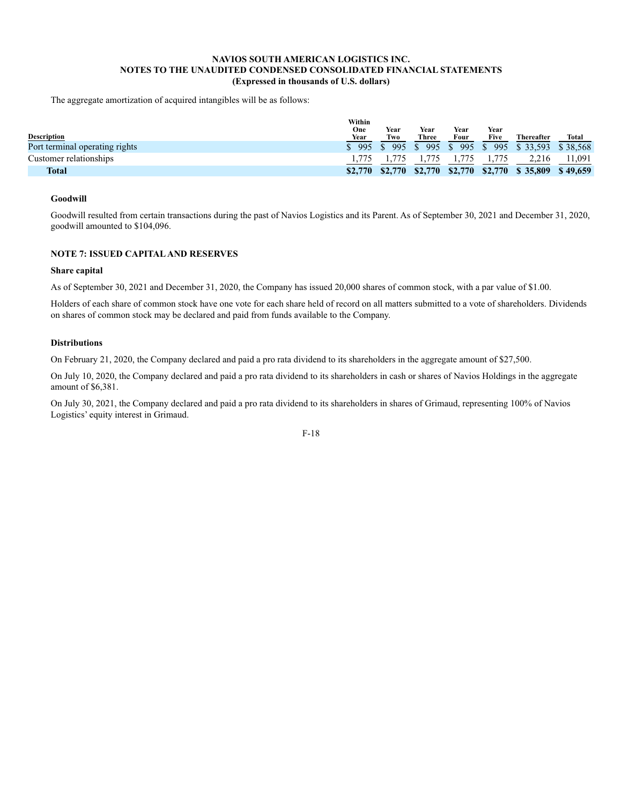The aggregate amortization of acquired intangibles will be as follows:

|                                | Within<br>One        | Year    | Year    | Year  | Year |                                       |        |
|--------------------------------|----------------------|---------|---------|-------|------|---------------------------------------|--------|
| Description                    | Year                 | Two     | Three   | Four  | Five | <b>Thereafter</b>                     | Total  |
| Port terminal operating rights | $\frac{1}{2}$ 995 \$ | 995 \$  |         |       |      | 995 \$995 \$995 \$33,593 \$38,568     |        |
| Customer relationships         |                      |         | 1.775   | 1,775 |      | 2.216                                 | 11,091 |
| <b>Total</b>                   | \$2,770              | \$2,770 | \$2,770 |       |      | $$2,770$ $$2,770$ $$35,809$ $$49,659$ |        |

#### **Goodwill**

Goodwill resulted from certain transactions during the past of Navios Logistics and its Parent. As of September 30, 2021 and December 31, 2020, goodwill amounted to \$104,096.

# **NOTE 7: ISSUED CAPITAL AND RESERVES**

#### **Share capital**

As of September 30, 2021 and December 31, 2020, the Company has issued 20,000 shares of common stock, with a par value of \$1.00.

Holders of each share of common stock have one vote for each share held of record on all matters submitted to a vote of shareholders. Dividends on shares of common stock may be declared and paid from funds available to the Company.

#### **Distributions**

On February 21, 2020, the Company declared and paid a pro rata dividend to its shareholders in the aggregate amount of \$27,500.

On July 10, 2020, the Company declared and paid a pro rata dividend to its shareholders in cash or shares of Navios Holdings in the aggregate amount of \$6,381.

On July 30, 2021, the Company declared and paid a pro rata dividend to its shareholders in shares of Grimaud, representing 100% of Navios Logistics' equity interest in Grimaud.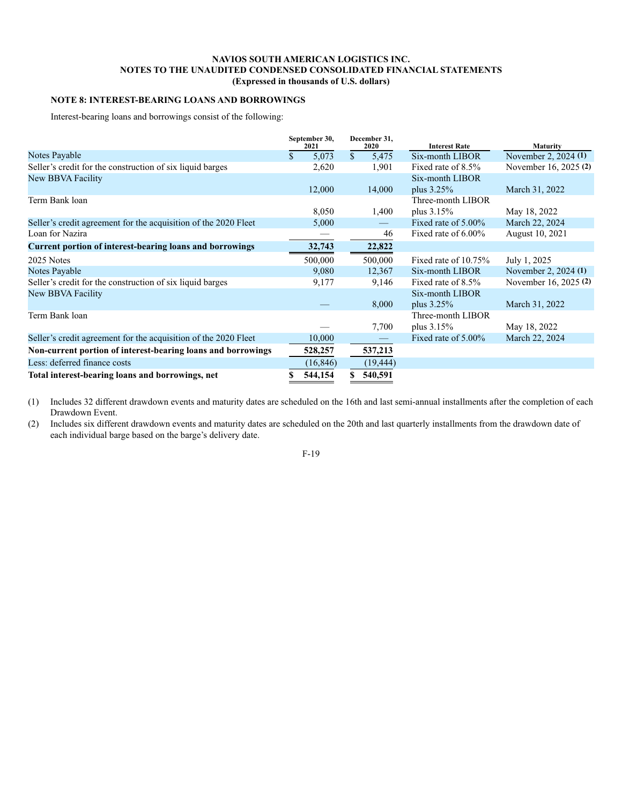# **NOTE 8: INTEREST-BEARING LOANS AND BORROWINGS**

Interest-bearing loans and borrowings consist of the following:

|                                                                 | September 30,<br>2021 | December 31. |           | 2020                    |                       | <b>Interest Rate</b> | Maturity |
|-----------------------------------------------------------------|-----------------------|--------------|-----------|-------------------------|-----------------------|----------------------|----------|
| Notes Payable                                                   | 5,073                 | $\mathbb{S}$ | 5,475     | Six-month LIBOR         | November 2, 2024 (1)  |                      |          |
| Seller's credit for the construction of six liquid barges       | 2,620                 |              | 1,901     | Fixed rate of 8.5%      | November 16, 2025 (2) |                      |          |
| New BBVA Facility                                               |                       |              |           | Six-month LIBOR         |                       |                      |          |
|                                                                 | 12,000                |              | 14,000    | plus $3.25\%$           | March 31, 2022        |                      |          |
| Term Bank loan                                                  |                       |              |           | Three-month LIBOR       |                       |                      |          |
|                                                                 | 8,050                 |              | 1,400     | plus $3.15\%$           | May 18, 2022          |                      |          |
| Seller's credit agreement for the acquisition of the 2020 Fleet | 5,000                 |              |           | Fixed rate of 5.00%     | March 22, 2024        |                      |          |
| Loan for Nazira                                                 |                       |              | 46        | Fixed rate of 6.00%     | August 10, 2021       |                      |          |
| Current portion of interest-bearing loans and borrowings        | 32,743                |              | 22,822    |                         |                       |                      |          |
| 2025 Notes                                                      | 500,000               |              | 500,000   | Fixed rate of $10.75\%$ | July 1, 2025          |                      |          |
| Notes Payable                                                   | 9,080                 |              | 12,367    | Six-month LIBOR         | November 2, 2024 (1)  |                      |          |
| Seller's credit for the construction of six liquid barges       | 9,177                 |              | 9,146     | Fixed rate of 8.5%      | November 16, 2025 (2) |                      |          |
| New BBVA Facility                                               |                       |              |           | Six-month LIBOR         |                       |                      |          |
|                                                                 |                       |              | 8,000     | plus $3.25\%$           | March 31, 2022        |                      |          |
| Term Bank loan                                                  |                       |              |           | Three-month LIBOR       |                       |                      |          |
|                                                                 |                       |              | 7,700     | plus $3.15\%$           | May 18, 2022          |                      |          |
| Seller's credit agreement for the acquisition of the 2020 Fleet | 10,000                |              |           | Fixed rate of $5.00\%$  | March 22, 2024        |                      |          |
| Non-current portion of interest-bearing loans and borrowings    | 528,257               |              | 537,213   |                         |                       |                      |          |
| Less: deferred finance costs                                    | (16, 846)             |              | (19, 444) |                         |                       |                      |          |
| Total interest-bearing loans and borrowings, net                | 544,154               |              | 540,591   |                         |                       |                      |          |

(1) Includes 32 different drawdown events and maturity dates are scheduled on the 16th and last semi-annual installments after the completion of each Drawdown Event.

(2) Includes six different drawdown events and maturity dates are scheduled on the 20th and last quarterly installments from the drawdown date of each individual barge based on the barge's delivery date.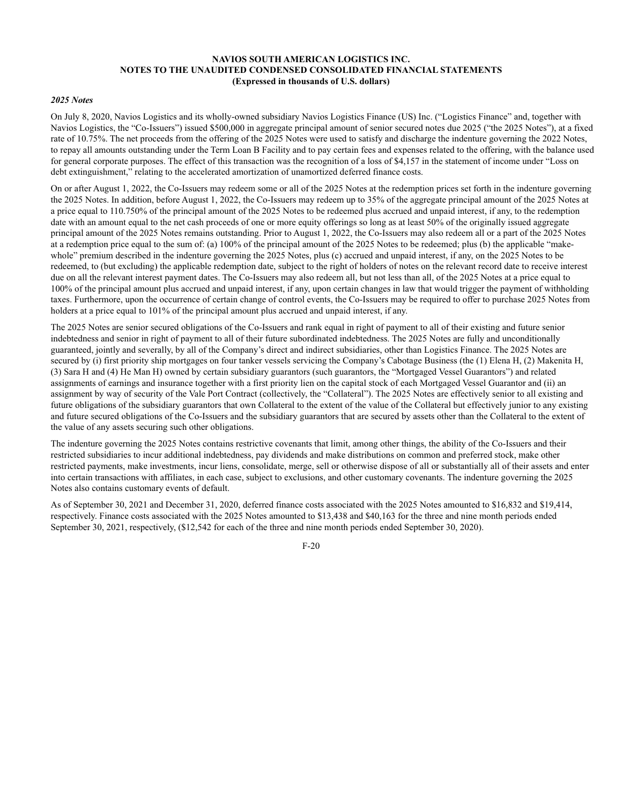#### *2025 Notes*

On July 8, 2020, Navios Logistics and its wholly-owned subsidiary Navios Logistics Finance (US) Inc. ("Logistics Finance" and, together with Navios Logistics, the "Co-Issuers") issued \$500,000 in aggregate principal amount of senior secured notes due 2025 ("the 2025 Notes"), at a fixed rate of 10.75%. The net proceeds from the offering of the 2025 Notes were used to satisfy and discharge the indenture governing the 2022 Notes, to repay all amounts outstanding under the Term Loan B Facility and to pay certain fees and expenses related to the offering, with the balance used for general corporate purposes. The effect of this transaction was the recognition of a loss of \$4,157 in the statement of income under "Loss on debt extinguishment," relating to the accelerated amortization of unamortized deferred finance costs.

On or after August 1, 2022, the Co-Issuers may redeem some or all of the 2025 Notes at the redemption prices set forth in the indenture governing the 2025 Notes. In addition, before August 1, 2022, the Co-Issuers may redeem up to 35% of the aggregate principal amount of the 2025 Notes at a price equal to 110.750% of the principal amount of the 2025 Notes to be redeemed plus accrued and unpaid interest, if any, to the redemption date with an amount equal to the net cash proceeds of one or more equity offerings so long as at least 50% of the originally issued aggregate principal amount of the 2025 Notes remains outstanding. Prior to August 1, 2022, the Co-Issuers may also redeem all or a part of the 2025 Notes at a redemption price equal to the sum of: (a) 100% of the principal amount of the 2025 Notes to be redeemed; plus (b) the applicable "makewhole" premium described in the indenture governing the 2025 Notes, plus (c) accrued and unpaid interest, if any, on the 2025 Notes to be redeemed, to (but excluding) the applicable redemption date, subject to the right of holders of notes on the relevant record date to receive interest due on all the relevant interest payment dates. The Co-Issuers may also redeem all, but not less than all, of the 2025 Notes at a price equal to 100% of the principal amount plus accrued and unpaid interest, if any, upon certain changes in law that would trigger the payment of withholding taxes. Furthermore, upon the occurrence of certain change of control events, the Co-Issuers may be required to offer to purchase 2025 Notes from holders at a price equal to 101% of the principal amount plus accrued and unpaid interest, if any.

The 2025 Notes are senior secured obligations of the Co-Issuers and rank equal in right of payment to all of their existing and future senior indebtedness and senior in right of payment to all of their future subordinated indebtedness. The 2025 Notes are fully and unconditionally guaranteed, jointly and severally, by all of the Company's direct and indirect subsidiaries, other than Logistics Finance. The 2025 Notes are secured by (i) first priority ship mortgages on four tanker vessels servicing the Company's Cabotage Business (the (1) Elena H, (2) Makenita H, (3) Sara H and (4) He Man H) owned by certain subsidiary guarantors (such guarantors, the "Mortgaged Vessel Guarantors") and related assignments of earnings and insurance together with a first priority lien on the capital stock of each Mortgaged Vessel Guarantor and (ii) an assignment by way of security of the Vale Port Contract (collectively, the "Collateral"). The 2025 Notes are effectively senior to all existing and future obligations of the subsidiary guarantors that own Collateral to the extent of the value of the Collateral but effectively junior to any existing and future secured obligations of the Co-Issuers and the subsidiary guarantors that are secured by assets other than the Collateral to the extent of the value of any assets securing such other obligations.

The indenture governing the 2025 Notes contains restrictive covenants that limit, among other things, the ability of the Co-Issuers and their restricted subsidiaries to incur additional indebtedness, pay dividends and make distributions on common and preferred stock, make other restricted payments, make investments, incur liens, consolidate, merge, sell or otherwise dispose of all or substantially all of their assets and enter into certain transactions with affiliates, in each case, subject to exclusions, and other customary covenants. The indenture governing the 2025 Notes also contains customary events of default.

As of September 30, 2021 and December 31, 2020, deferred finance costs associated with the 2025 Notes amounted to \$16,832 and \$19,414, respectively. Finance costs associated with the 2025 Notes amounted to \$13,438 and \$40,163 for the three and nine month periods ended September 30, 2021, respectively, (\$12,542 for each of the three and nine month periods ended September 30, 2020).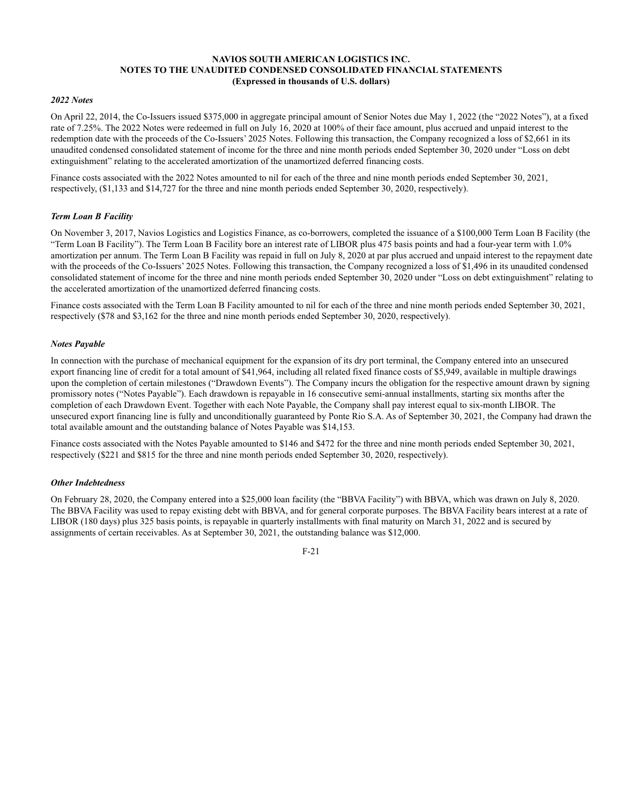#### *2022 Notes*

On April 22, 2014, the Co-Issuers issued \$375,000 in aggregate principal amount of Senior Notes due May 1, 2022 (the "2022 Notes"), at a fixed rate of 7.25%. The 2022 Notes were redeemed in full on July 16, 2020 at 100% of their face amount, plus accrued and unpaid interest to the redemption date with the proceeds of the Co-Issuers' 2025 Notes. Following this transaction, the Company recognized a loss of \$2,661 in its unaudited condensed consolidated statement of income for the three and nine month periods ended September 30, 2020 under "Loss on debt extinguishment" relating to the accelerated amortization of the unamortized deferred financing costs.

Finance costs associated with the 2022 Notes amounted to nil for each of the three and nine month periods ended September 30, 2021, respectively, (\$1,133 and \$14,727 for the three and nine month periods ended September 30, 2020, respectively).

# *Term Loan B Facility*

On November 3, 2017, Navios Logistics and Logistics Finance, as co-borrowers, completed the issuance of a \$100,000 Term Loan B Facility (the "Term Loan B Facility"). The Term Loan B Facility bore an interest rate of LIBOR plus 475 basis points and had a four-year term with 1.0% amortization per annum. The Term Loan B Facility was repaid in full on July 8, 2020 at par plus accrued and unpaid interest to the repayment date with the proceeds of the Co-Issuers' 2025 Notes. Following this transaction, the Company recognized a loss of \$1,496 in its unaudited condensed consolidated statement of income for the three and nine month periods ended September 30, 2020 under "Loss on debt extinguishment" relating to the accelerated amortization of the unamortized deferred financing costs.

Finance costs associated with the Term Loan B Facility amounted to nil for each of the three and nine month periods ended September 30, 2021, respectively (\$78 and \$3,162 for the three and nine month periods ended September 30, 2020, respectively).

# *Notes Payable*

In connection with the purchase of mechanical equipment for the expansion of its dry port terminal, the Company entered into an unsecured export financing line of credit for a total amount of \$41,964, including all related fixed finance costs of \$5,949, available in multiple drawings upon the completion of certain milestones ("Drawdown Events"). The Company incurs the obligation for the respective amount drawn by signing promissory notes ("Notes Payable"). Each drawdown is repayable in 16 consecutive semi-annual installments, starting six months after the completion of each Drawdown Event. Together with each Note Payable, the Company shall pay interest equal to six-month LIBOR. The unsecured export financing line is fully and unconditionally guaranteed by Ponte Rio S.A. As of September 30, 2021, the Company had drawn the total available amount and the outstanding balance of Notes Payable was \$14,153.

Finance costs associated with the Notes Payable amounted to \$146 and \$472 for the three and nine month periods ended September 30, 2021, respectively (\$221 and \$815 for the three and nine month periods ended September 30, 2020, respectively).

#### *Other Indebtedness*

On February 28, 2020, the Company entered into a \$25,000 loan facility (the "BBVA Facility") with BBVA, which was drawn on July 8, 2020. The BBVA Facility was used to repay existing debt with BBVA, and for general corporate purposes. The BBVA Facility bears interest at a rate of LIBOR (180 days) plus 325 basis points, is repayable in quarterly installments with final maturity on March 31, 2022 and is secured by assignments of certain receivables. As at September 30, 2021, the outstanding balance was \$12,000.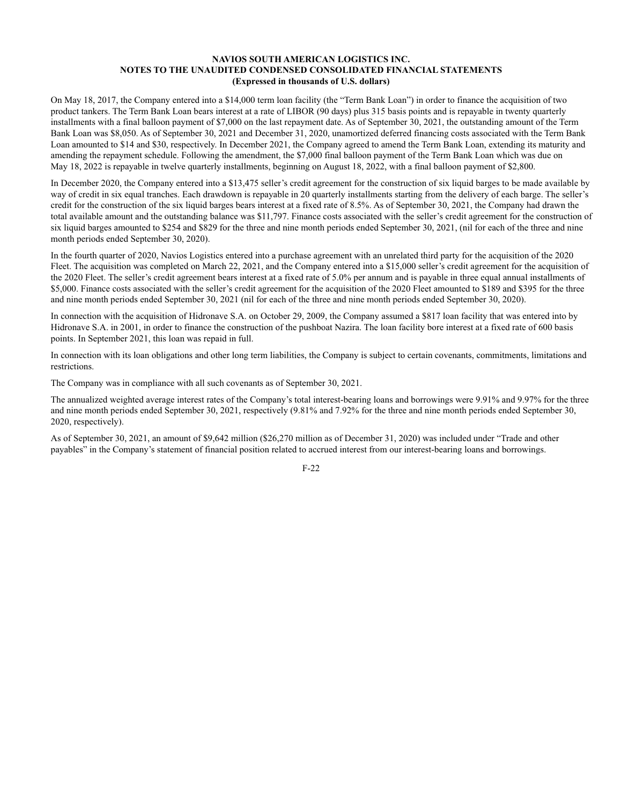On May 18, 2017, the Company entered into a \$14,000 term loan facility (the "Term Bank Loan") in order to finance the acquisition of two product tankers. The Term Bank Loan bears interest at a rate of LIBOR (90 days) plus 315 basis points and is repayable in twenty quarterly installments with a final balloon payment of \$7,000 on the last repayment date. As of September 30, 2021, the outstanding amount of the Term Bank Loan was \$8,050. As of September 30, 2021 and December 31, 2020, unamortized deferred financing costs associated with the Term Bank Loan amounted to \$14 and \$30, respectively. In December 2021, the Company agreed to amend the Term Bank Loan, extending its maturity and amending the repayment schedule. Following the amendment, the \$7,000 final balloon payment of the Term Bank Loan which was due on May 18, 2022 is repayable in twelve quarterly installments, beginning on August 18, 2022, with a final balloon payment of \$2,800.

In December 2020, the Company entered into a \$13,475 seller's credit agreement for the construction of six liquid barges to be made available by way of credit in six equal tranches. Each drawdown is repayable in 20 quarterly installments starting from the delivery of each barge. The seller's credit for the construction of the six liquid barges bears interest at a fixed rate of 8.5%. As of September 30, 2021, the Company had drawn the total available amount and the outstanding balance was \$11,797. Finance costs associated with the seller's credit agreement for the construction of six liquid barges amounted to \$254 and \$829 for the three and nine month periods ended September 30, 2021, (nil for each of the three and nine month periods ended September 30, 2020).

In the fourth quarter of 2020, Navios Logistics entered into a purchase agreement with an unrelated third party for the acquisition of the 2020 Fleet. The acquisition was completed on March 22, 2021, and the Company entered into a \$15,000 seller's credit agreement for the acquisition of the 2020 Fleet. The seller's credit agreement bears interest at a fixed rate of 5.0% per annum and is payable in three equal annual installments of \$5,000. Finance costs associated with the seller's credit agreement for the acquisition of the 2020 Fleet amounted to \$189 and \$395 for the three and nine month periods ended September 30, 2021 (nil for each of the three and nine month periods ended September 30, 2020).

In connection with the acquisition of Hidronave S.A. on October 29, 2009, the Company assumed a \$817 loan facility that was entered into by Hidronave S.A. in 2001, in order to finance the construction of the pushboat Nazira. The loan facility bore interest at a fixed rate of 600 basis points. In September 2021, this loan was repaid in full.

In connection with its loan obligations and other long term liabilities, the Company is subject to certain covenants, commitments, limitations and restrictions.

The Company was in compliance with all such covenants as of September 30, 2021.

The annualized weighted average interest rates of the Company's total interest-bearing loans and borrowings were 9.91% and 9.97% for the three and nine month periods ended September 30, 2021, respectively (9.81% and 7.92% for the three and nine month periods ended September 30, 2020, respectively).

As of September 30, 2021, an amount of \$9,642 million (\$26,270 million as of December 31, 2020) was included under "Trade and other payables" in the Company's statement of financial position related to accrued interest from our interest-bearing loans and borrowings.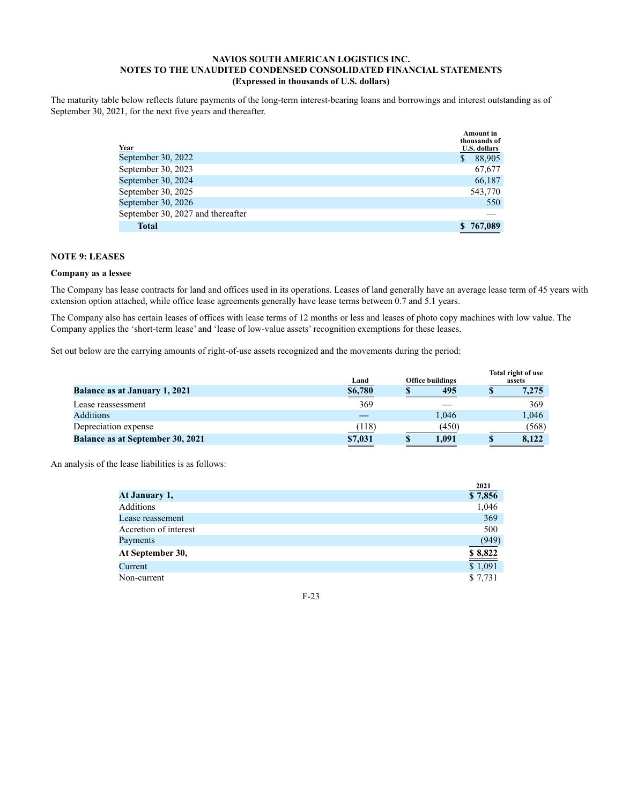The maturity table below reflects future payments of the long-term interest-bearing loans and borrowings and interest outstanding as of September 30, 2021, for the next five years and thereafter.

|                                   | <b>Amount</b> in<br>thousands of |
|-----------------------------------|----------------------------------|
| <u>Year</u>                       | <b>U.S. dollars</b>              |
| September 30, 2022                | 88,905<br>S                      |
| September 30, 2023                | 67,677                           |
| September 30, 2024                | 66,187                           |
| September 30, 2025                | 543,770                          |
| September 30, 2026                | 550                              |
| September 30, 2027 and thereafter |                                  |
| <b>Total</b>                      | \$767,089                        |

# **NOTE 9: LEASES**

#### **Company as a lessee**

The Company has lease contracts for land and offices used in its operations. Leases of land generally have an average lease term of 45 years with extension option attached, while office lease agreements generally have lease terms between 0.7 and 5.1 years.

The Company also has certain leases of offices with lease terms of 12 months or less and leases of photo copy machines with low value. The Company applies the 'short-term lease' and 'lease of low-value assets' recognition exemptions for these leases.

Set out below are the carrying amounts of right-of-use assets recognized and the movements during the period:

|                                         | Land                     | <b>Office buildings</b> |       |  | Total right of use<br>assets |  |  |
|-----------------------------------------|--------------------------|-------------------------|-------|--|------------------------------|--|--|
| <b>Balance as at January 1, 2021</b>    | \$6,780<br>$\sim$ $\sim$ |                         | 495   |  | 7.275                        |  |  |
| Lease reassessment                      | 369                      |                         |       |  | 369                          |  |  |
| Additions                               |                          |                         | 1,046 |  | 1.046                        |  |  |
| Depreciation expense                    | (118)                    |                         | (450) |  | (568)                        |  |  |
| <b>Balance as at September 30, 2021</b> | \$7,031                  |                         | 1.091 |  | 8,122                        |  |  |

An analysis of the lease liabilities is as follows:

|                       | 2021    |
|-----------------------|---------|
| At January 1,         | \$7,856 |
| Additions             | 1,046   |
| Lease reassement      | 369     |
| Accretion of interest | 500     |
| Payments              | (949)   |
| At September 30,      | \$8,822 |
| Current               | \$1,091 |
| Non-current           | \$7,731 |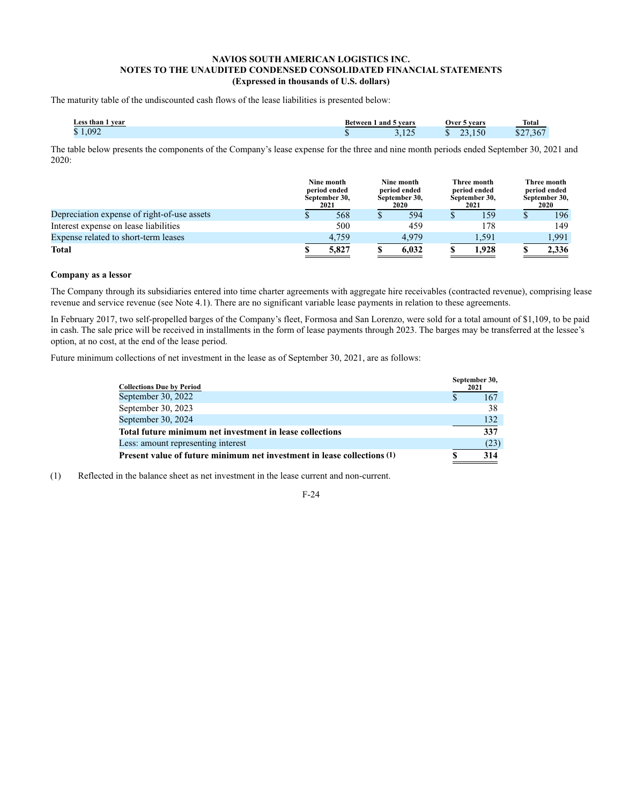The maturity table of the undiscounted cash flows of the lease liabilities is presented below:

| Less than 1 year | Between 1 and 5 years |                    |     | Over 5 years | <b>Total</b> |
|------------------|-----------------------|--------------------|-----|--------------|--------------|
| 1.092<br>m.      | ш                     | $\bigcap$<br>ر ۱۳۰ | . . | $-3.150$     | \$27,367     |

The table below presents the components of the Company's lease expense for the three and nine month periods ended September 30, 2021 and 2020:

|                                             | Nine month<br>period ended<br>September 30,<br>2021 | Nine month<br>period ended<br>September 30,<br>2020 | Three month<br>period ended<br>September 30,<br>2021 | Three month<br>period ended<br>September 30,<br>2020 |
|---------------------------------------------|-----------------------------------------------------|-----------------------------------------------------|------------------------------------------------------|------------------------------------------------------|
| Depreciation expense of right-of-use assets | 568                                                 | 594                                                 | 159                                                  | 196                                                  |
| Interest expense on lease liabilities       | 500                                                 | 459                                                 | 178                                                  | 149                                                  |
| Expense related to short-term leases        | 4.759                                               | 4.979                                               | 1,591                                                | 1.991                                                |
| <b>Total</b>                                | 5.827                                               | 6.032                                               | 1.928                                                | 2,336                                                |

# **Company as a lessor**

The Company through its subsidiaries entered into time charter agreements with aggregate hire receivables (contracted revenue), comprising lease revenue and service revenue (see Note 4.1). There are no significant variable lease payments in relation to these agreements.

In February 2017, two self-propelled barges of the Company's fleet, Formosa and San Lorenzo, were sold for a total amount of \$1,109, to be paid in cash. The sale price will be received in installments in the form of lease payments through 2023. The barges may be transferred at the lessee's option, at no cost, at the end of the lease period.

Future minimum collections of net investment in the lease as of September 30, 2021, are as follows:

| <b>Collections Due by Period</b>                                        | September 30,<br>2021 |
|-------------------------------------------------------------------------|-----------------------|
| September 30, 2022                                                      | 167                   |
| September 30, 2023                                                      | 38                    |
| September 30, 2024                                                      | 132                   |
| Total future minimum net investment in lease collections                | 337                   |
| Less: amount representing interest                                      | (23)                  |
| Present value of future minimum net investment in lease collections (1) | 314                   |

(1) Reflected in the balance sheet as net investment in the lease current and non-current.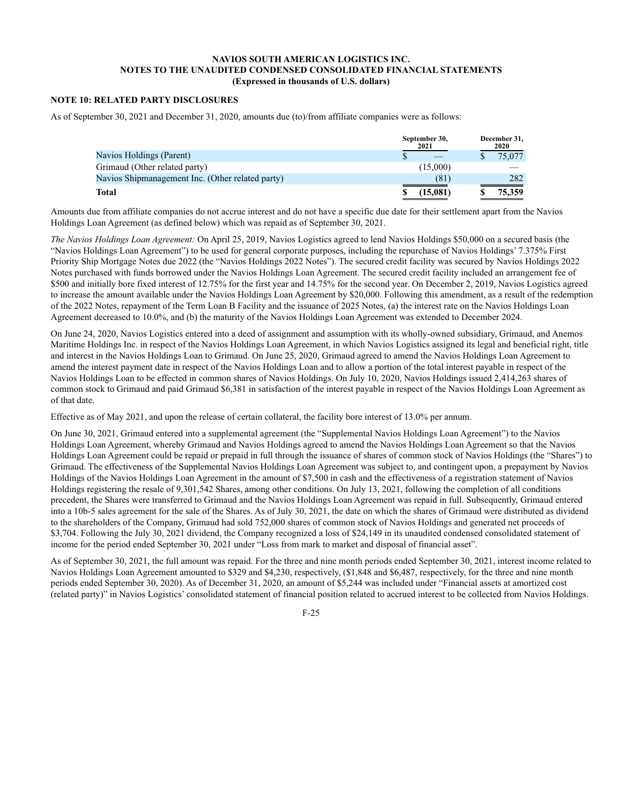# **NOTE 10: RELATED PARTY DISCLOSURES**

As of September 30, 2021 and December 31, 2020, amounts due (to)/from affiliate companies were as follows:

|                                                  | September 30,<br>2021 | December 31,<br>2020 |
|--------------------------------------------------|-----------------------|----------------------|
| Navios Holdings (Parent)                         |                       | 75,077               |
| Grimaud (Other related party)                    | (15,000)              |                      |
| Navios Shipmanagement Inc. (Other related party) | (81)                  | 282                  |
| Total                                            | 15,081                | 75,359               |

Amounts due from affiliate companies do not accrue interest and do not have a specific due date for their settlement apart from the Navios Holdings Loan Agreement (as defined below) which was repaid as of September 30, 2021.

*The Navios Holdings Loan Agreement:* On April 25, 2019, Navios Logistics agreed to lend Navios Holdings \$50,000 on a secured basis (the "Navios Holdings Loan Agreement") to be used for general corporate purposes, including the repurchase of Navios Holdings' 7.375% First Priority Ship Mortgage Notes due 2022 (the "Navios Holdings 2022 Notes"). The secured credit facility was secured by Navios Holdings 2022 Notes purchased with funds borrowed under the Navios Holdings Loan Agreement. The secured credit facility included an arrangement fee of \$500 and initially bore fixed interest of 12.75% for the first year and 14.75% for the second year. On December 2, 2019, Navios Logistics agreed to increase the amount available under the Navios Holdings Loan Agreement by \$20,000. Following this amendment, as a result of the redemption of the 2022 Notes, repayment of the Term Loan B Facility and the issuance of 2025 Notes, (a) the interest rate on the Navios Holdings Loan Agreement decreased to 10.0%, and (b) the maturity of the Navios Holdings Loan Agreement was extended to December 2024.

On June 24, 2020, Navios Logistics entered into a deed of assignment and assumption with its wholly-owned subsidiary, Grimaud, and Anemos Maritime Holdings Inc. in respect of the Navios Holdings Loan Agreement, in which Navios Logistics assigned its legal and beneficial right, title and interest in the Navios Holdings Loan to Grimaud. On June 25, 2020, Grimaud agreed to amend the Navios Holdings Loan Agreement to amend the interest payment date in respect of the Navios Holdings Loan and to allow a portion of the total interest payable in respect of the Navios Holdings Loan to be effected in common shares of Navios Holdings. On July 10, 2020, Navios Holdings issued 2,414,263 shares of common stock to Grimaud and paid Grimaud \$6,381 in satisfaction of the interest payable in respect of the Navios Holdings Loan Agreement as of that date.

Effective as of May 2021, and upon the release of certain collateral, the facility bore interest of 13.0% per annum.

On June 30, 2021, Grimaud entered into a supplemental agreement (the "Supplemental Navios Holdings Loan Agreement") to the Navios Holdings Loan Agreement, whereby Grimaud and Navios Holdings agreed to amend the Navios Holdings Loan Agreement so that the Navios Holdings Loan Agreement could be repaid or prepaid in full through the issuance of shares of common stock of Navios Holdings (the "Shares") to Grimaud. The effectiveness of the Supplemental Navios Holdings Loan Agreement was subject to, and contingent upon, a prepayment by Navios Holdings of the Navios Holdings Loan Agreement in the amount of \$7,500 in cash and the effectiveness of a registration statement of Navios Holdings registering the resale of 9,301,542 Shares, among other conditions. On July 13, 2021, following the completion of all conditions precedent, the Shares were transferred to Grimaud and the Navios Holdings Loan Agreement was repaid in full. Subsequently, Grimaud entered into a 10b-5 sales agreement for the sale of the Shares. As of July 30, 2021, the date on which the shares of Grimaud were distributed as dividend to the shareholders of the Company, Grimaud had sold 752,000 shares of common stock of Navios Holdings and generated net proceeds of \$3,704. Following the July 30, 2021 dividend, the Company recognized a loss of \$24,149 in its unaudited condensed consolidated statement of income for the period ended September 30, 2021 under "Loss from mark to market and disposal of financial asset".

As of September 30, 2021, the full amount was repaid. For the three and nine month periods ended September 30, 2021, interest income related to Navios Holdings Loan Agreement amounted to \$329 and \$4,230, respectively, (\$1,848 and \$6,487, respectively, for the three and nine month periods ended September 30, 2020). As of December 31, 2020, an amount of \$5,244 was included under "Financial assets at amortized cost (related party)" in Navios Logistics' consolidated statement of financial position related to accrued interest to be collected from Navios Holdings.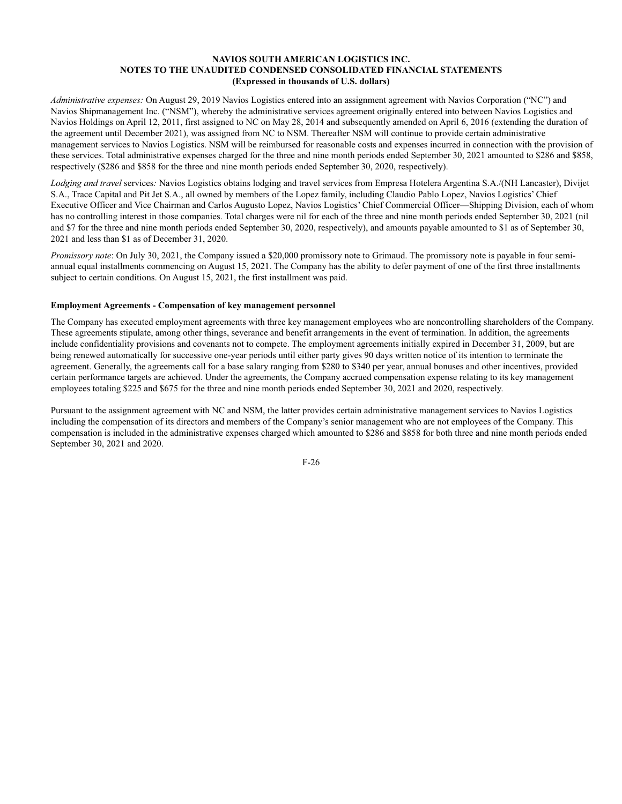*Administrative expenses:* On August 29, 2019 Navios Logistics entered into an assignment agreement with Navios Corporation ("NC") and Navios Shipmanagement Inc. ("NSM"), whereby the administrative services agreement originally entered into between Navios Logistics and Navios Holdings on April 12, 2011, first assigned to NC on May 28, 2014 and subsequently amended on April 6, 2016 (extending the duration of the agreement until December 2021), was assigned from NC to NSM. Thereafter NSM will continue to provide certain administrative management services to Navios Logistics. NSM will be reimbursed for reasonable costs and expenses incurred in connection with the provision of these services. Total administrative expenses charged for the three and nine month periods ended September 30, 2021 amounted to \$286 and \$858, respectively (\$286 and \$858 for the three and nine month periods ended September 30, 2020, respectively).

*Lodging and travel* services*:* Navios Logistics obtains lodging and travel services from Empresa Hotelera Argentina S.A./(NH Lancaster), Divijet S.A., Trace Capital and Pit Jet S.A., all owned by members of the Lopez family, including Claudio Pablo Lopez, Navios Logistics' Chief Executive Officer and Vice Chairman and Carlos Augusto Lopez, Navios Logistics' Chief Commercial Officer—Shipping Division, each of whom has no controlling interest in those companies. Total charges were nil for each of the three and nine month periods ended September 30, 2021 (nil and \$7 for the three and nine month periods ended September 30, 2020, respectively), and amounts payable amounted to \$1 as of September 30, 2021 and less than \$1 as of December 31, 2020.

*Promissory note*: On July 30, 2021, the Company issued a \$20,000 promissory note to Grimaud. The promissory note is payable in four semiannual equal installments commencing on August 15, 2021. The Company has the ability to defer payment of one of the first three installments subject to certain conditions. On August 15, 2021, the first installment was paid.

# **Employment Agreements - Compensation of key management personnel**

The Company has executed employment agreements with three key management employees who are noncontrolling shareholders of the Company. These agreements stipulate, among other things, severance and benefit arrangements in the event of termination. In addition, the agreements include confidentiality provisions and covenants not to compete. The employment agreements initially expired in December 31, 2009, but are being renewed automatically for successive one-year periods until either party gives 90 days written notice of its intention to terminate the agreement. Generally, the agreements call for a base salary ranging from \$280 to \$340 per year, annual bonuses and other incentives, provided certain performance targets are achieved. Under the agreements, the Company accrued compensation expense relating to its key management employees totaling \$225 and \$675 for the three and nine month periods ended September 30, 2021 and 2020, respectively.

Pursuant to the assignment agreement with NC and NSM, the latter provides certain administrative management services to Navios Logistics including the compensation of its directors and members of the Company's senior management who are not employees of the Company. This compensation is included in the administrative expenses charged which amounted to \$286 and \$858 for both three and nine month periods ended September 30, 2021 and 2020.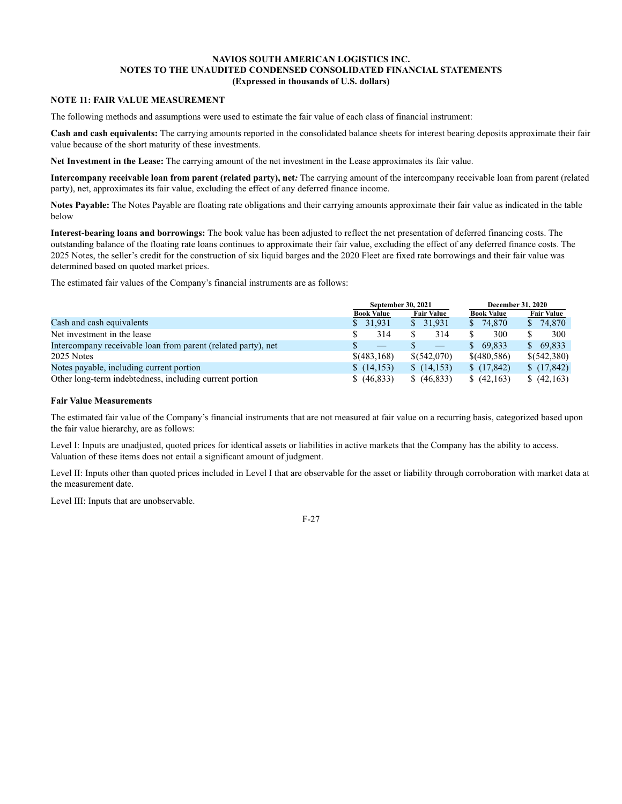# **NOTE 11: FAIR VALUE MEASUREMENT**

The following methods and assumptions were used to estimate the fair value of each class of financial instrument:

**Cash and cash equivalents:** The carrying amounts reported in the consolidated balance sheets for interest bearing deposits approximate their fair value because of the short maturity of these investments.

**Net Investment in the Lease:** The carrying amount of the net investment in the Lease approximates its fair value.

**Intercompany receivable loan from parent (related party), net***:* The carrying amount of the intercompany receivable loan from parent (related party), net, approximates its fair value, excluding the effect of any deferred finance income.

**Notes Payable:** The Notes Payable are floating rate obligations and their carrying amounts approximate their fair value as indicated in the table below

**Interest-bearing loans and borrowings:** The book value has been adjusted to reflect the net presentation of deferred financing costs. The outstanding balance of the floating rate loans continues to approximate their fair value, excluding the effect of any deferred finance costs. The 2025 Notes, the seller's credit for the construction of six liquid barges and the 2020 Fleet are fixed rate borrowings and their fair value was determined based on quoted market prices.

The estimated fair values of the Company's financial instruments are as follows:

|                                                               | September 30, 2021              |                   | <b>December 31, 2020</b> |                   |  |  |
|---------------------------------------------------------------|---------------------------------|-------------------|--------------------------|-------------------|--|--|
|                                                               | <b>Book Value</b>               | <b>Fair Value</b> | <b>Book Value</b>        | <b>Fair Value</b> |  |  |
| Cash and cash equivalents                                     | \$31,931                        | \$31,931          | 74,870<br>S.             | \$74,870          |  |  |
| Net investment in the lease                                   | 314                             | 314               | 300                      | 300               |  |  |
| Intercompany receivable loan from parent (related party), net | $\hspace{0.1mm}-\hspace{0.1mm}$ | $\qquad \qquad$   | 69.833<br>S.             | \$69,833          |  |  |
| 2025 Notes                                                    | \$ (483, 168)                   | \$(542,070)       | \$ (480, 586)            | \$(542,380)       |  |  |
| Notes payable, including current portion                      | (14,153)                        | (14,153)          | (17, 842)                | (17, 842)         |  |  |
| Other long-term indebtedness, including current portion       | (46,833)                        | \$ (46,833)       | (42,163)                 | (42,163)          |  |  |

#### **Fair Value Measurements**

The estimated fair value of the Company's financial instruments that are not measured at fair value on a recurring basis, categorized based upon the fair value hierarchy, are as follows:

Level I: Inputs are unadjusted, quoted prices for identical assets or liabilities in active markets that the Company has the ability to access. Valuation of these items does not entail a significant amount of judgment.

Level II: Inputs other than quoted prices included in Level I that are observable for the asset or liability through corroboration with market data at the measurement date.

Level III: Inputs that are unobservable.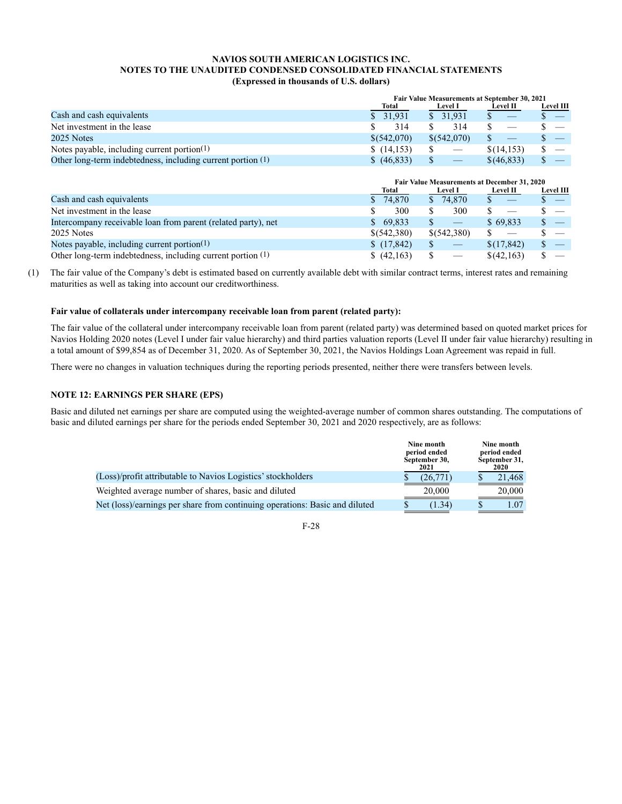|                                                             | <b>Fair Value Measurements at September 30, 2021</b> |                                   |                 |                  |  |  |  |
|-------------------------------------------------------------|------------------------------------------------------|-----------------------------------|-----------------|------------------|--|--|--|
|                                                             | Total                                                | <b>Level I</b>                    | <b>Level II</b> | <b>Level III</b> |  |  |  |
| Cash and cash equivalents                                   | \$31.931                                             | \$31.931                          |                 |                  |  |  |  |
| Net investment in the lease                                 | 314                                                  | 314                               |                 |                  |  |  |  |
| 2025 Notes                                                  | \$ (542,070)                                         | \$(542.070)                       |                 |                  |  |  |  |
| Notes payable, including current portion $(1)$              | \$(14,153)                                           | $\hspace{0.1mm}-\hspace{0.1mm}$   | \$(14,153)      |                  |  |  |  |
| Other long-term indebtedness, including current portion (1) | \$ (46,833)                                          | $\overbrace{\phantom{aaaaa}}^{a}$ | \$ (46, 833)    |                  |  |  |  |

|                                                               |              | Fair Value Measurements at December 31, 2020 |                   |                  |  |  |  |  |  |
|---------------------------------------------------------------|--------------|----------------------------------------------|-------------------|------------------|--|--|--|--|--|
|                                                               | Total        | <b>Level I</b>                               | <b>Level II</b>   | <b>Level III</b> |  |  |  |  |  |
| Cash and cash equivalents                                     | 74,870       | \$74,870                                     | $\hspace{0.05cm}$ | $\sim$ $-$       |  |  |  |  |  |
| Net investment in the lease                                   | 300          | 300                                          |                   |                  |  |  |  |  |  |
| Intercompany receivable loan from parent (related party), net | 69.833<br>S. |                                              | \$69.833          |                  |  |  |  |  |  |
| 2025 Notes                                                    | \$(542,380)  | \$(542,380)                                  | $\frac{1}{2}$     |                  |  |  |  |  |  |
| Notes payable, including current portion(1)                   | (17,842)     | $\qquad \qquad \longleftarrow$               | \$(17, 842)       |                  |  |  |  |  |  |
| Other long-term indebtedness, including current portion (1)   | (42,163)     |                                              | \$(42,163)        |                  |  |  |  |  |  |

(1) The fair value of the Company's debt is estimated based on currently available debt with similar contract terms, interest rates and remaining maturities as well as taking into account our creditworthiness.

# **Fair value of collaterals under intercompany receivable loan from parent (related party):**

The fair value of the collateral under intercompany receivable loan from parent (related party) was determined based on quoted market prices for Navios Holding 2020 notes (Level I under fair value hierarchy) and third parties valuation reports (Level II under fair value hierarchy) resulting in a total amount of \$99,854 as of December 31, 2020. As of September 30, 2021, the Navios Holdings Loan Agreement was repaid in full.

There were no changes in valuation techniques during the reporting periods presented, neither there were transfers between levels.

# **NOTE 12: EARNINGS PER SHARE (EPS)**

Basic and diluted net earnings per share are computed using the weighted-average number of common shares outstanding. The computations of basic and diluted earnings per share for the periods ended September 30, 2021 and 2020 respectively, are as follows:

|                                                                             | Nine month<br>period ended<br>September 30,<br>2021 | Nine month<br>period ended<br>September 31,<br>2020 |
|-----------------------------------------------------------------------------|-----------------------------------------------------|-----------------------------------------------------|
| (Loss)/profit attributable to Navios Logistics' stockholders                | (26,771)                                            | 21.468                                              |
| Weighted average number of shares, basic and diluted                        | 20,000                                              | 20,000                                              |
| Net (loss)/earnings per share from continuing operations: Basic and diluted | (1.34)                                              | 1.07                                                |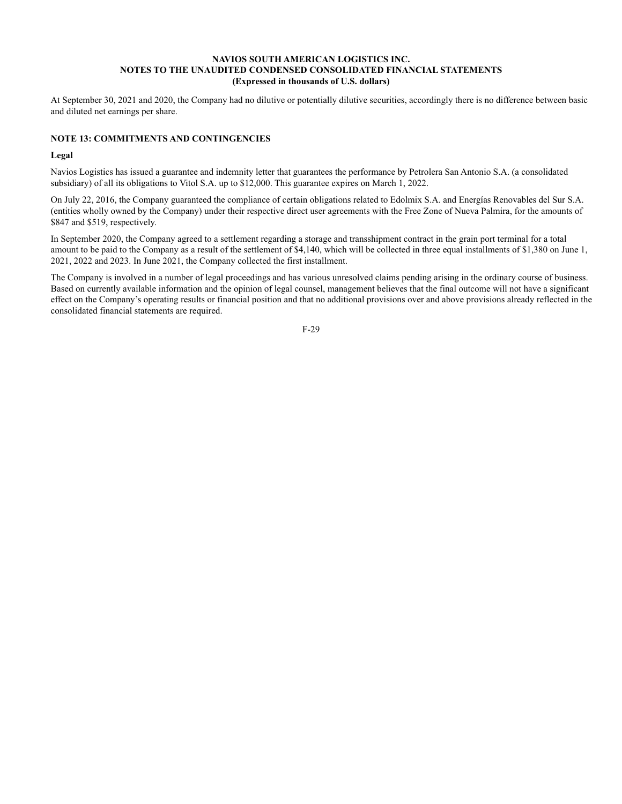At September 30, 2021 and 2020, the Company had no dilutive or potentially dilutive securities, accordingly there is no difference between basic and diluted net earnings per share.

# **NOTE 13: COMMITMENTS AND CONTINGENCIES**

# **Legal**

Navios Logistics has issued a guarantee and indemnity letter that guarantees the performance by Petrolera San Antonio S.A. (a consolidated subsidiary) of all its obligations to Vitol S.A. up to \$12,000. This guarantee expires on March 1, 2022.

On July 22, 2016, the Company guaranteed the compliance of certain obligations related to Edolmix S.A. and Energías Renovables del Sur S.A. (entities wholly owned by the Company) under their respective direct user agreements with the Free Zone of Nueva Palmira, for the amounts of \$847 and \$519, respectively.

In September 2020, the Company agreed to a settlement regarding a storage and transshipment contract in the grain port terminal for a total amount to be paid to the Company as a result of the settlement of \$4,140, which will be collected in three equal installments of \$1,380 on June 1, 2021, 2022 and 2023. In June 2021, the Company collected the first installment.

The Company is involved in a number of legal proceedings and has various unresolved claims pending arising in the ordinary course of business. Based on currently available information and the opinion of legal counsel, management believes that the final outcome will not have a significant effect on the Company's operating results or financial position and that no additional provisions over and above provisions already reflected in the consolidated financial statements are required.